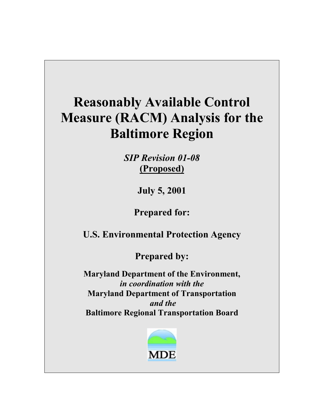# **Reasonably Available Control Measure (RACM) Analysis for the Baltimore Region**

*SIP Revision 01-08*  **(Proposed)**

**July 5, 2001** 

**Prepared for:** 

**U.S. Environmental Protection Agency** 

**Prepared by:** 

**Maryland Department of the Environment,**  *in coordination with the*  **Maryland Department of Transportation**  *and the*  **Baltimore Regional Transportation Board**

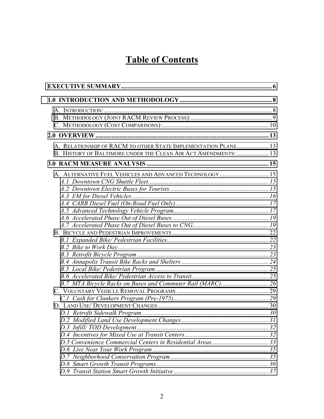## **Table of Contents**

| A. RELATIONSHIP OF RACM TO OTHER STATE IMPLEMENTATION PLANS  13 |  |
|-----------------------------------------------------------------|--|
| B. HISTORY OF BALTIMORE UNDER THE CLEAN AIR ACT AMENDMENTS:  13 |  |
|                                                                 |  |
| A. ALTERNATIVE FUEL VEHICLES AND ADVANCED TECHNOLOGY 15         |  |
|                                                                 |  |
|                                                                 |  |
|                                                                 |  |
|                                                                 |  |
|                                                                 |  |
|                                                                 |  |
|                                                                 |  |
|                                                                 |  |
|                                                                 |  |
|                                                                 |  |
|                                                                 |  |
|                                                                 |  |
|                                                                 |  |
|                                                                 |  |
|                                                                 |  |
|                                                                 |  |
|                                                                 |  |
|                                                                 |  |
|                                                                 |  |
|                                                                 |  |
|                                                                 |  |
|                                                                 |  |
|                                                                 |  |
|                                                                 |  |
|                                                                 |  |
|                                                                 |  |
|                                                                 |  |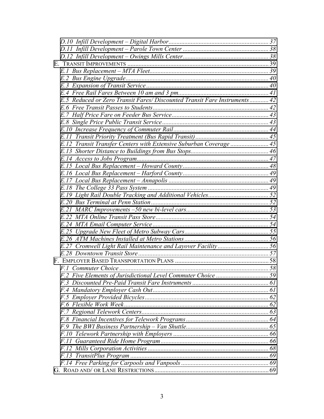| E.5 Reduced or Zero Transit Fares/Discounted Transit Fare Instruments 42 |  |
|--------------------------------------------------------------------------|--|
|                                                                          |  |
|                                                                          |  |
|                                                                          |  |
|                                                                          |  |
|                                                                          |  |
| E.12 Transit Transfer Centers with Extensive Suburban Coverage  45       |  |
|                                                                          |  |
|                                                                          |  |
|                                                                          |  |
|                                                                          |  |
|                                                                          |  |
|                                                                          |  |
|                                                                          |  |
|                                                                          |  |
|                                                                          |  |
|                                                                          |  |
|                                                                          |  |
|                                                                          |  |
|                                                                          |  |
|                                                                          |  |
|                                                                          |  |
|                                                                          |  |
|                                                                          |  |
|                                                                          |  |
|                                                                          |  |
|                                                                          |  |
|                                                                          |  |
|                                                                          |  |
|                                                                          |  |
|                                                                          |  |
|                                                                          |  |
|                                                                          |  |
|                                                                          |  |
|                                                                          |  |
|                                                                          |  |
|                                                                          |  |
|                                                                          |  |
|                                                                          |  |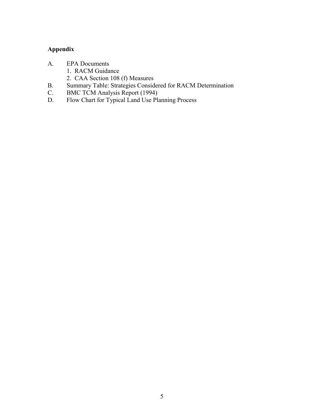### **Appendix**

- A. EPA Documents
	- 1. RACM Guidance
	- 2. CAA Section 108 (f) Measures
- B. Summary Table: Strategies Considered for RACM Determination
- C. BMC TCM Analysis Report (1994)
- D. Flow Chart for Typical Land Use Planning Process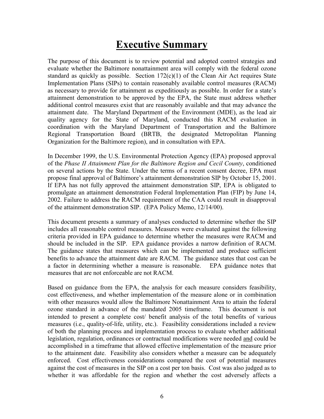## **Executive Summary**

<span id="page-5-0"></span>The purpose of this document is to review potential and adopted control strategies and evaluate whether the Baltimore nonattainment area will comply with the federal ozone standard as quickly as possible. Section  $172(c)(1)$  of the Clean Air Act requires State Implementation Plans (SIPs) to contain reasonably available control measures (RACM) as necessary to provide for attainment as expeditiously as possible. In order for a state's attainment demonstration to be approved by the EPA, the State must address whether additional control measures exist that are reasonably available and that may advance the attainment date. The Maryland Department of the Environment (MDE), as the lead air quality agency for the State of Maryland, conducted this RACM evaluation in coordination with the Maryland Department of Transportation and the Baltimore Regional Transportation Board (BRTB, the designated Metropolitan Planning Organization for the Baltimore region), and in consultation with EPA.

In December 1999, the U.S. Environmental Protection Agency (EPA) proposed approval of the *Phase II Attainment Plan for the Baltimore Region and Cecil County*, conditioned on several actions by the State. Under the terms of a recent consent decree, EPA must propose final approval of Baltimore's attainment demonstration SIP by October 15, 2001. If EPA has not fully approved the attainment demonstration SIP, EPA is obligated to promulgate an attainment demonstration Federal Implementation Plan (FIP) by June 14, 2002. Failure to address the RACM requirement of the CAA could result in disapproval of the attainment demonstration SIP. (EPA Policy Memo, 12/14/00).

This document presents a summary of analyses conducted to determine whether the SIP includes all reasonable control measures. Measures were evaluated against the following criteria provided in EPA guidance to determine whether the measures were RACM and should be included in the SIP. EPA guidance provides a narrow definition of RACM. The guidance states that measures which can be implemented and produce sufficient benefits to advance the attainment date are RACM. The guidance states that cost can be a factor in determining whether a measure is reasonable. EPA guidance notes that measures that are not enforceable are not RACM.

Based on guidance from the EPA, the analysis for each measure considers feasibility, cost effectiveness, and whether implementation of the measure alone or in combination with other measures would allow the Baltimore Nonattainment Area to attain the federal ozone standard in advance of the mandated 2005 timeframe. This document is not intended to present a complete cost/ benefit analysis of the total benefits of various measures (i.e., quality-of-life, utility, etc.). Feasibility considerations included a review of both the planning process and implementation process to evaluate whether additional legislation, regulation, ordinances or contractual modifications were needed and could be accomplished in a timeframe that allowed effective implementation of the measure prior to the attainment date. Feasibility also considers whether a measure can be adequately enforced. Cost effectiveness considerations compared the cost of potential measures against the cost of measures in the SIP on a cost per ton basis. Cost was also judged as to whether it was affordable for the region and whether the cost adversely affects a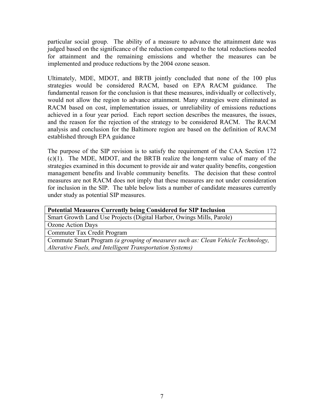particular social group. The ability of a measure to advance the attainment date was judged based on the significance of the reduction compared to the total reductions needed for attainment and the remaining emissions and whether the measures can be implemented and produce reductions by the 2004 ozone season.

Ultimately, MDE, MDOT, and BRTB jointly concluded that none of the 100 plus strategies would be considered RACM, based on EPA RACM guidance. The fundamental reason for the conclusion is that these measures, individually or collectively, would not allow the region to advance attainment. Many strategies were eliminated as RACM based on cost, implementation issues, or unreliability of emissions reductions achieved in a four year period. Each report section describes the measures, the issues, and the reason for the rejection of the strategy to be considered RACM. The RACM analysis and conclusion for the Baltimore region are based on the definition of RACM established through EPA guidance

The purpose of the SIP revision is to satisfy the requirement of the CAA Section 172 (c)(1). The MDE, MDOT, and the BRTB realize the long-term value of many of the strategies examined in this document to provide air and water quality benefits, congestion management benefits and livable community benefits. The decision that these control measures are not RACM does not imply that these measures are not under consideration for inclusion in the SIP. The table below lists a number of candidate measures currently under study as potential SIP measures.

| <b>Potential Measures Currently being Considered for SIP Inclusion</b>           |
|----------------------------------------------------------------------------------|
| Smart Growth Land Use Projects (Digital Harbor, Owings Mills, Parole)            |
| Ozone Action Days                                                                |
| Commuter Tax Credit Program                                                      |
| Commute Smart Program (a grouping of measures such as: Clean Vehicle Technology, |
| Alterative Fuels, and Intelligent Transportation Systems)                        |
|                                                                                  |
|                                                                                  |
|                                                                                  |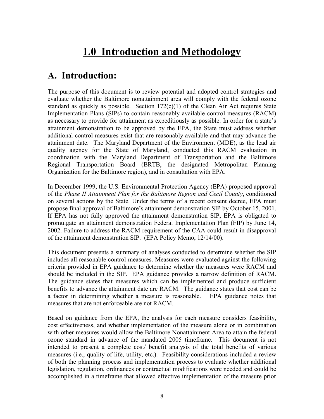## **1.0 Introduction and Methodology**

### <span id="page-7-0"></span>**A. Introduction:**

The purpose of this document is to review potential and adopted control strategies and evaluate whether the Baltimore nonattainment area will comply with the federal ozone standard as quickly as possible. Section  $172(c)(1)$  of the Clean Air Act requires State Implementation Plans (SIPs) to contain reasonably available control measures (RACM) as necessary to provide for attainment as expeditiously as possible. In order for a state's attainment demonstration to be approved by the EPA, the State must address whether additional control measures exist that are reasonably available and that may advance the attainment date. The Maryland Department of the Environment (MDE), as the lead air quality agency for the State of Maryland, conducted this RACM evaluation in coordination with the Maryland Department of Transportation and the Baltimore Regional Transportation Board (BRTB, the designated Metropolitan Planning Organization for the Baltimore region), and in consultation with EPA.

In December 1999, the U.S. Environmental Protection Agency (EPA) proposed approval of the *Phase II Attainment Plan for the Baltimore Region and Cecil County*, conditioned on several actions by the State. Under the terms of a recent consent decree, EPA must propose final approval of Baltimore's attainment demonstration SIP by October 15, 2001. If EPA has not fully approved the attainment demonstration SIP, EPA is obligated to promulgate an attainment demonstration Federal Implementation Plan (FIP) by June 14, 2002. Failure to address the RACM requirement of the CAA could result in disapproval of the attainment demonstration SIP. (EPA Policy Memo, 12/14/00).

This document presents a summary of analyses conducted to determine whether the SIP includes all reasonable control measures. Measures were evaluated against the following criteria provided in EPA guidance to determine whether the measures were RACM and should be included in the SIP. EPA guidance provides a narrow definition of RACM. The guidance states that measures which can be implemented and produce sufficient benefits to advance the attainment date are RACM. The guidance states that cost can be a factor in determining whether a measure is reasonable. EPA guidance notes that measures that are not enforceable are not RACM.

Based on guidance from the EPA, the analysis for each measure considers feasibility, cost effectiveness, and whether implementation of the measure alone or in combination with other measures would allow the Baltimore Nonattainment Area to attain the federal ozone standard in advance of the mandated 2005 timeframe. This document is not intended to present a complete cost/ benefit analysis of the total benefits of various measures (i.e., quality-of-life, utility, etc.). Feasibility considerations included a review of both the planning process and implementation process to evaluate whether additional legislation, regulation, ordinances or contractual modifications were needed and could be accomplished in a timeframe that allowed effective implementation of the measure prior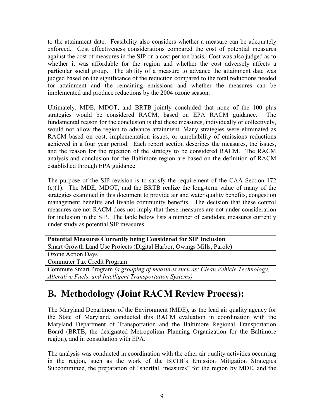<span id="page-8-0"></span>to the attainment date. Feasibility also considers whether a measure can be adequately enforced. Cost effectiveness considerations compared the cost of potential measures against the cost of measures in the SIP on a cost per ton basis. Cost was also judged as to whether it was affordable for the region and whether the cost adversely affects a particular social group. The ability of a measure to advance the attainment date was judged based on the significance of the reduction compared to the total reductions needed for attainment and the remaining emissions and whether the measures can be implemented and produce reductions by the 2004 ozone season.

Ultimately, MDE, MDOT, and BRTB jointly concluded that none of the 100 plus strategies would be considered RACM, based on EPA RACM guidance. The fundamental reason for the conclusion is that these measures, individually or collectively, would not allow the region to advance attainment. Many strategies were eliminated as RACM based on cost, implementation issues, or unreliability of emissions reductions achieved in a four year period. Each report section describes the measures, the issues, and the reason for the rejection of the strategy to be considered RACM. The RACM analysis and conclusion for the Baltimore region are based on the definition of RACM established through EPA guidance

The purpose of the SIP revision is to satisfy the requirement of the CAA Section 172 (c)(1). The MDE, MDOT, and the BRTB realize the long-term value of many of the strategies examined in this document to provide air and water quality benefits, congestion management benefits and livable community benefits. The decision that these control measures are not RACM does not imply that these measures are not under consideration for inclusion in the SIP. The table below lists a number of candidate measures currently under study as potential SIP measures.

| <b>Potential Measures Currently being Considered for SIP Inclusion</b>           |
|----------------------------------------------------------------------------------|
| Smart Growth Land Use Projects (Digital Harbor, Owings Mills, Parole)            |
| Ozone Action Days                                                                |
| Commuter Tax Credit Program                                                      |
| Commute Smart Program (a grouping of measures such as: Clean Vehicle Technology, |
| Alterative Fuels, and Intelligent Transportation Systems)                        |

## **B. Methodology (Joint RACM Review Process):**

The Maryland Department of the Environment (MDE), as the lead air quality agency for the State of Maryland, conducted this RACM evaluation in coordination with the Maryland Department of Transportation and the Baltimore Regional Transportation Board (BRTB, the designated Metropolitan Planning Organization for the Baltimore region), and in consultation with EPA.

The analysis was conducted in coordination with the other air quality activities occurring in the region, such as the work of the BRTB's Emission Mitigation Strategies Subcommittee, the preparation of "shortfall measures" for the region by MDE, and the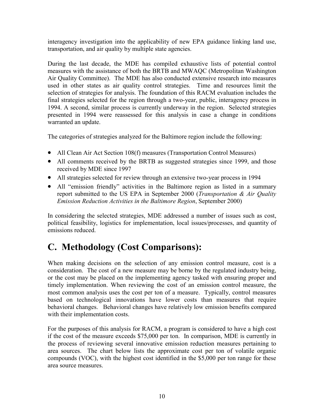<span id="page-9-0"></span>interagency investigation into the applicability of new EPA guidance linking land use, transportation, and air quality by multiple state agencies.

During the last decade, the MDE has compiled exhaustive lists of potential control measures with the assistance of both the BRTB and MWAQC (Metropolitan Washington Air Quality Committee). The MDE has also conducted extensive research into measures used in other states as air quality control strategies. Time and resources limit the selection of strategies for analysis. The foundation of this RACM evaluation includes the final strategies selected for the region through a two-year, public, interagency process in 1994. A second, similar process is currently underway in the region. Selected strategies presented in 1994 were reassessed for this analysis in case a change in conditions warranted an update.

The categories of strategies analyzed for the Baltimore region include the following:

- All Clean Air Act Section 108(f) measures (Transportation Control Measures)
- All comments received by the BRTB as suggested strategies since 1999, and those received by MDE since 1997
- All strategies selected for review through an extensive two-year process in 1994
- All "emission friendly" activities in the Baltimore region as listed in a summary report submitted to the US EPA in September 2000 (*Transportation & Air Quality Emission Reduction Activities in the Baltimore Region*, September 2000)

In considering the selected strategies, MDE addressed a number of issues such as cost, political feasibility, logistics for implementation, local issues/processes, and quantity of emissions reduced.

## **C. Methodology (Cost Comparisons):**

When making decisions on the selection of any emission control measure, cost is a consideration. The cost of a new measure may be borne by the regulated industry being, or the cost may be placed on the implementing agency tasked with ensuring proper and timely implementation. When reviewing the cost of an emission control measure, the most common analysis uses the cost per ton of a measure. Typically, control measures based on technological innovations have lower costs than measures that require behavioral changes. Behavioral changes have relatively low emission benefits compared with their implementation costs.

For the purposes of this analysis for RACM, a program is considered to have a high cost if the cost of the measure exceeds \$75,000 per ton. In comparison, MDE is currently in the process of reviewing several innovative emission reduction measures pertaining to area sources. The chart below lists the approximate cost per ton of volatile organic compounds (VOC), with the highest cost identified in the \$5,000 per ton range for these area source measures.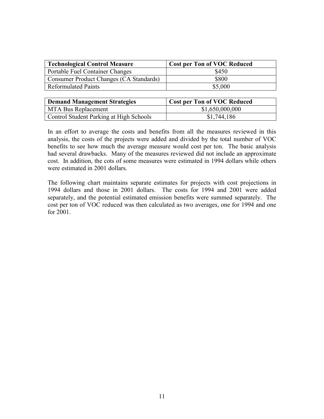| <b>Technological Control Measure</b>    | <b>Cost per Ton of VOC Reduced</b> |
|-----------------------------------------|------------------------------------|
| <b>Portable Fuel Container Changes</b>  | \$450                              |
| Consumer Product Changes (CA Standards) | \$800                              |
| <b>Reformulated Paints</b>              | \$5,000                            |

| <b>Demand Management Strategies</b>     | <b>Cost per Ton of VOC Reduced</b> |
|-----------------------------------------|------------------------------------|
| <b>MTA Bus Replacement</b>              | \$1,650,000,000                    |
| Control Student Parking at High Schools | \$1,744,186                        |

In an effort to average the costs and benefits from all the measures reviewed in this analysis, the costs of the projects were added and divided by the total number of VOC benefits to see how much the average measure would cost per ton. The basic analysis had several drawbacks. Many of the measures reviewed did not include an approximate cost. In addition, the cots of some measures were estimated in 1994 dollars while others were estimated in 2001 dollars.

The following chart maintains separate estimates for projects with cost projections in 1994 dollars and those in 2001 dollars. The costs for 1994 and 2001 were added separately, and the potential estimated emission benefits were summed separately. The cost per ton of VOC reduced was then calculated as two averages, one for 1994 and one for 2001.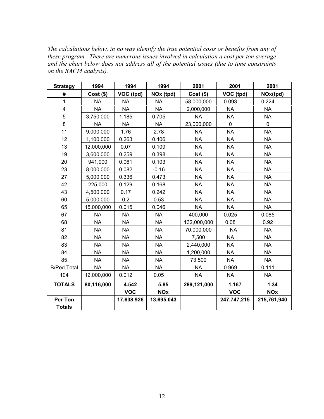*The calculations below, in no way identify the true potential costs or benefits from any of these program. There are numerous issues involved in calculation a cost per ton average and the chart below does not address all of the potential issues (due to time constraints on the RACM analysis).* 

| <b>Strategy</b>         | 1994        | 1994       | 1994       | 2001        | 2001        | 2001        |
|-------------------------|-------------|------------|------------|-------------|-------------|-------------|
| #                       | $Cost($ \$) | VOC (tpd)  | NOx (tpd)  | $Cost($ \$) | VOC (tpd)   | NOx(tpd)    |
| 1                       | <b>NA</b>   | <b>NA</b>  | <b>NA</b>  | 58,000,000  | 0.093       | 0.224       |
| $\overline{\mathbf{4}}$ | <b>NA</b>   | <b>NA</b>  | <b>NA</b>  | 2,000,000   | <b>NA</b>   | <b>NA</b>   |
| 5                       | 3,750,000   | 1.185      | 0.705      | <b>NA</b>   | <b>NA</b>   | <b>NA</b>   |
| 8                       | <b>NA</b>   | <b>NA</b>  | <b>NA</b>  | 23,000,000  | $\pmb{0}$   | $\mathbf 0$ |
| 11                      | 9,000,000   | 1.76       | 2.78       | <b>NA</b>   | <b>NA</b>   | <b>NA</b>   |
| 12                      | 1,100,000   | 0.263      | 0.406      | <b>NA</b>   | <b>NA</b>   | <b>NA</b>   |
| 13                      | 12,000,000  | 0.07       | 0.109      | <b>NA</b>   | <b>NA</b>   | <b>NA</b>   |
| 19                      | 3,600,000   | 0.259      | 0.398      | <b>NA</b>   | <b>NA</b>   | <b>NA</b>   |
| 20                      | 941,000     | 0.061      | 0.103      | <b>NA</b>   | <b>NA</b>   | <b>NA</b>   |
| 23                      | 8,000,000   | 0.082      | $-0.16$    | <b>NA</b>   | <b>NA</b>   | <b>NA</b>   |
| 27                      | 5,000,000   | 0.336      | 0.473      | <b>NA</b>   | <b>NA</b>   | <b>NA</b>   |
| 42                      | 225,000     | 0.129      | 0.168      | <b>NA</b>   | <b>NA</b>   | <b>NA</b>   |
| 43                      | 4,500,000   | 0.17       | 0.242      | <b>NA</b>   | <b>NA</b>   | <b>NA</b>   |
| 60                      | 5,000,000   | 0.2        | 0.53       | <b>NA</b>   | <b>NA</b>   | <b>NA</b>   |
| 65                      | 15,000,000  | 0.015      | 0.046      | <b>NA</b>   | <b>NA</b>   | <b>NA</b>   |
| 67                      | <b>NA</b>   | <b>NA</b>  | <b>NA</b>  | 400,000     | 0.025       | 0.085       |
| 68                      | <b>NA</b>   | <b>NA</b>  | <b>NA</b>  | 132,000,000 | 0.08        | 0.92        |
| 81                      | <b>NA</b>   | <b>NA</b>  | <b>NA</b>  | 70,000,000  | <b>NA</b>   | <b>NA</b>   |
| 82                      | <b>NA</b>   | <b>NA</b>  | <b>NA</b>  | 7,500       | <b>NA</b>   | <b>NA</b>   |
| 83                      | <b>NA</b>   | <b>NA</b>  | <b>NA</b>  | 2,440,000   | <b>NA</b>   | <b>NA</b>   |
| 84                      | <b>NA</b>   | <b>NA</b>  | <b>NA</b>  | 1,200,000   | <b>NA</b>   | <b>NA</b>   |
| 85                      | <b>NA</b>   | <b>NA</b>  | <b>NA</b>  | 73,500      | <b>NA</b>   | <b>NA</b>   |
| <b>B/Ped Total</b>      | <b>NA</b>   | <b>NA</b>  | <b>NA</b>  | <b>NA</b>   | 0.969       | 0.111       |
| 104                     | 12,000,000  | 0.012      | 0.05       | <b>NA</b>   | <b>NA</b>   | <b>NA</b>   |
| <b>TOTALS</b>           | 80,116,000  | 4.542      | 5.85       | 289,121,000 | 1.167       | 1.34        |
|                         |             | <b>VOC</b> | <b>NOx</b> |             | <b>VOC</b>  | <b>NOx</b>  |
| <b>Per Ton</b>          |             | 17,638,926 | 13,695,043 |             | 247,747,215 | 215,761,940 |
| <b>Totals</b>           |             |            |            |             |             |             |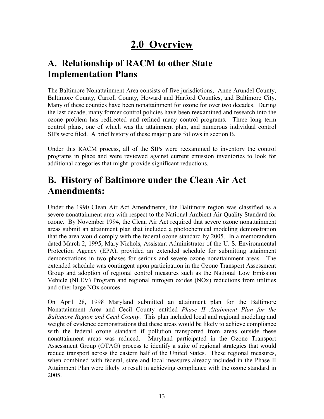## **2.0 Overview**

## <span id="page-12-0"></span>**A. Relationship of RACM to other State Implementation Plans**

The Baltimore Nonattainment Area consists of five jurisdictions, Anne Arundel County, Baltimore County, Carroll County, Howard and Harford Counties, and Baltimore City. Many of these counties have been nonattainment for ozone for over two decades. During the last decade, many former control policies have been reexamined and research into the ozone problem has redirected and refined many control programs. Three long term control plans, one of which was the attainment plan, and numerous individual control SIPs were filed. A brief history of these major plans follows in section B.

Under this RACM process, all of the SIPs were reexamined to inventory the control programs in place and were reviewed against current emission inventories to look for additional categories that might provide significant reductions.

## **B. History of Baltimore under the Clean Air Act Amendments:**

Under the 1990 Clean Air Act Amendments, the Baltimore region was classified as a severe nonattainment area with respect to the National Ambient Air Quality Standard for ozone. By November 1994, the Clean Air Act required that severe ozone nonattainment areas submit an attainment plan that included a photochemical modeling demonstration that the area would comply with the federal ozone standard by 2005. In a memorandum dated March 2, 1995, Mary Nichols, Assistant Administrator of the U. S. Environmental Protection Agency (EPA), provided an extended schedule for submitting attainment demonstrations in two phases for serious and severe ozone nonattainment areas. The extended schedule was contingent upon participation in the Ozone Transport Assessment Group and adoption of regional control measures such as the National Low Emission Vehicle (NLEV) Program and regional nitrogen oxides (NOx) reductions from utilities and other large NOx sources.

On April 28, 1998 Maryland submitted an attainment plan for the Baltimore Nonattainment Area and Cecil County entitled *Phase II Attainment Plan for the Baltimore Region and Cecil County*. This plan included local and regional modeling and weight of evidence demonstrations that these areas would be likely to achieve compliance with the federal ozone standard if pollution transported from areas outside these nonattainment areas was reduced. Maryland participated in the Ozone Transport Assessment Group (OTAG) process to identify a suite of regional strategies that would reduce transport across the eastern half of the United States. These regional measures, when combined with federal, state and local measures already included in the Phase II Attainment Plan were likely to result in achieving compliance with the ozone standard in 2005.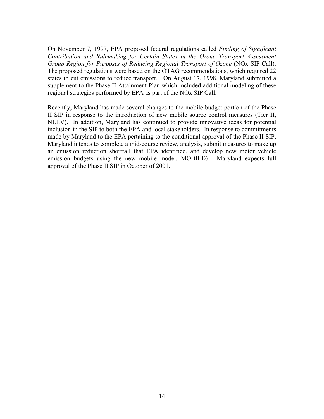On November 7, 1997, EPA proposed federal regulations called *Finding of Significant Contribution and Rulemaking for Certain States in the Ozone Transport Assessment Group Region for Purposes of Reducing Regional Transport of Ozone* (NOx SIP Call). The proposed regulations were based on the OTAG recommendations, which required 22 states to cut emissions to reduce transport. On August 17, 1998, Maryland submitted a supplement to the Phase II Attainment Plan which included additional modeling of these regional strategies performed by EPA as part of the NOx SIP Call.

Recently, Maryland has made several changes to the mobile budget portion of the Phase II SIP in response to the introduction of new mobile source control measures (Tier II, NLEV). In addition, Maryland has continued to provide innovative ideas for potential inclusion in the SIP to both the EPA and local stakeholders. In response to commitments made by Maryland to the EPA pertaining to the conditional approval of the Phase II SIP, Maryland intends to complete a mid-course review, analysis, submit measures to make up an emission reduction shortfall that EPA identified, and develop new motor vehicle emission budgets using the new mobile model, MOBILE6. Maryland expects full approval of the Phase II SIP in October of 2001.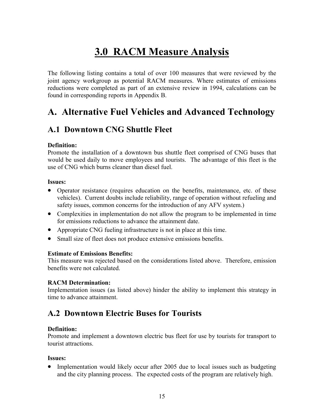## **3.0 RACM Measure Analysis**

<span id="page-14-0"></span>The following listing contains a total of over 100 measures that were reviewed by the joint agency workgroup as potential RACM measures. Where estimates of emissions reductions were completed as part of an extensive review in 1994, calculations can be found in corresponding reports in Appendix B.

### **A. Alternative Fuel Vehicles and Advanced Technology**

### **A.1 Downtown CNG Shuttle Fleet**

#### **Definition:**

Promote the installation of a downtown bus shuttle fleet comprised of CNG buses that would be used daily to move employees and tourists. The advantage of this fleet is the use of CNG which burns cleaner than diesel fuel.

#### **Issues:**

- Operator resistance (requires education on the benefits, maintenance, etc. of these vehicles). Current doubts include reliability, range of operation without refueling and safety issues, common concerns for the introduction of any AFV system.)
- Complexities in implementation do not allow the program to be implemented in time for emissions reductions to advance the attainment date.
- Appropriate CNG fueling infrastructure is not in place at this time.
- Small size of fleet does not produce extensive emissions benefits.

#### **Estimate of Emissions Benefits:**

This measure was rejected based on the considerations listed above. Therefore, emission benefits were not calculated.

#### **RACM Determination:**

Implementation issues (as listed above) hinder the ability to implement this strategy in time to advance attainment.

### **A.2 Downtown Electric Buses for Tourists**

#### **Definition:**

Promote and implement a downtown electric bus fleet for use by tourists for transport to tourist attractions.

#### **Issues:**

• Implementation would likely occur after 2005 due to local issues such as budgeting and the city planning process. The expected costs of the program are relatively high.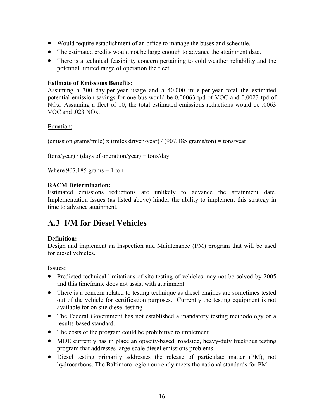- <span id="page-15-0"></span>• Would require establishment of an office to manage the buses and schedule.
- The estimated credits would not be large enough to advance the attainment date.
- There is a technical feasibility concern pertaining to cold weather reliability and the potential limited range of operation the fleet.

### **Estimate of Emissions Benefits:**

Assuming a 300 day-per-year usage and a 40,000 mile-per-year total the estimated potential emission savings for one bus would be 0.00063 tpd of VOC and 0.0023 tpd of NOx. Assuming a fleet of 10, the total estimated emissions reductions would be .0063 VOC and .023 NOx.

### Equation:

(emission grams/mile) x (miles driven/year) / (907,185 grams/ton) = tons/year

 $(tons/year) / (days of operation/year) = tons/day$ 

Where  $907,185$  grams = 1 ton

### **RACM Determination:**

Estimated emissions reductions are unlikely to advance the attainment date. Implementation issues (as listed above) hinder the ability to implement this strategy in time to advance attainment.

### **A.3 I/M for Diesel Vehicles**

### **Definition:**

Design and implement an Inspection and Maintenance (I/M) program that will be used for diesel vehicles.

### **Issues:**

- Predicted technical limitations of site testing of vehicles may not be solved by 2005 and this timeframe does not assist with attainment.
- There is a concern related to testing technique as diesel engines are sometimes tested out of the vehicle for certification purposes. Currently the testing equipment is not available for on site diesel testing.
- The Federal Government has not established a mandatory testing methodology or a results-based standard.
- The costs of the program could be prohibitive to implement.
- MDE currently has in place an opacity-based, roadside, heavy-duty truck/bus testing program that addresses large-scale diesel emissions problems.
- Diesel testing primarily addresses the release of particulate matter (PM), not hydrocarbons. The Baltimore region currently meets the national standards for PM.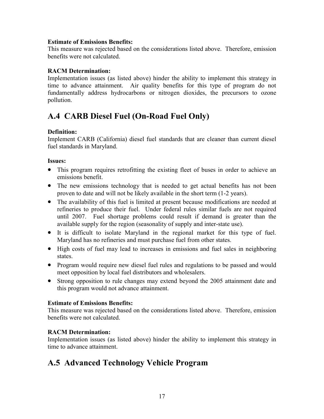#### <span id="page-16-0"></span>**Estimate of Emissions Benefits:**

This measure was rejected based on the considerations listed above. Therefore, emission benefits were not calculated.

#### **RACM Determination:**

Implementation issues (as listed above) hinder the ability to implement this strategy in time to advance attainment. Air quality benefits for this type of program do not fundamentally address hydrocarbons or nitrogen dioxides, the precursors to ozone pollution.

### **A.4 CARB Diesel Fuel (On-Road Fuel Only)**

#### **Definition:**

Implement CARB (California) diesel fuel standards that are cleaner than current diesel fuel standards in Maryland.

#### **Issues:**

- This program requires retrofitting the existing fleet of buses in order to achieve an emissions benefit.
- The new emissions technology that is needed to get actual benefits has not been proven to date and will not be likely available in the short term (1-2 years).
- The availability of this fuel is limited at present because modifications are needed at refineries to produce their fuel. Under federal rules similar fuels are not required until 2007. Fuel shortage problems could result if demand is greater than the available supply for the region (seasonality of supply and inter-state use).
- It is difficult to isolate Maryland in the regional market for this type of fuel. Maryland has no refineries and must purchase fuel from other states.
- High costs of fuel may lead to increases in emissions and fuel sales in neighboring states.
- Program would require new diesel fuel rules and regulations to be passed and would meet opposition by local fuel distributors and wholesalers.
- Strong opposition to rule changes may extend beyond the 2005 attainment date and this program would not advance attainment.

### **Estimate of Emissions Benefits:**

This measure was rejected based on the considerations listed above. Therefore, emission benefits were not calculated.

### **RACM Determination:**

Implementation issues (as listed above) hinder the ability to implement this strategy in time to advance attainment.

### **A.5 Advanced Technology Vehicle Program**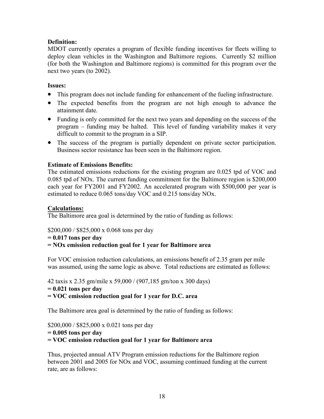### **Definition:**

MDOT currently operates a program of flexible funding incentives for fleets willing to deploy clean vehicles in the Washington and Baltimore regions. Currently \$2 million (for both the Washington and Baltimore regions) is committed for this program over the next two years (to 2002).

### **Issues:**

- This program does not include funding for enhancement of the fueling infrastructure.
- The expected benefits from the program are not high enough to advance the attainment date.
- Funding is only committed for the next two years and depending on the success of the program – funding may be halted. This level of funding variability makes it very difficult to commit to the program in a SIP.
- The success of the program is partially dependent on private sector participation. Business sector resistance has been seen in the Baltimore region.

### **Estimate of Emissions Benefits:**

The estimated emissions reductions for the existing program are 0.025 tpd of VOC and 0.085 tpd of NOx. The current funding commitment for the Baltimore region is \$200,000 each year for FY2001 and FY2002. An accelerated program with \$500,000 per year is estimated to reduce 0.065 tons/day VOC and 0.215 tons/day NOx.

### **Calculations:**

The Baltimore area goal is determined by the ratio of funding as follows:

\$200,000 / \$825,000 x 0.068 tons per day

```
= 0.017 tons per day
```
### **= NOx emission reduction goal for 1 year for Baltimore area**

For VOC emission reduction calculations, an emissions benefit of 2.35 gram per mile was assumed, using the same logic as above. Total reductions are estimated as follows:

42 taxis x 2.35 gm/mile x 59,000 / (907,185 gm/ton x 300 days)

```
= 0.021 tons per day
```
**= VOC emission reduction goal for 1 year for D.C. area**

The Baltimore area goal is determined by the ratio of funding as follows:

\$200,000 / \$825,000 x 0.021 tons per day

```
= 0.005 tons per day
```
**= VOC emission reduction goal for 1 year for Baltimore area**

Thus, projected annual ATV Program emission reductions for the Baltimore region between 2001 and 2005 for NOx and VOC, assuming continued funding at the current rate, are as follows: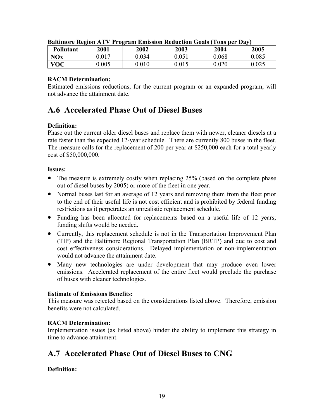| <b>Pollutant</b> | 2001  | 2002      | 2003  | 2004  | 2005  |
|------------------|-------|-----------|-------|-------|-------|
| NOx              | .017  | J.034     | 0.051 | 0.068 | 0.085 |
| <b>VOC</b>       | 0.005 | $0.010\,$ | 0.015 | 0.020 | 0.025 |

<span id="page-18-0"></span>

| <b>Baltimore Region ATV Program Emission Reduction Goals (Tons per Day)</b> |  |  |  |  |
|-----------------------------------------------------------------------------|--|--|--|--|
|                                                                             |  |  |  |  |

### **RACM Determination:**

Estimated emissions reductions, for the current program or an expanded program, will not advance the attainment date.

### **A.6 Accelerated Phase Out of Diesel Buses**

### **Definition:**

Phase out the current older diesel buses and replace them with newer, cleaner diesels at a rate faster than the expected 12-year schedule. There are currently 800 buses in the fleet. The measure calls for the replacement of 200 per year at \$250,000 each for a total yearly cost of \$50,000,000.

### **Issues:**

- The measure is extremely costly when replacing 25% (based on the complete phase out of diesel buses by 2005) or more of the fleet in one year.
- Normal buses last for an average of 12 years and removing them from the fleet prior to the end of their useful life is not cost efficient and is prohibited by federal funding restrictions as it perpetrates an unrealistic replacement schedule.
- Funding has been allocated for replacements based on a useful life of 12 years; funding shifts would be needed.
- Currently, this replacement schedule is not in the Transportation Improvement Plan (TIP) and the Baltimore Regional Transportation Plan (BRTP) and due to cost and cost effectiveness considerations. Delayed implementation or non-implementation would not advance the attainment date.
- Many new technologies are under development that may produce even lower emissions. Accelerated replacement of the entire fleet would preclude the purchase of buses with cleaner technologies.

### **Estimate of Emissions Benefits:**

This measure was rejected based on the considerations listed above. Therefore, emission benefits were not calculated.

### **RACM Determination:**

Implementation issues (as listed above) hinder the ability to implement this strategy in time to advance attainment.

### **A.7 Accelerated Phase Out of Diesel Buses to CNG**

### **Definition:**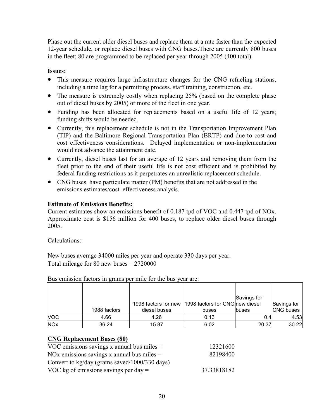Phase out the current older diesel buses and replace them at a rate faster than the expected 12-year schedule, or replace diesel buses with CNG buses.There are currently 800 buses in the fleet; 80 are programmed to be replaced per year through 2005 (400 total).

### **Issues:**

- This measure requires large infrastructure changes for the CNG refueling stations, including a time lag for a permitting process, staff training, construction, etc.
- The measure is extremely costly when replacing 25% (based on the complete phase out of diesel buses by 2005) or more of the fleet in one year.
- Funding has been allocated for replacements based on a useful life of 12 years; funding shifts would be needed.
- Currently, this replacement schedule is not in the Transportation Improvement Plan (TIP) and the Baltimore Regional Transportation Plan (BRTP) and due to cost and cost effectiveness considerations. Delayed implementation or non-implementation would not advance the attainment date.
- Currently, diesel buses last for an average of 12 years and removing them from the fleet prior to the end of their useful life is not cost efficient and is prohibited by federal funding restrictions as it perpetrates an unrealistic replacement schedule.
- CNG buses have particulate matter (PM) benefits that are not addressed in the emissions estimates/cost effectiveness analysis.

### **Estimate of Emissions Benefits:**

Current estimates show an emissions benefit of 0.187 tpd of VOC and 0.447 tpd of NOx. Approximate cost is \$156 million for 400 buses, to replace older diesel buses through 2005.

Calculations:

New buses average 34000 miles per year and operate 330 days per year. Total mileage for 80 new buses  $= 2720000$ 

|            |              |                      |                                 | Savings for  |                  |
|------------|--------------|----------------------|---------------------------------|--------------|------------------|
|            |              | 1998 factors for new | 1998 factors for CNG new diesel |              | Savings for      |
|            | 1988 factors | diesel buses         | buses                           | <b>buses</b> | <b>CNG</b> buses |
| <b>VOC</b> | 4.66         | 4.26                 | 0.13                            | 0.4          | 4.53             |
| <b>NOx</b> | 36.24        | 15.87                | 6.02                            | 20.37        | 30.22            |

Bus emission factors in grams per mile for the bus year are:

### **CNG Replacement Buses (80)**

| VOC emissions savings x annual bus miles $=$  | 12321600    |
|-----------------------------------------------|-------------|
| NOx emissions savings x annual bus miles $=$  | 82198400    |
| Convert to kg/day (grams saved/1000/330 days) |             |
| VOC kg of emissions savings per day $=$       | 37.33818182 |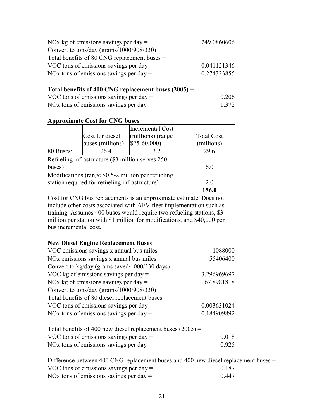| NOx kg of emissions savings per day $=$        | 249.0860606 |
|------------------------------------------------|-------------|
| Convert to tons/day (grams/ $1000/908/330$ )   |             |
| Total benefits of 80 CNG replacement buses $=$ |             |
| VOC tons of emissions savings per day $=$      | 0.041121346 |
| NOx tons of emissions savings per day $=$      | 0.274323855 |

#### **Total benefits of 400 CNG replacement buses (2005) =**

| VOC tons of emissions savings per day $=$ | 0.206 |
|-------------------------------------------|-------|
| NOx tons of emissions savings per day $=$ | 1.372 |

#### **Approximate Cost for CNG buses**

|                                                    |                  | Incremental Cost  |                   |
|----------------------------------------------------|------------------|-------------------|-------------------|
|                                                    | Cost for diesel  | (millions) (range | <b>Total Cost</b> |
|                                                    | buses (millions) | $$25-60,000$      | (millions)        |
| 80 Buses:                                          | 26.4             | 32                | 29.6              |
| Refueling infrastructure (\$3 million serves 250)  |                  |                   |                   |
| buses)                                             |                  |                   | 6.0               |
| Modifications (range \$0.5-2 million per refueling |                  |                   |                   |
| station required for refueling infrastructure)     |                  | 2.0               |                   |
|                                                    |                  |                   | 156.0             |

Cost for CNG bus replacements is an approximate estimate. Does not include other costs associated with AFV fleet implementation such as training. Assumes 400 buses would require two refueling stations, \$3 million per station with \$1 million for modifications, and \$40,000 per bus incremental cost.

### **New Diesel Engine Replacement Buses**

| VOC emissions savings x annual bus miles $=$      | 1088000     |
|---------------------------------------------------|-------------|
| NOx emissions savings x annual bus miles $=$      | 55406400    |
| Convert to kg/day (grams saved/1000/330 days)     |             |
| VOC kg of emissions savings per day $=$           | 3.296969697 |
| NOx kg of emissions savings per day $=$           | 167.8981818 |
| Convert to tons/day (grams/1000/908/330)          |             |
| Total benefits of 80 diesel replacement buses $=$ |             |
| VOC tons of emissions savings per day $=$         | 0.003631024 |
| NOx tons of emissions savings per day $=$         | 0.184909892 |
|                                                   |             |

| Total benefits of 400 new diesel replacement buses $(2005)$ = |       |
|---------------------------------------------------------------|-------|
| VOC tons of emissions savings per day $=$                     | 0.018 |
| NOx tons of emissions savings per day $=$                     | 0.925 |

| Difference between 400 CNG replacement buses and 400 new diesel replacement buses $=$ |       |
|---------------------------------------------------------------------------------------|-------|
| VOC tons of emissions savings per day $=$                                             | 0.187 |
| NOx tons of emissions savings per day $=$                                             | 0.447 |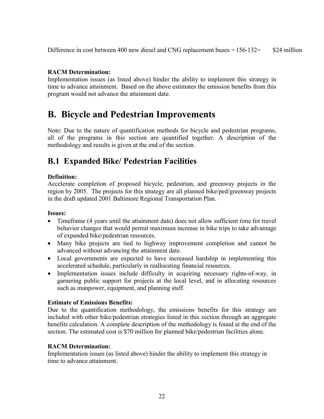<span id="page-21-0"></span>Difference in cost between 400 new diesel and CNG replacement buses = 156-132= \$24 million

### **RACM Determination:**

Implementation issues (as listed above) hinder the ability to implement this strategy in time to advance attainment. Based on the above estimates the emission benefits from this program would not advance the attainment date.

### **B. Bicycle and Pedestrian Improvements**

Note: Due to the nature of quantification methods for bicycle and pedestrian programs, all of the programs in this section are quantified together. A description of the methodology and results is given at the end of the section.

### **B.1 Expanded Bike/ Pedestrian Facilities**

### **Definition:**

Accelerate completion of proposed bicycle, pedestrian, and greenway projects in the region by 2005. The projects for this strategy are all planned bike/ped/greenway projects in the draft updated 2001 Baltimore Regional Transportation Plan.

### **Issues:**

- Timeframe (4 years until the attainment date) does not allow sufficient time for travel behavior changes that would permit maximum increase in bike trips to take advantage of expanded bike/pedestrian resources.
- Many bike projects are tied to highway improvement completion and cannot be advanced without advancing the attainment date.
- Local governments are expected to have increased hardship in implementing this accelerated schedule, particularly in reallocating financial resources.
- Implementation issues include difficulty in acquiring necessary rights-of-way, in garnering public support for projects at the local level, and in allocating resources such as manpower, equipment, and planning staff.

### **Estimate of Emissions Benefits:**

Due to the quantification methodology, the emissions benefits for this strategy are included with other bike/pedestrian strategies listed in this section through an aggregate benefits calculation. A complete description of the methodology is found at the end of the section. The estimated cost is \$70 million for planned bike/pedestrian facilities alone.

### **RACM Determination:**

Implementation issues (as listed above) hinder the ability to implement this strategy in time to advance attainment.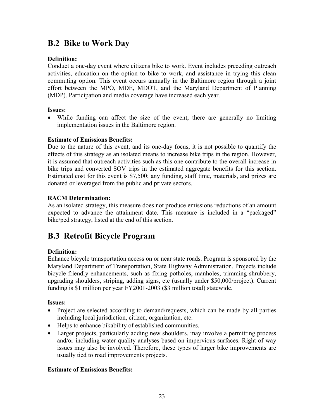### <span id="page-22-0"></span>**B.2 Bike to Work Day**

### **Definition:**

Conduct a one-day event where citizens bike to work. Event includes preceding outreach activities, education on the option to bike to work, and assistance in trying this clean commuting option. This event occurs annually in the Baltimore region through a joint effort between the MPO, MDE, MDOT, and the Maryland Department of Planning (MDP). Participation and media coverage have increased each year.

### **Issues:**

• While funding can affect the size of the event, there are generally no limiting implementation issues in the Baltimore region.

### **Estimate of Emissions Benefits:**

Due to the nature of this event, and its one-day focus, it is not possible to quantify the effects of this strategy as an isolated means to increase bike trips in the region. However, it is assumed that outreach activities such as this one contribute to the overall increase in bike trips and converted SOV trips in the estimated aggregate benefits for this section. Estimated cost for this event is \$7,500; any funding, staff time, materials, and prizes are donated or leveraged from the public and private sectors.

### **RACM Determination:**

As an isolated strategy, this measure does not produce emissions reductions of an amount expected to advance the attainment date. This measure is included in a "packaged" bike/ped strategy, listed at the end of this section.

### **B.3 Retrofit Bicycle Program**

### **Definition:**

Enhance bicycle transportation access on or near state roads. Program is sponsored by the Maryland Department of Transportation, State Highway Administration. Projects include bicycle-friendly enhancements, such as fixing potholes, manholes, trimming shrubbery, upgrading shoulders, striping, adding signs, etc (usually under \$50,000/project). Current funding is \$1 million per year FY2001-2003 (\$3 million total) statewide.

### **Issues:**

- Project are selected according to demand/requests, which can be made by all parties including local jurisdiction, citizen, organization, etc.
- Helps to enhance bikability of established communities.
- Larger projects, particularly adding new shoulders, may involve a permitting process and/or including water quality analyses based on impervious surfaces. Right-of-way issues may also be involved. Therefore, these types of larger bike improvements are usually tied to road improvements projects.

### **Estimate of Emissions Benefits:**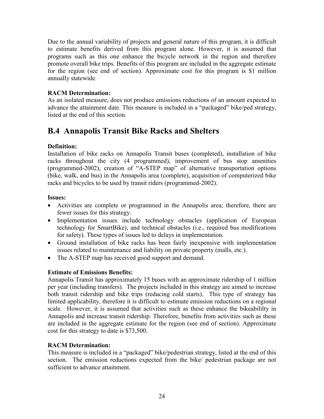<span id="page-23-0"></span>Due to the annual variability of projects and general nature of this program, it is difficult to estimate benefits derived from this program alone. However, it is assumed that programs such as this one enhance the bicycle network in the region and therefore promote overall bike trips. Benefits of this program are included in the aggregate estimate for the region (see end of section). Approximate cost for this program is \$1 million annually statewide.

### **RACM Determination:**

As an isolated measure, does not produce emissions reductions of an amount expected to advance the attainment date. This measure is included in a "packaged" bike/ped strategy, listed at the end of this section.

### **B.4 Annapolis Transit Bike Racks and Shelters**

### **Definition:**

Installation of bike racks on Annapolis Transit buses (completed), installation of bike racks throughout the city (4 programmed), improvement of bus stop amenities (programmed-2002), creation of "A-STEP map" of alternative transportation options (bike, walk, and bus) in the Annapolis area (complete), acquisition of computerized bike racks and bicycles to be used by transit riders (programmed-2002).

### **Issues:**

- Activities are complete or programmed in the Annapolis area; therefore, there are fewer issues for this strategy.
- Implementation issues include technology obstacles (application of European technology for SmartBike), and technical obstacles (i.e., required bus modifications for safety). These types of issues led to delays in implementation.
- Ground installation of bike racks has been fairly inexpensive with implementation issues related to maintenance and liability on private property (malls, etc.).
- The A-STEP map has received good support and demand.

### **Estimate of Emissions Benefits:**

Annapolis Transit has approximately 15 buses with an approximate ridership of 1 million per year (including transfers). The projects included in this strategy are aimed to increase both transit ridership and bike trips (reducing cold starts). This type of strategy has limited applicability, therefore it is difficult to estimate emission reductions on a regional scale. However, it is assumed that activities such as these enhance the bikeabililty in Annapolis and increase transit ridership. Therefore, benefits from activities such as these are included in the aggregate estimate for the region (see end of section). Approximate cost for this strategy to date is \$73,500.

### **RACM Determination:**

This measure is included in a "packaged" bike/pedestrian strategy, listed at the end of this section. The emission reductions expected from the bike/ pedestrian package are not sufficient to advance attainment.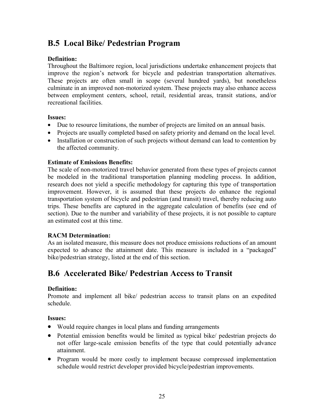### <span id="page-24-0"></span>**B.5 Local Bike/ Pedestrian Program**

### **Definition:**

Throughout the Baltimore region, local jurisdictions undertake enhancement projects that improve the region's network for bicycle and pedestrian transportation alternatives. These projects are often small in scope (several hundred yards), but nonetheless culminate in an improved non-motorized system. These projects may also enhance access between employment centers, school, retail, residential areas, transit stations, and/or recreational facilities.

#### **Issues:**

- Due to resource limitations, the number of projects are limited on an annual basis.
- Projects are usually completed based on safety priority and demand on the local level.
- Installation or construction of such projects without demand can lead to contention by the affected community.

### **Estimate of Emissions Benefits:**

The scale of non-motorized travel behavior generated from these types of projects cannot be modeled in the traditional transportation planning modeling process. In addition, research does not yield a specific methodology for capturing this type of transportation improvement. However, it is assumed that these projects do enhance the regional transportation system of bicycle and pedestrian (and transit) travel, thereby reducing auto trips. These benefits are captured in the aggregate calculation of benefits (see end of section). Due to the number and variability of these projects, it is not possible to capture an estimated cost at this time.

### **RACM Determination:**

As an isolated measure, this measure does not produce emissions reductions of an amount expected to advance the attainment date. This measure is included in a "packaged" bike/pedestrian strategy, listed at the end of this section.

### **B.6 Accelerated Bike/ Pedestrian Access to Transit**

### **Definition:**

Promote and implement all bike/ pedestrian access to transit plans on an expedited schedule.

### **Issues:**

- Would require changes in local plans and funding arrangements
- Potential emission benefits would be limited as typical bike/ pedestrian projects do not offer large-scale emission benefits of the type that could potentially advance attainment.
- Program would be more costly to implement because compressed implementation schedule would restrict developer provided bicycle/pedestrian improvements.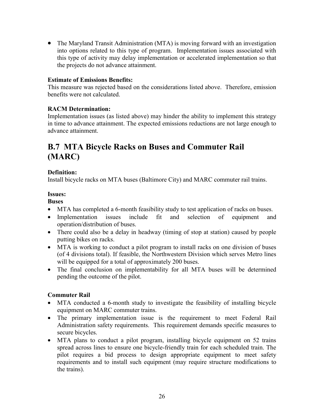<span id="page-25-0"></span>• The Maryland Transit Administration (MTA) is moving forward with an investigation into options related to this type of program. Implementation issues associated with this type of activity may delay implementation or accelerated implementation so that the projects do not advance attainment.

#### **Estimate of Emissions Benefits:**

This measure was rejected based on the considerations listed above. Therefore, emission benefits were not calculated.

#### **RACM Determination:**

Implementation issues (as listed above) may hinder the ability to implement this strategy in time to advance attainment. The expected emissions reductions are not large enough to advance attainment.

### **B.7 MTA Bicycle Racks on Buses and Commuter Rail (MARC)**

#### **Definition:**

Install bicycle racks on MTA buses (Baltimore City) and MARC commuter rail trains.

#### **Issues:**

**Buses** 

- MTA has completed a 6-month feasibility study to test application of racks on buses.
- Implementation issues include fit and selection of equipment and operation/distribution of buses.
- There could also be a delay in headway (timing of stop at station) caused by people putting bikes on racks.
- MTA is working to conduct a pilot program to install racks on one division of buses (of 4 divisions total). If feasible, the Northwestern Division which serves Metro lines will be equipped for a total of approximately 200 buses.
- The final conclusion on implementability for all MTA buses will be determined pending the outcome of the pilot.

### **Commuter Rail**

- MTA conducted a 6-month study to investigate the feasibility of installing bicycle equipment on MARC commuter trains.
- The primary implementation issue is the requirement to meet Federal Rail Administration safety requirements. This requirement demands specific measures to secure bicycles.
- MTA plans to conduct a pilot program, installing bicycle equipment on 52 trains spread across lines to ensure one bicycle-friendly train for each scheduled train. The pilot requires a bid process to design appropriate equipment to meet safety requirements and to install such equipment (may require structure modifications to the trains).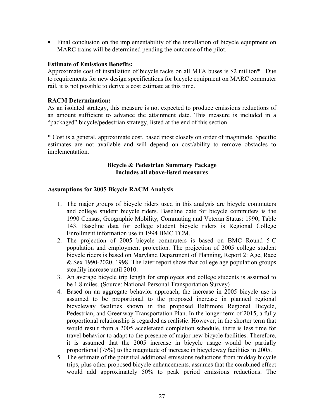• Final conclusion on the implementability of the installation of bicycle equipment on MARC trains will be determined pending the outcome of the pilot.

#### **Estimate of Emissions Benefits:**

Approximate cost of installation of bicycle racks on all MTA buses is \$2 million\*. Due to requirements for new design specifications for bicycle equipment on MARC commuter rail, it is not possible to derive a cost estimate at this time.

#### **RACM Determination:**

As an isolated strategy, this measure is not expected to produce emissions reductions of an amount sufficient to advance the attainment date. This measure is included in a "packaged" bicycle/pedestrian strategy, listed at the end of this section.

\* Cost is a general, approximate cost, based most closely on order of magnitude. Specific estimates are not available and will depend on cost/ability to remove obstacles to implementation.

#### **Bicycle & Pedestrian Summary Package Includes all above-listed measures**

#### **Assumptions for 2005 Bicycle RACM Analysis**

- 1. The major groups of bicycle riders used in this analysis are bicycle commuters and college student bicycle riders. Baseline date for bicycle commuters is the 1990 Census, Geographic Mobility, Commuting and Veteran Status: 1990, Table 143. Baseline data for college student bicycle riders is Regional College Enrollment information use in 1994 BMC TCM.
- 2. The projection of 2005 bicycle commuters is based on BMC Round 5-C population and employment projection. The projection of 2005 college student bicycle riders is based on Maryland Department of Planning, Report 2: Age, Race & Sex 1990-2020, 1998. The later report show that college age population groups steadily increase until 2010.
- 3. An average bicycle trip length for employees and college students is assumed to be 1.8 miles. (Source: National Personal Transportation Survey)
- 4. Based on an aggregate behavior approach, the increase in 2005 bicycle use is assumed to be proportional to the proposed increase in planned regional bicycleway facilities shown in the proposed Baltimore Regional Bicycle, Pedestrian, and Greenway Transportation Plan. In the longer term of 2015, a fully proportional relationship is regarded as realistic. However, in the shorter term that would result from a 2005 accelerated completion schedule, there is less time for travel behavior to adapt to the presence of major new bicycle facilities. Therefore, it is assumed that the 2005 increase in bicycle usage would be partially proportional (75%) to the magnitude of increase in bicycleway facilities in 2005.
- 5. The estimate of the potential additional emissions reductions from midday bicycle trips, plus other proposed bicycle enhancements, assumes that the combined effect would add approximately 50% to peak period emissions reductions. The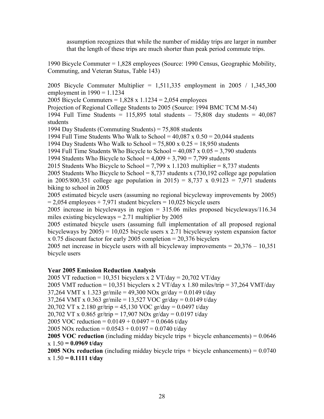assumption recognizes that while the number of midday trips are larger in number that the length of these trips are much shorter than peak period commute trips.

1990 Bicycle Commuter = 1,828 employees (Source: 1990 Census, Geographic Mobility, Commuting, and Veteran Status, Table 143)

2005 Bicycle Commuter Multiplier = 1,511,335 employment in 2005 / 1,345,300 employment in  $1990 = 1.1234$ 

2005 Bicycle Commuters =  $1,828 \times 1.1234 = 2,054$  employees

Projection of Regional College Students to 2005 (Source: 1994 BMC TCM M-54)

1994 Full Time Students =  $115,895$  total students –  $75,808$  day students =  $40,087$ students

1994 Day Students (Commuting Students) = 75,808 students

1994 Full Time Students Who Walk to School =  $40,087 \times 0.50 = 20,044$  students

1994 Day Students Who Walk to School =  $75,800 \times 0.25 = 18,950$  students

1994 Full Time Students Who Bicycle to School =  $40,087 \times 0.05 = 3,790$  students

1994 Students Who Bicycle to School =  $4,009 + 3,790 = 7,799$  students

2015 Students Who Bicycle to School = 7,799 x 1.1203 multiplier = 8,737 students

2005 Students Who Bicycle to School =  $8,737$  students x (730,192 college age population in 2005/800,351 college age population in 2015) = 8,737 x 0.9123 = 7,971 students biking to school in 2005

2005 estimated bicycle users (assuming no regional bicycleway improvements by 2005)  $= 2,054$  employees  $+ 7,971$  student bicyclers  $= 10,025$  bicycle users

2005 increase in bicycleways in region = 315.06 miles proposed bicycleways/116.34 miles existing bicycleways  $= 2.71$  multiplier by 2005

2005 estimated bicycle users (assuming full implementation of all proposed regional bicycleways by 2005) = 10,025 bicycle users x 2.71 bicycleway system expansion factor x 0.75 discount factor for early 2005 completion = 20,376 bicyclers

2005 net increase in bicycle users with all bicycleway improvements = 20,376 – 10,351 bicycle users

### **Year 2005 Emission Reduction Analysis**

2005 VT reduction = 10,351 bicyclers x 2 VT/day =  $20,702$  VT/day

2005 VMT reduction = 10,351 bicyclers x 2 VT/day x 1.80 miles/trip = 37,264 VMT/day

37,264 VMT x 1.323 gr/mile = 49,300 NOx gr/day = 0.0149 t/day

37,264 VMT x 0.363 gr/mile = 13,527 VOC gr/day = 0.0149 t/day

20,702 VT x 2.180 gr/trip = 45,130 VOC gr/day = 0.0497 t/day

20,702 VT x 0.865 gr/trip = 17,907 NOx gr/day = 0.0197 t/day

2005 VOC reduction =  $0.0149 + 0.0497 = 0.0646$  t/day

2005 NOx reduction =  $0.0543 + 0.0197 = 0.0740$  t/day

**2005 VOC reduction** (including midday bicycle trips + bicycle enhancements) = 0.0646 x 1.50 **= 0.0969 t/day**

**2005 NOx reduction** (including midday bicycle trips + bicycle enhancements) = 0.0740 x 1.50 **= 0.1111 t/day**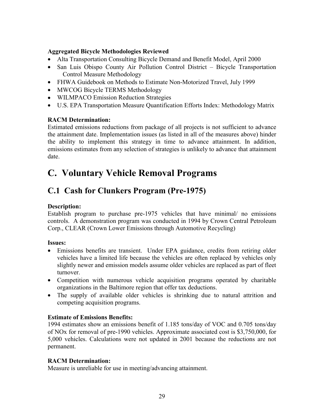### <span id="page-28-0"></span>**Aggregated Bicycle Methodologies Reviewed**

- Alta Transportation Consulting Bicycle Demand and Benefit Model, April 2000
- San Luis Obispo County Air Pollution Control District Bicycle Transportation Control Measure Methodology
- FHWA Guidebook on Methods to Estimate Non-Motorized Travel, July 1999
- MWCOG Bicycle TERMS Methodology
- WILMPACO Emission Reduction Strategies
- U.S. EPA Transportation Measure Quantification Efforts Index: Methodology Matrix

### **RACM Determination:**

Estimated emissions reductions from package of all projects is not sufficient to advance the attainment date. Implementation issues (as listed in all of the measures above) hinder the ability to implement this strategy in time to advance attainment. In addition, emissions estimates from any selection of strategies is unlikely to advance that attainment date.

## **C. Voluntary Vehicle Removal Programs**

### **C.1 Cash for Clunkers Program (Pre-1975)**

### **Description:**

Establish program to purchase pre-1975 vehicles that have minimal/ no emissions controls. A demonstration program was conducted in 1994 by Crown Central Petroleum Corp., CLEAR (Crown Lower Emissions through Automotive Recycling)

### **Issues:**

- Emissions benefits are transient. Under EPA guidance, credits from retiring older vehicles have a limited life because the vehicles are often replaced by vehicles only slightly newer and emission models assume older vehicles are replaced as part of fleet turnover.
- Competition with numerous vehicle acquisition programs operated by charitable organizations in the Baltimore region that offer tax deductions.
- The supply of available older vehicles is shrinking due to natural attrition and competing acquisition programs.

### **Estimate of Emissions Benefits:**

1994 estimates show an emissions benefit of 1.185 tons/day of VOC and 0.705 tons/day of NOx for removal of pre-1990 vehicles. Approximate associated cost is \$3,750,000, for 5,000 vehicles. Calculations were not updated in 2001 because the reductions are not permanent.

### **RACM Determination:**

Measure is unreliable for use in meeting/advancing attainment.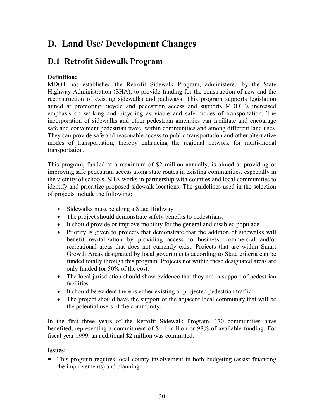## <span id="page-29-0"></span>**D. Land Use/ Development Changes**

### **D.1 Retrofit Sidewalk Program**

### **Definition:**

MDOT has established the Retrofit Sidewalk Program, administered by the State Highway Administration (SHA), to provide funding for the construction of new and the reconstruction of existing sidewalks and pathways. This program supports legislation aimed at promoting bicycle and pedestrian access and supports MDOT's increased emphasis on walking and bicycling as viable and safe modes of transportation. The incorporation of sidewalks and other pedestrian amenities can facilitate and encourage safe and convenient pedestrian travel within communities and among different land uses. They can provide safe and reasonable access to public transportation and other alternative modes of transportation, thereby enhancing the regional network for multi-modal transportation.

This program, funded at a maximum of \$2 million annually, is aimed at providing or improving safe pedestrian access along state routes in existing communities, especially in the vicinity of schools. SHA works in partnership with counties and local communities to identify and prioritize proposed sidewalk locations. The guidelines used in the selection of projects include the following:

- Sidewalks must be along a State Highway
- The project should demonstrate safety benefits to pedestrians.
- It should provide or improve mobility for the general and disabled populace.
- Priority is given to projects that demonstrate that the addition of sidewalks will benefit revitalization by providing access to business, commercial and/or recreational areas that does not currently exist. Projects that are within Smart Growth Areas designated by local governments according to State criteria can be funded totally through this program. Projects not within these designated areas are only funded for 50% of the cost.
- The local jurisdiction should show evidence that they are in support of pedestrian facilities.
- It should be evident there is either existing or projected pedestrian traffic.
- The project should have the support of the adjacent local community that will be the potential users of the community.

In the first three years of the Retrofit Sidewalk Program, 170 communities have benefited, representing a commitment of \$4.1 million or 98% of available funding. For fiscal year 1999, an additional \$2 million was committed.

### **Issues:**

• This program requires local county involvement in both budgeting (assist financing the improvements) and planning.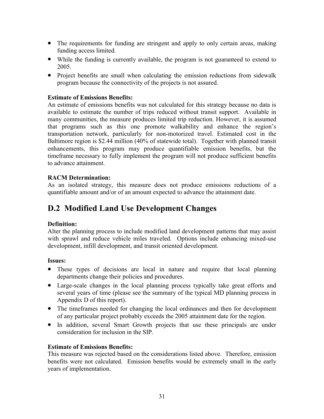- <span id="page-30-0"></span>• The requirements for funding are stringent and apply to only certain areas, making funding access limited.
- While the funding is currently available, the program is not guaranteed to extend to 2005.
- Project benefits are small when calculating the emission reductions from sidewalk program because the connectivity of the projects is not assured.

#### **Estimate of Emissions Benefits:**

An estimate of emissions benefits was not calculated for this strategy because no data is available to estimate the number of trips reduced without transit support. Available in many communities, the measure produces limited trip reduction. However, it is assumed that programs such as this one promote walkability and enhance the region's transportation network, particularly for non-motorized travel. Estimated cost in the Baltimore region is \$2.44 million (40% of statewide total). Together with planned transit enhancements, this program may produce quantifiable emission benefits, but the timeframe necessary to fully implement the program will not produce sufficient benefits to advance attainment.

### **RACM Determination:**

As an isolated strategy, this measure does not produce emissions reductions of a quantifiable amount and/or of an amount expected to advance the attainment date.

### **D.2 Modified Land Use Development Changes**

#### **Definition:**

Alter the planning process to include modified land development patterns that may assist with sprawl and reduce vehicle miles traveled. Options include enhancing mixed-use development, infill development, and transit oriented development.

#### **Issues:**

- These types of decisions are local in nature and require that local planning departments change their policies and procedures.
- Large-scale changes in the local planning process typically take great efforts and several years of time (please see the summary of the typical MD planning process in Appendix D of this report).
- The timeframes needed for changing the local ordinances and then for development of any particular project probably exceeds the 2005 attainment date for the region.
- In addition, several Smart Growth projects that use these principals are under consideration for inclusion in the SIP.

### **Estimate of Emissions Benefits:**

This measure was rejected based on the considerations listed above. Therefore, emission benefits were not calculated. Emission benefits would be extremely small in the early years of implementation.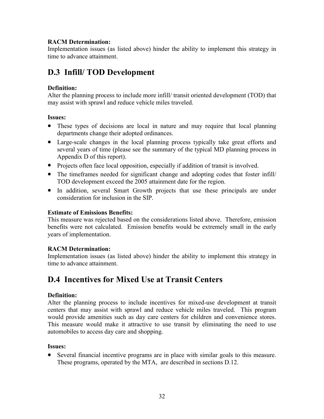### <span id="page-31-0"></span>**RACM Determination:**

Implementation issues (as listed above) hinder the ability to implement this strategy in time to advance attainment.

### **D.3 Infill/ TOD Development**

### **Definition:**

Alter the planning process to include more infill/ transit oriented development (TOD) that may assist with sprawl and reduce vehicle miles traveled.

### **Issues:**

- These types of decisions are local in nature and may require that local planning departments change their adopted ordinances.
- Large-scale changes in the local planning process typically take great efforts and several years of time (please see the summary of the typical MD planning process in Appendix D of this report).
- Projects often face local opposition, especially if addition of transit is involved.
- The timeframes needed for significant change and adopting codes that foster infill/ TOD development exceed the 2005 attainment date for the region.
- In addition, several Smart Growth projects that use these principals are under consideration for inclusion in the SIP.

### **Estimate of Emissions Benefits:**

This measure was rejected based on the considerations listed above. Therefore, emission benefits were not calculated. Emission benefits would be extremely small in the early years of implementation.

### **RACM Determination:**

Implementation issues (as listed above) hinder the ability to implement this strategy in time to advance attainment.

### **D.4 Incentives for Mixed Use at Transit Centers**

### **Definition:**

Alter the planning process to include incentives for mixed-use development at transit centers that may assist with sprawl and reduce vehicle miles traveled. This program would provide amenities such as day care centers for children and convenience stores. This measure would make it attractive to use transit by eliminating the need to use automobiles to access day care and shopping.

### **Issues:**

• Several financial incentive programs are in place with similar goals to this measure. These programs, operated by the MTA, are described in sections D.12.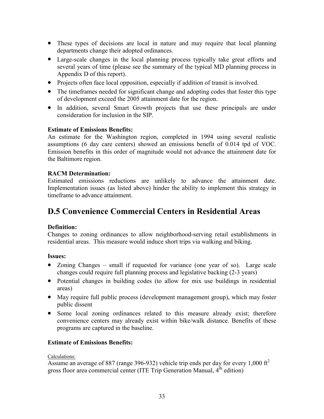- <span id="page-32-0"></span>• These types of decisions are local in nature and may require that local planning departments change their adopted ordinances.
- Large-scale changes in the local planning process typically take great efforts and several years of time (please see the summary of the typical MD planning process in Appendix D of this report).
- Projects often face local opposition, especially if addition of transit is involved.
- The timeframes needed for significant change and adopting codes that foster this type of development exceed the 2005 attainment date for the region.
- In addition, several Smart Growth projects that use these principals are under consideration for inclusion in the SIP.

### **Estimate of Emissions Benefits:**

An estimate for the Washington region, completed in 1994 using several realistic assumptions (6 day care centers) showed an emissions benefit of 0.014 tpd of VOC. Emission benefits in this order of magnitude would not advance the attainment date for the Baltimore region.

### **RACM Determination:**

Estimated emissions reductions are unlikely to advance the attainment date. Implementation issues (as listed above) hinder the ability to implement this strategy in timeframe to advance attainment.

### **D.5 Convenience Commercial Centers in Residential Areas**

### **Definition:**

Changes to zoning ordinances to allow neighborhood-serving retail establishments in residential areas. This measure would induce short trips via walking and biking.

### **Issues:**

- Zoning Changes small if requested for variance (one year of so). Large scale changes could require full planning process and legislative backing (2-3 years)
- Potential changes in building codes (to allow for mix use buildings in residential areas)
- May require full public process (development management group), which may foster public dissent
- Some local zoning ordinances related to this measure already exist; therefore convenience centers may already exist within bike/walk distance. Benefits of these programs are captured in the baseline.

### **Estimate of Emissions Benefits:**

### Calculations:

Assume an average of 887 (range 396-932) vehicle trip ends per day for every  $1,000 \text{ ft}^2$ gross floor area commercial center (ITE Trip Generation Manual,  $4^{\text{th}}$  edition)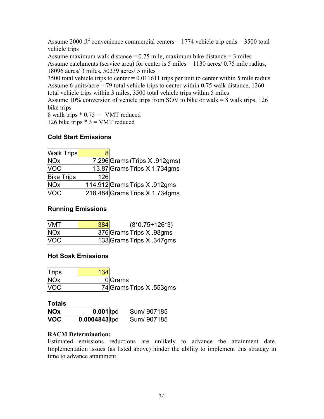Assume 2000  $\text{ft}^2$  convenience commercial centers = 1774 vehicle trip ends = 3500 total vehicle trips

Assume maximum walk distance  $= 0.75$  mile, maximum bike distance  $= 3$  miles Assume catchments (service area) for center is 5 miles = 1130 acres/ 0.75 mile radius, 18096 acres/ 3 miles, 50239 acres/ 5 miles

3500 total vehicle trips to center = 0.011611 trips per unit to center within 5 mile radius Assume 6 units/acre = 79 total vehicle trips to center within 0.75 walk distance, 1260 total vehicle trips within 3 miles, 3500 total vehicle trips within 5 miles

Assume 10% conversion of vehicle trips from SOV to bike or walk =  $8$  walk trips, 126 bike trips

8 walk trips  $* 0.75 =$  VMT reduced 126 bike trips  $* 3 =$  VMT reduced

### **Cold Start Emissions**

| <b>Walk Trips</b> |     |                                |
|-------------------|-----|--------------------------------|
| <b>NOx</b>        |     | 7.296 Grams (Trips X .912gms)  |
| <b>VOC</b>        |     | 13.87 Grams Trips X 1.734gms   |
| <b>Bike Trips</b> | 126 |                                |
| <b>NOx</b>        |     | 114.912 Grams Trips X .912gms  |
| <b>VOC</b>        |     | 218.484 Grams Trips X 1.734gms |

### **Running Emissions**

| <b>VMT</b>            | 384 | $(8*0.75+126*3)$          |
|-----------------------|-----|---------------------------|
| <b>NO<sub>x</sub></b> |     | 376 Grams Trips X .98gms  |
| <b>VOC</b>            |     | 133 Grams Trips X .347gms |

### **Hot Soak Emissions**

| Trips      | 134                      |
|------------|--------------------------|
| <b>NOx</b> | 0 Grams                  |
| <b>VOC</b> | 74 Grams Trips X .553gms |

| tal<br>ο |  |
|----------|--|
|----------|--|

| <b>NOx</b> | $0.001$ tpd     | Sum/907185 |
|------------|-----------------|------------|
| <b>VOC</b> | $0.0004843$ tpd | Sum/907185 |

### **RACM Determination:**

Estimated emissions reductions are unlikely to advance the attainment date. Implementation issues (as listed above) hinder the ability to implement this strategy in time to advance attainment.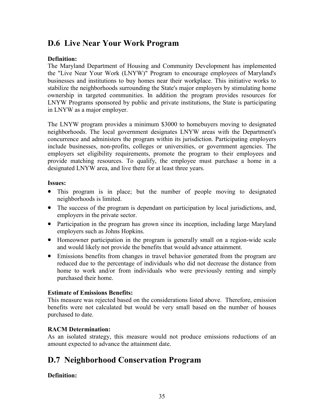### <span id="page-34-0"></span>**D.6 Live Near Your Work Program**

### **Definition:**

The Maryland Department of Housing and Community Development has implemented the "Live Near Your Work (LNYW)" Program to encourage employees of Maryland's businesses and institutions to buy homes near their workplace. This initiative works to stabilize the neighborhoods surrounding the State's major employers by stimulating home ownership in targeted communities. In addition the program provides resources for LNYW Programs sponsored by public and private institutions, the State is participating in LNYW as a major employer.

The LNYW program provides a minimum \$3000 to homebuyers moving to designated neighborhoods. The local government designates LNYW areas with the Department's concurrence and administers the program within its jurisdiction. Participating employers include businesses, non-profits, colleges or universities, or government agencies. The employers set eligibility requirements, promote the program to their employees and provide matching resources. To qualify, the employee must purchase a home in a designated LNYW area, and live there for at least three years.

### **Issues:**

- This program is in place; but the number of people moving to designated neighborhoods is limited.
- The success of the program is dependant on participation by local jurisdictions, and, employers in the private sector.
- Participation in the program has grown since its inception, including large Maryland employers such as Johns Hopkins.
- Homeowner participation in the program is generally small on a region-wide scale and would likely not provide the benefits that would advance attainment.
- Emissions benefits from changes in travel behavior generated from the program are reduced due to the percentage of individuals who did not decrease the distance from home to work and/or from individuals who were previously renting and simply purchased their home.

### **Estimate of Emissions Benefits:**

This measure was rejected based on the considerations listed above. Therefore, emission benefits were not calculated but would be very small based on the number of houses purchased to date.

### **RACM Determination:**

As an isolated strategy, this measure would not produce emissions reductions of an amount expected to advance the attainment date.

### **D.7 Neighborhood Conservation Program**

### **Definition:**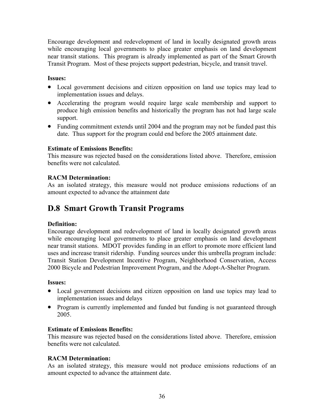<span id="page-35-0"></span>Encourage development and redevelopment of land in locally designated growth areas while encouraging local governments to place greater emphasis on land development near transit stations. This program is already implemented as part of the Smart Growth Transit Program. Most of these projects support pedestrian, bicycle, and transit travel.

### **Issues:**

- Local government decisions and citizen opposition on land use topics may lead to implementation issues and delays.
- Accelerating the program would require large scale membership and support to produce high emission benefits and historically the program has not had large scale support.
- Funding commitment extends until 2004 and the program may not be funded past this date. Thus support for the program could end before the 2005 attainment date.

### **Estimate of Emissions Benefits:**

This measure was rejected based on the considerations listed above. Therefore, emission benefits were not calculated.

### **RACM Determination:**

As an isolated strategy, this measure would not produce emissions reductions of an amount expected to advance the attainment date

### **D.8 Smart Growth Transit Programs**

### **Definition:**

Encourage development and redevelopment of land in locally designated growth areas while encouraging local governments to place greater emphasis on land development near transit stations. MDOT provides funding in an effort to promote more efficient land uses and increase transit ridership. Funding sources under this umbrella program include: Transit Station Development Incentive Program, Neighborhood Conservation, Access 2000 Bicycle and Pedestrian Improvement Program, and the Adopt-A-Shelter Program.

### **Issues:**

- Local government decisions and citizen opposition on land use topics may lead to implementation issues and delays
- Program is currently implemented and funded but funding is not guaranteed through 2005.

### **Estimate of Emissions Benefits:**

This measure was rejected based on the considerations listed above. Therefore, emission benefits were not calculated.

### **RACM Determination:**

As an isolated strategy, this measure would not produce emissions reductions of an amount expected to advance the attainment date.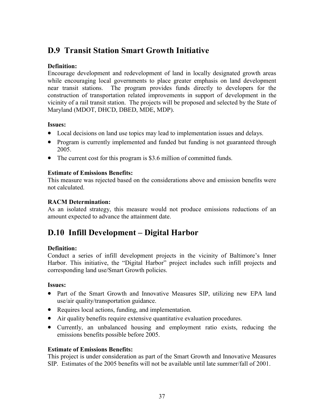# **D.9 Transit Station Smart Growth Initiative**

# **Definition:**

Encourage development and redevelopment of land in locally designated growth areas while encouraging local governments to place greater emphasis on land development near transit stations. The program provides funds directly to developers for the construction of transportation related improvements in support of development in the vicinity of a rail transit station. The projects will be proposed and selected by the State of Maryland (MDOT, DHCD, DBED, MDE, MDP).

## **Issues:**

- Local decisions on land use topics may lead to implementation issues and delays.
- Program is currently implemented and funded but funding is not guaranteed through 2005.
- The current cost for this program is \$3.6 million of committed funds.

## **Estimate of Emissions Benefits:**

This measure was rejected based on the considerations above and emission benefits were not calculated.

## **RACM Determination:**

As an isolated strategy, this measure would not produce emissions reductions of an amount expected to advance the attainment date.

# **D.10 Infill Development – Digital Harbor**

# **Definition:**

Conduct a series of infill development projects in the vicinity of Baltimore's Inner Harbor. This initiative, the "Digital Harbor" project includes such infill projects and corresponding land use/Smart Growth policies.

## **Issues:**

- Part of the Smart Growth and Innovative Measures SIP, utilizing new EPA land use/air quality/transportation guidance.
- Requires local actions, funding, and implementation.
- Air quality benefits require extensive quantitative evaluation procedures.
- Currently, an unbalanced housing and employment ratio exists, reducing the emissions benefits possible before 2005.

## **Estimate of Emissions Benefits:**

This project is under consideration as part of the Smart Growth and Innovative Measures SIP. Estimates of the 2005 benefits will not be available until late summer/fall of 2001.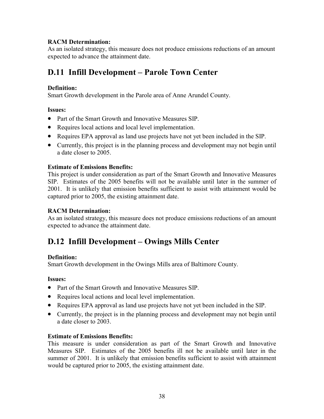## **RACM Determination:**

As an isolated strategy, this measure does not produce emissions reductions of an amount expected to advance the attainment date.

# **D.11 Infill Development – Parole Town Center**

## **Definition:**

Smart Growth development in the Parole area of Anne Arundel County.

## **Issues:**

- Part of the Smart Growth and Innovative Measures SIP.
- Requires local actions and local level implementation.
- Requires EPA approval as land use projects have not yet been included in the SIP.
- Currently, this project is in the planning process and development may not begin until a date closer to 2005.

## **Estimate of Emissions Benefits:**

This project is under consideration as part of the Smart Growth and Innovative Measures SIP. Estimates of the 2005 benefits will not be available until later in the summer of 2001. It is unlikely that emission benefits sufficient to assist with attainment would be captured prior to 2005, the existing attainment date.

## **RACM Determination:**

As an isolated strategy, this measure does not produce emissions reductions of an amount expected to advance the attainment date.

# **D.12 Infill Development – Owings Mills Center**

## **Definition:**

Smart Growth development in the Owings Mills area of Baltimore County.

## **Issues:**

- Part of the Smart Growth and Innovative Measures SIP.
- Requires local actions and local level implementation.
- Requires EPA approval as land use projects have not yet been included in the SIP.
- Currently, the project is in the planning process and development may not begin until a date closer to 2003.

# **Estimate of Emissions Benefits:**

This measure is under consideration as part of the Smart Growth and Innovative Measures SIP. Estimates of the 2005 benefits ill not be available until later in the summer of 2001. It is unlikely that emission benefits sufficient to assist with attainment would be captured prior to 2005, the existing attainment date.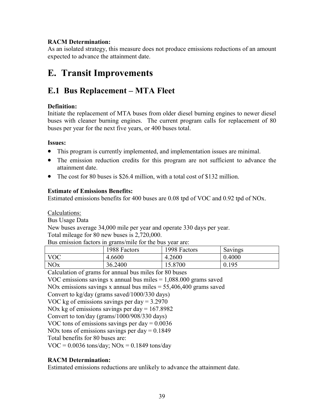## **RACM Determination:**

As an isolated strategy, this measure does not produce emissions reductions of an amount expected to advance the attainment date.

# **E. Transit Improvements**

# **E.1 Bus Replacement – MTA Fleet**

## **Definition:**

Initiate the replacement of MTA buses from older diesel burning engines to newer diesel buses with cleaner burning engines. The current program calls for replacement of 80 buses per year for the next five years, or 400 buses total.

## **Issues:**

- This program is currently implemented, and implementation issues are minimal.
- The emission reduction credits for this program are not sufficient to advance the attainment date.
- The cost for 80 buses is \$26.4 million, with a total cost of \$132 million.

# **Estimate of Emissions Benefits:**

Estimated emissions benefits for 400 buses are 0.08 tpd of VOC and 0.92 tpd of NOx.

Calculations:

Bus Usage Data

New buses average 34,000 mile per year and operate 330 days per year. Total mileage for 80 new buses is 2,720,000.

| Bus emission factors in grams/mile for the bus year are: |
|----------------------------------------------------------|
|----------------------------------------------------------|

|                 | 1988 Factors | 1998 Factors | Savings |
|-----------------|--------------|--------------|---------|
| VOC             | 4.6600       | 4.2600       | 0.4000  |
| NO <sub>x</sub> | 36.2400      | 5.8700       | 0.195   |

Calculation of grams for annual bus miles for 80 buses

VOC emissions savings x annual bus miles  $= 1,088.000$  grams saved

NOx emissions savings x annual bus miles = 55,406,400 grams saved

Convert to kg/day (grams saved/1000/330 days)

VOC kg of emissions savings per day = 3.2970

NOx kg of emissions savings per day  $= 167.8982$ 

Convert to ton/day (grams/1000/908/330 days)

VOC tons of emissions savings per day = 0.0036

NOx tons of emissions savings per day  $= 0.1849$ 

Total benefits for 80 buses are:

 $VOC = 0.0036$  tons/day;  $NOx = 0.1849$  tons/day

# **RACM Determination:**

Estimated emissions reductions are unlikely to advance the attainment date.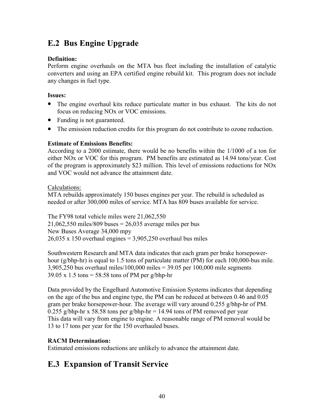# **E.2 Bus Engine Upgrade**

# **Definition:**

Perform engine overhauls on the MTA bus fleet including the installation of catalytic converters and using an EPA certified engine rebuild kit. This program does not include any changes in fuel type.

# **Issues:**

- The engine overhaul kits reduce particulate matter in bus exhaust. The kits do not focus on reducing NOx or VOC emissions.
- Funding is not guaranteed.
- The emission reduction credits for this program do not contribute to ozone reduction.

# **Estimate of Emissions Benefits:**

According to a 2000 estimate, there would be no benefits within the 1/1000 of a ton for either NOx or VOC for this program. PM benefits are estimated as 14.94 tons/year. Cost of the program is approximately \$23 million. This level of emissions reductions for NOx and VOC would not advance the attainment date.

Calculations:

MTA rebuilds approximately 150 buses engines per year. The rebuild is scheduled as needed or after 300,000 miles of service. MTA has 809 buses available for service.

The FY98 total vehicle miles were 21,062,550  $21,062,550$  miles/809 buses = 26,035 average miles per bus New Buses Average 34,000 mpy  $26,035 \times 150$  overhaul engines = 3,905,250 overhaul bus miles

Southwestern Research and MTA data indicates that each gram per brake horsepowerhour (g/bhp-hr) is equal to 1.5 tons of particulate matter (PM) for each 100,000-bus mile. 3,905,250 bus overhaul miles/100,000 miles = 39.05 per 100,000 mile segments  $39.05 \times 1.5$  tons = 58.58 tons of PM per g/bhp-hr

Data provided by the Engelhard Automotive Emission Systems indicates that depending on the age of the bus and engine type, the PM can be reduced at between 0.46 and 0.05 gram per brake horsepower-hour. The average will vary around 0.255 g/bhp-hr of PM. 0.255 g/bhp-hr x 58.58 tons per g/bhp-hr = 14.94 tons of PM removed per year This data will vary from engine to engine. A reasonable range of PM removal would be 13 to 17 tons per year for the 150 overhauled buses.

# **RACM Determination:**

Estimated emissions reductions are unlikely to advance the attainment date.

# **E.3 Expansion of Transit Service**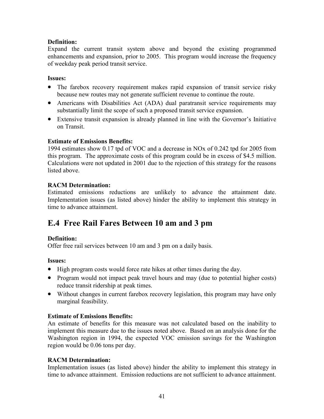## **Definition:**

Expand the current transit system above and beyond the existing programmed enhancements and expansion, prior to 2005. This program would increase the frequency of weekday peak period transit service.

## **Issues:**

- The farebox recovery requirement makes rapid expansion of transit service risky because new routes may not generate sufficient revenue to continue the route.
- Americans with Disabilities Act (ADA) dual paratransit service requirements may substantially limit the scope of such a proposed transit service expansion.
- Extensive transit expansion is already planned in line with the Governor's Initiative on Transit.

## **Estimate of Emissions Benefits:**

1994 estimates show 0.17 tpd of VOC and a decrease in NOx of 0.242 tpd for 2005 from this program. The approximate costs of this program could be in excess of \$4.5 million. Calculations were not updated in 2001 due to the rejection of this strategy for the reasons listed above.

# **RACM Determination:**

Estimated emissions reductions are unlikely to advance the attainment date. Implementation issues (as listed above) hinder the ability to implement this strategy in time to advance attainment.

# **E.4 Free Rail Fares Between 10 am and 3 pm**

## **Definition:**

Offer free rail services between 10 am and 3 pm on a daily basis.

## **Issues:**

- High program costs would force rate hikes at other times during the day.
- Program would not impact peak travel hours and may (due to potential higher costs) reduce transit ridership at peak times.
- Without changes in current farebox recovery legislation, this program may have only marginal feasibility.

## **Estimate of Emissions Benefits:**

An estimate of benefits for this measure was not calculated based on the inability to implement this measure due to the issues noted above. Based on an analysis done for the Washington region in 1994, the expected VOC emission savings for the Washington region would be 0.06 tons per day.

## **RACM Determination:**

Implementation issues (as listed above) hinder the ability to implement this strategy in time to advance attainment. Emission reductions are not sufficient to advance attainment.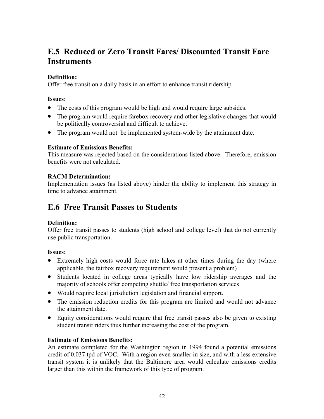# **E.5 Reduced or Zero Transit Fares/ Discounted Transit Fare Instruments**

## **Definition:**

Offer free transit on a daily basis in an effort to enhance transit ridership.

## **Issues:**

- The costs of this program would be high and would require large subsides.
- The program would require farebox recovery and other legislative changes that would be politically controversial and difficult to achieve.
- The program would not be implemented system-wide by the attainment date.

## **Estimate of Emissions Benefits:**

This measure was rejected based on the considerations listed above. Therefore, emission benefits were not calculated.

## **RACM Determination:**

Implementation issues (as listed above) hinder the ability to implement this strategy in time to advance attainment.

# **E.6 Free Transit Passes to Students**

# **Definition:**

Offer free transit passes to students (high school and college level) that do not currently use public transportation.

## **Issues:**

- Extremely high costs would force rate hikes at other times during the day (where applicable, the fairbox recovery requirement would present a problem)
- Students located in college areas typically have low ridership averages and the majority of schools offer competing shuttle/ free transportation services
- Would require local jurisdiction legislation and financial support.
- The emission reduction credits for this program are limited and would not advance the attainment date.
- Equity considerations would require that free transit passes also be given to existing student transit riders thus further increasing the cost of the program.

# **Estimate of Emissions Benefits:**

An estimate completed for the Washington region in 1994 found a potential emissions credit of 0.037 tpd of VOC. With a region even smaller in size, and with a less extensive transit system it is unlikely that the Baltimore area would calculate emissions credits larger than this within the framework of this type of program.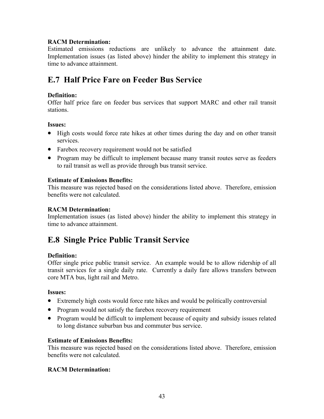## **RACM Determination:**

Estimated emissions reductions are unlikely to advance the attainment date. Implementation issues (as listed above) hinder the ability to implement this strategy in time to advance attainment.

# **E.7 Half Price Fare on Feeder Bus Service**

## **Definition:**

Offer half price fare on feeder bus services that support MARC and other rail transit stations.

## **Issues:**

- High costs would force rate hikes at other times during the day and on other transit services.
- Farebox recovery requirement would not be satisfied
- Program may be difficult to implement because many transit routes serve as feeders to rail transit as well as provide through bus transit service.

## **Estimate of Emissions Benefits:**

This measure was rejected based on the considerations listed above. Therefore, emission benefits were not calculated.

## **RACM Determination:**

Implementation issues (as listed above) hinder the ability to implement this strategy in time to advance attainment.

# **E.8 Single Price Public Transit Service**

## **Definition:**

Offer single price public transit service. An example would be to allow ridership of all transit services for a single daily rate. Currently a daily fare allows transfers between core MTA bus, light rail and Metro.

## **Issues:**

- Extremely high costs would force rate hikes and would be politically controversial
- Program would not satisfy the farebox recovery requirement
- Program would be difficult to implement because of equity and subsidy issues related to long distance suburban bus and commuter bus service.

## **Estimate of Emissions Benefits:**

This measure was rejected based on the considerations listed above. Therefore, emission benefits were not calculated.

# **RACM Determination:**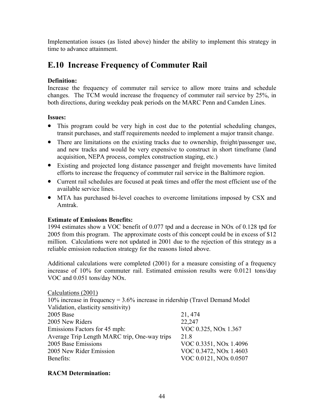Implementation issues (as listed above) hinder the ability to implement this strategy in time to advance attainment.

# **E.10 Increase Frequency of Commuter Rail**

## **Definition:**

Increase the frequency of commuter rail service to allow more trains and schedule changes. The TCM would increase the frequency of commuter rail service by 25%, in both directions, during weekday peak periods on the MARC Penn and Camden Lines.

## **Issues:**

- This program could be very high in cost due to the potential scheduling changes, transit purchases, and staff requirements needed to implement a major transit change.
- There are limitations on the existing tracks due to ownership, freight/passenger use, and new tracks and would be very expensive to construct in short timeframe (land acquisition, NEPA process, complex construction staging, etc.)
- Existing and projected long distance passenger and freight movements have limited efforts to increase the frequency of commuter rail service in the Baltimore region.
- Current rail schedules are focused at peak times and offer the most efficient use of the available service lines.
- MTA has purchased bi-level coaches to overcome limitations imposed by CSX and Amtrak.

## **Estimate of Emissions Benefits:**

1994 estimates show a VOC benefit of 0.077 tpd and a decrease in NOx of 0.128 tpd for 2005 from this program. The approximate costs of this concept could be in excess of \$12 million. Calculations were not updated in 2001 due to the rejection of this strategy as a reliable emission reduction strategy for the reasons listed above.

Additional calculations were completed (2001) for a measure consisting of a frequency increase of 10% for commuter rail. Estimated emission results were 0.0121 tons/day VOC and 0.051 tons/day NOx.

| Calculations (2001)                                                             |                                  |  |  |  |
|---------------------------------------------------------------------------------|----------------------------------|--|--|--|
| 10% increase in frequency = $3.6\%$ increase in ridership (Travel Demand Model) |                                  |  |  |  |
| Validation, elasticity sensitivity)                                             |                                  |  |  |  |
| 2005 Base                                                                       | 21, 474                          |  |  |  |
| 2005 New Riders                                                                 | 22,247                           |  |  |  |
| Emissions Factors for 45 mph:                                                   | VOC 0.325, NO <sub>x</sub> 1.367 |  |  |  |
| Average Trip Length MARC trip, One-way trips                                    | 21.8                             |  |  |  |
| 2005 Base Emissions                                                             | VOC 0.3351, NOx 1.4096           |  |  |  |
| 2005 New Rider Emission                                                         | VOC 0.3472, NOx 1.4603           |  |  |  |
| Benefits:                                                                       | VOC 0.0121, NOx 0.0507           |  |  |  |

## **RACM Determination:**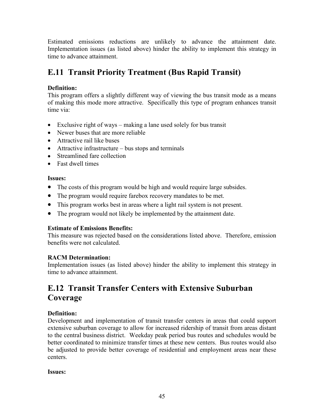Estimated emissions reductions are unlikely to advance the attainment date. Implementation issues (as listed above) hinder the ability to implement this strategy in time to advance attainment.

# **E.11 Transit Priority Treatment (Bus Rapid Transit)**

# **Definition:**

This program offers a slightly different way of viewing the bus transit mode as a means of making this mode more attractive. Specifically this type of program enhances transit time via:

- Exclusive right of ways making a lane used solely for bus transit
- Newer buses that are more reliable
- Attractive rail like buses
- Attractive infrastructure bus stops and terminals
- Streamlined fare collection
- Fast dwell times

# **Issues:**

- The costs of this program would be high and would require large subsides.
- The program would require farebox recovery mandates to be met.
- This program works best in areas where a light rail system is not present.
- The program would not likely be implemented by the attainment date.

# **Estimate of Emissions Benefits:**

This measure was rejected based on the considerations listed above. Therefore, emission benefits were not calculated.

# **RACM Determination:**

Implementation issues (as listed above) hinder the ability to implement this strategy in time to advance attainment.

# **E.12 Transit Transfer Centers with Extensive Suburban Coverage**

# **Definition:**

Development and implementation of transit transfer centers in areas that could support extensive suburban coverage to allow for increased ridership of transit from areas distant to the central business district. Weekday peak period bus routes and schedules would be better coordinated to minimize transfer times at these new centers. Bus routes would also be adjusted to provide better coverage of residential and employment areas near these centers.

# **Issues:**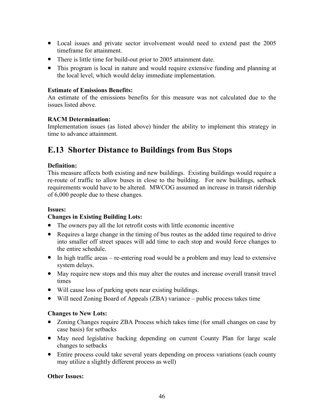- Local issues and private sector involvement would need to extend past the 2005 timeframe for attainment.
- There is little time for build-out prior to 2005 attainment date.
- This program is local in nature and would require extensive funding and planning at the local level, which would delay immediate implementation.

### **Estimate of Emissions Benefits:**

An estimate of the emissions benefits for this measure was not calculated due to the issues listed above.

## **RACM Determination:**

Implementation issues (as listed above) hinder the ability to implement this strategy in time to advance attainment.

# **E.13 Shorter Distance to Buildings from Bus Stops**

## **Definition:**

This measure affects both existing and new buildings. Existing buildings would require a re-route of traffic to allow buses in close to the building. For new buildings, setback requirements would have to be altered. MWCOG assumed an increase in transit ridership of 6,000 people due to these changes.

## **Issues:**

## **Changes in Existing Building Lots:**

- The owners pay all the lot retrofit costs with little economic incentive
- Requires a large change in the timing of bus routes as the added time required to drive into smaller off street spaces will add time to each stop and would force changes to the entire schedule.
- In high traffic areas re-entering road would be a problem and may lead to extensive system delays.
- May require new stops and this may alter the routes and increase overall transit travel times
- Will cause loss of parking spots near existing buildings.
- Will need Zoning Board of Appeals (ZBA) variance public process takes time

## **Changes to New Lots:**

- Zoning Changes require ZBA Process which takes time (for small changes on case by case basis) for setbacks
- May need legislative backing depending on current County Plan for large scale changes to setbacks
- Entire process could take several years depending on process variations (each county may utilize a slightly different process as well)

## **Other Issues:**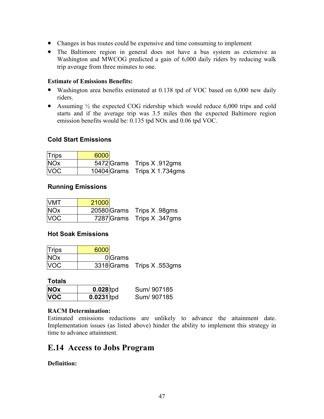- Changes in bus routes could be expensive and time consuming to implement
- The Baltimore region in general does not have a bus system as extensive as Washington and MWCOG predicted a gain of 6,000 daily riders by reducing walk trip average from three minutes to one.

## **Estimate of Emissions Benefits:**

- Washington area benefits estimated at 0.138 tpd of VOC based on 6,000 new daily riders.
- Assuming  $\frac{1}{2}$  the expected COG ridership which would reduce 6,000 trips and cold starts and if the average trip was 3.5 miles then the expected Baltimore region emission benefits would be: 0.135 tpd NOx and 0.06 tpd VOC.

# **Cold Start Emissions**

| Trips      | 6000 |                              |
|------------|------|------------------------------|
| <b>NOx</b> |      | 5472 Grams Trips X 912gms    |
| <b>VOC</b> |      | 10404 Grams Trips X 1.734gms |

## **Running Emissions**

| <b>VMT</b> | 21000 |                           |
|------------|-------|---------------------------|
| <b>NOx</b> |       | 20580 Grams Trips X 98gms |
| <b>VOC</b> |       | 7287 Grams Trips X 347gms |

# **Hot Soak Emissions**

| Trips      | 6000   |                           |
|------------|--------|---------------------------|
| <b>NOx</b> | 0Grams |                           |
| <b>VOC</b> |        | 3318 Grams Trips X 553gms |

#### **Totals**

| <b>NOx</b> | $0.028$ tpd  | Sum/907185 |
|------------|--------------|------------|
| <b>VOC</b> | $0.0231$ tpd | Sum/907185 |

## **RACM Determination:**

Estimated emissions reductions are unlikely to advance the attainment date. Implementation issues (as listed above) hinder the ability to implement this strategy in time to advance attainment.

# **E.14 Access to Jobs Program**

## **Definition:**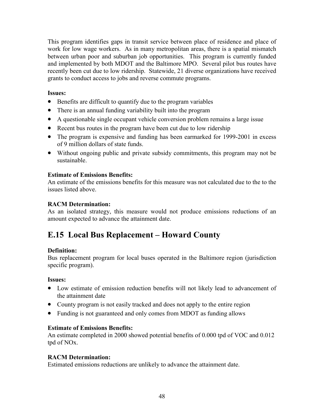This program identifies gaps in transit service between place of residence and place of work for low wage workers. As in many metropolitan areas, there is a spatial mismatch between urban poor and suburban job opportunities. This program is currently funded and implemented by both MDOT and the Baltimore MPO. Several pilot bus routes have recently been cut due to low ridership. Statewide, 21 diverse organizations have received grants to conduct access to jobs and reverse commute programs.

## **Issues:**

- Benefits are difficult to quantify due to the program variables
- There is an annual funding variability built into the program
- A questionable single occupant vehicle conversion problem remains a large issue
- Recent bus routes in the program have been cut due to low ridership
- The program is expensive and funding has been earmarked for 1999-2001 in excess of 9 million dollars of state funds.
- Without ongoing public and private subsidy commitments, this program may not be sustainable.

# **Estimate of Emissions Benefits:**

An estimate of the emissions benefits for this measure was not calculated due to the to the issues listed above.

# **RACM Determination:**

As an isolated strategy, this measure would not produce emissions reductions of an amount expected to advance the attainment date.

# **E.15 Local Bus Replacement – Howard County**

# **Definition:**

Bus replacement program for local buses operated in the Baltimore region (jurisdiction specific program).

## **Issues:**

- Low estimate of emission reduction benefits will not likely lead to advancement of the attainment date
- County program is not easily tracked and does not apply to the entire region
- Funding is not guaranteed and only comes from MDOT as funding allows

# **Estimate of Emissions Benefits:**

An estimate completed in 2000 showed potential benefits of 0.000 tpd of VOC and 0.012 tpd of NOx.

# **RACM Determination:**

Estimated emissions reductions are unlikely to advance the attainment date.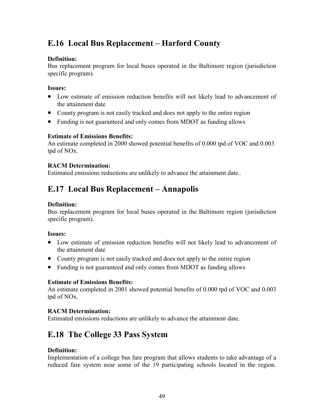# **E.16 Local Bus Replacement – Harford County**

# **Definition:**

Bus replacement program for local buses operated in the Baltimore region (jurisdiction specific program).

## **Issues:**

- Low estimate of emission reduction benefits will not likely lead to advancement of the attainment date
- County program is not easily tracked and does not apply to the entire region
- Funding is not guaranteed and only comes from MDOT as funding allows

## **Estimate of Emissions Benefits:**

An estimate completed in 2000 showed potential benefits of 0.000 tpd of VOC and 0.003 tpd of NOx.

## **RACM Determination:**

Estimated emissions reductions are unlikely to advance the attainment date..

# **E.17 Local Bus Replacement – Annapolis**

## **Definition:**

Bus replacement program for local buses operated in the Baltimore region (jurisdiction specific program).

## **Issues:**

- Low estimate of emission reduction benefits will not likely lead to advancement of the attainment date
- County program is not easily tracked and does not apply to the entire region
- Funding is not guaranteed and only comes from MDOT as funding allows

# **Estimate of Emissions Benefits:**

An estimate completed in 2001 showed potential benefits of 0.000 tpd of VOC and 0.003 tpd of NOx.

# **RACM Determination:**

Estimated emissions reductions are unlikely to advance the attainment date.

# **E.18 The College 33 Pass System**

## **Definition:**

Implementation of a college bus fare program that allows students to take advantage of a reduced fare system near some of the 19 participating schools located in the region.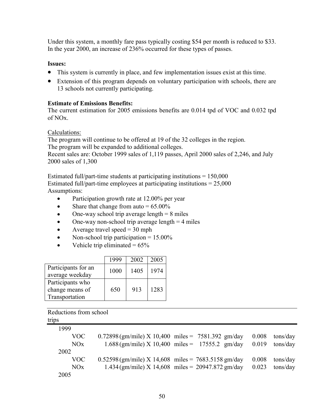Under this system, a monthly fare pass typically costing \$54 per month is reduced to \$33. In the year 2000, an increase of 236% occurred for these types of passes.

### **Issues:**

- This system is currently in place, and few implementation issues exist at this time.
- Extension of this program depends on voluntary participation with schools, there are 13 schools not currently participating.

#### **Estimate of Emissions Benefits:**

The current estimation for 2005 emissions benefits are 0.014 tpd of VOC and 0.032 tpd of NOx.

#### Calculations:

The program will continue to be offered at 19 of the 32 colleges in the region. The program will be expanded to additional colleges. Recent sales are: October 1999 sales of 1,119 passes, April 2000 sales of 2,246, and July 2000 sales of 1,300

Estimated full/part-time students at participating institutions  $= 150,000$ Estimated full/part-time employees at participating institutions  $= 25,000$ Assumptions:

- Participation growth rate at 12.00% per year
- Share that change from auto  $= 65.00\%$
- One-way school trip average length  $= 8$  miles
- One-way non-school trip average length  $= 4$  miles
- Average travel speed  $=$  30 mph
- Non-school trip participation  $= 15.00\%$
- Vehicle trip eliminated  $= 65\%$

|                                                       | 1999 | 2002 | 2005 |
|-------------------------------------------------------|------|------|------|
| Participants for an<br>average weekday                | 1000 | 1405 | 1974 |
| Participants who<br>change means of<br>Transportation | 650  | 913  | 1283 |

Reductions from school trips

| 1999       |                                                       |                                                     |       |          |
|------------|-------------------------------------------------------|-----------------------------------------------------|-------|----------|
| <b>VOC</b> | $0.72898$ (gm/mile) X 10,400 miles = 7581.392 gm/day  |                                                     | 0.008 | tons/day |
| NOx        |                                                       | $1.688$ (gm/mile) X 10,400 miles = 17555.2 gm/day   | 0.019 | tons/day |
| 2002       |                                                       |                                                     |       |          |
| <b>VOC</b> | $0.52598$ (gm/mile) X 14,608 miles = 7683.5158 gm/day |                                                     | 0.008 | tons/day |
| NOx        |                                                       | $1.434$ (gm/mile) X 14,608 miles = 20947.872 gm/day | 0.023 | tons/day |
| 2005       |                                                       |                                                     |       |          |
|            |                                                       |                                                     |       |          |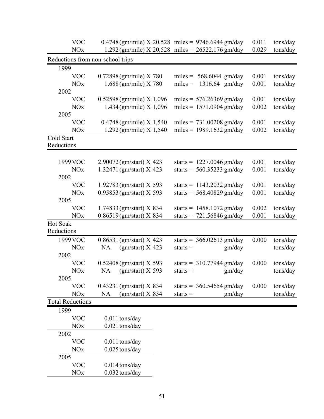| $1.292$ (gm/mile) X 20,528 miles = 26522.176 gm/day<br>0.029<br><b>NO<sub>x</sub></b><br>tons/day<br>Reductions from non-school trips<br>1999<br><b>VOC</b><br>$0.72898$ (gm/mile) X 780<br>miles = $568.6044$ gm/day<br>0.001<br>tons/day<br><b>NO<sub>x</sub></b><br>$1.688$ (gm/mile) X 780<br>1316.64 gm/day<br>0.001<br>$miles =$<br>tons/day<br>2002<br>$0.52598$ (gm/mile) X 1,096<br>miles = $576.26369$ gm/day<br>0.001<br><b>VOC</b><br>tons/day<br>$1.434$ (gm/mile) X 1,096<br>miles = $1571.0904$ gm/day<br>0.002<br><b>NO<sub>x</sub></b><br>tons/day<br>2005<br><b>VOC</b><br>$0.4748$ (gm/mile) X 1,540<br>0.001<br>miles = $731.00208$ gm/day<br>tons/day<br>miles = $1989.1632$ gm/day<br><b>NOx</b><br>$1.292$ (gm/mile) $X$ 1,540<br>0.002<br>tons/day<br>Cold Start<br>Reductions<br>0.001<br>1999 VOC<br>$2.90072$ (gm/start) X 423<br>starts = $1227.0046$ gm/day<br>tons/day<br>$1.32471$ (gm/start) X 423<br>starts = $560.35233$ gm/day<br>0.001<br><b>NO<sub>x</sub></b><br>tons/day<br>2002<br>$1.92783$ (gm/start) X 593<br>0.001<br><b>VOC</b><br>starts = $1143.2032$ gm/day<br>tons/day<br>0.95853 (gm/start) X 593<br><b>NO<sub>x</sub></b><br>starts = $568.40829$ gm/day<br>0.001<br>tons/day<br>2005<br><b>VOC</b><br>$1.74833$ (gm/start) X 834<br>0.002<br>starts = $1458.1072$ gm/day<br>tons/day<br>0.86519(gm/start) X 834<br>0.001<br><b>NOx</b><br>starts = $721.56846$ gm/day<br>tons/day<br>Hot Soak<br>Reductions<br>1999 VOC<br>$0.86531$ (gm/start) X 423<br>0.000<br>starts = $366.02613$ gm/day<br>tons/day<br><b>NOx</b><br>$(gm/start)$ X 423<br><b>NA</b><br>gm/day<br>tons/day<br>$starts =$<br>2002<br>$0.52408$ (gm/start) X 593<br>0.000<br><b>VOC</b><br>starts = $310.77944$ gm/day<br>tons/day<br>$(gm/start)$ X 593<br>gm/day<br><b>NO<sub>x</sub></b><br><b>NA</b><br>tons/day<br>$starts =$<br>2005<br>$0.43231$ (gm/start) X 834<br>0.000<br><b>VOC</b><br>starts = $360.54654$ gm/day<br>tons/day<br>$(gm/start)$ X 834<br><b>NOx</b><br>tons/day<br><b>NA</b><br>gm/day<br>$starts =$<br><b>Total Reductions</b><br>1999<br><b>VOC</b><br>$0.011$ tons/day<br><b>NOx</b><br>0.021 tons/day<br>2002<br><b>VOC</b><br>0.011 tons/day<br><b>NO<sub>x</sub></b><br>$0.025$ tons/day<br>2005<br><b>VOC</b><br>$0.014$ tons/day<br><b>NO<sub>x</sub></b><br>$0.032$ tons/day | <b>VOC</b> | $0.4748$ (gm/mile) X 20,528 miles = 9746.6944 gm/day |  |  | 0.011 | tons/day |  |  |
|------------------------------------------------------------------------------------------------------------------------------------------------------------------------------------------------------------------------------------------------------------------------------------------------------------------------------------------------------------------------------------------------------------------------------------------------------------------------------------------------------------------------------------------------------------------------------------------------------------------------------------------------------------------------------------------------------------------------------------------------------------------------------------------------------------------------------------------------------------------------------------------------------------------------------------------------------------------------------------------------------------------------------------------------------------------------------------------------------------------------------------------------------------------------------------------------------------------------------------------------------------------------------------------------------------------------------------------------------------------------------------------------------------------------------------------------------------------------------------------------------------------------------------------------------------------------------------------------------------------------------------------------------------------------------------------------------------------------------------------------------------------------------------------------------------------------------------------------------------------------------------------------------------------------------------------------------------------------------------------------------------------------------------------------------------------------------------------------------------------------------------------------------------------------------------------------------------------------------------------------------------------------------------------------------------------------------------------|------------|------------------------------------------------------|--|--|-------|----------|--|--|
|                                                                                                                                                                                                                                                                                                                                                                                                                                                                                                                                                                                                                                                                                                                                                                                                                                                                                                                                                                                                                                                                                                                                                                                                                                                                                                                                                                                                                                                                                                                                                                                                                                                                                                                                                                                                                                                                                                                                                                                                                                                                                                                                                                                                                                                                                                                                          |            |                                                      |  |  |       |          |  |  |
|                                                                                                                                                                                                                                                                                                                                                                                                                                                                                                                                                                                                                                                                                                                                                                                                                                                                                                                                                                                                                                                                                                                                                                                                                                                                                                                                                                                                                                                                                                                                                                                                                                                                                                                                                                                                                                                                                                                                                                                                                                                                                                                                                                                                                                                                                                                                          |            |                                                      |  |  |       |          |  |  |
|                                                                                                                                                                                                                                                                                                                                                                                                                                                                                                                                                                                                                                                                                                                                                                                                                                                                                                                                                                                                                                                                                                                                                                                                                                                                                                                                                                                                                                                                                                                                                                                                                                                                                                                                                                                                                                                                                                                                                                                                                                                                                                                                                                                                                                                                                                                                          |            |                                                      |  |  |       |          |  |  |
|                                                                                                                                                                                                                                                                                                                                                                                                                                                                                                                                                                                                                                                                                                                                                                                                                                                                                                                                                                                                                                                                                                                                                                                                                                                                                                                                                                                                                                                                                                                                                                                                                                                                                                                                                                                                                                                                                                                                                                                                                                                                                                                                                                                                                                                                                                                                          |            |                                                      |  |  |       |          |  |  |
|                                                                                                                                                                                                                                                                                                                                                                                                                                                                                                                                                                                                                                                                                                                                                                                                                                                                                                                                                                                                                                                                                                                                                                                                                                                                                                                                                                                                                                                                                                                                                                                                                                                                                                                                                                                                                                                                                                                                                                                                                                                                                                                                                                                                                                                                                                                                          |            |                                                      |  |  |       |          |  |  |
|                                                                                                                                                                                                                                                                                                                                                                                                                                                                                                                                                                                                                                                                                                                                                                                                                                                                                                                                                                                                                                                                                                                                                                                                                                                                                                                                                                                                                                                                                                                                                                                                                                                                                                                                                                                                                                                                                                                                                                                                                                                                                                                                                                                                                                                                                                                                          |            |                                                      |  |  |       |          |  |  |
|                                                                                                                                                                                                                                                                                                                                                                                                                                                                                                                                                                                                                                                                                                                                                                                                                                                                                                                                                                                                                                                                                                                                                                                                                                                                                                                                                                                                                                                                                                                                                                                                                                                                                                                                                                                                                                                                                                                                                                                                                                                                                                                                                                                                                                                                                                                                          |            |                                                      |  |  |       |          |  |  |
|                                                                                                                                                                                                                                                                                                                                                                                                                                                                                                                                                                                                                                                                                                                                                                                                                                                                                                                                                                                                                                                                                                                                                                                                                                                                                                                                                                                                                                                                                                                                                                                                                                                                                                                                                                                                                                                                                                                                                                                                                                                                                                                                                                                                                                                                                                                                          |            |                                                      |  |  |       |          |  |  |
|                                                                                                                                                                                                                                                                                                                                                                                                                                                                                                                                                                                                                                                                                                                                                                                                                                                                                                                                                                                                                                                                                                                                                                                                                                                                                                                                                                                                                                                                                                                                                                                                                                                                                                                                                                                                                                                                                                                                                                                                                                                                                                                                                                                                                                                                                                                                          |            |                                                      |  |  |       |          |  |  |
|                                                                                                                                                                                                                                                                                                                                                                                                                                                                                                                                                                                                                                                                                                                                                                                                                                                                                                                                                                                                                                                                                                                                                                                                                                                                                                                                                                                                                                                                                                                                                                                                                                                                                                                                                                                                                                                                                                                                                                                                                                                                                                                                                                                                                                                                                                                                          |            |                                                      |  |  |       |          |  |  |
|                                                                                                                                                                                                                                                                                                                                                                                                                                                                                                                                                                                                                                                                                                                                                                                                                                                                                                                                                                                                                                                                                                                                                                                                                                                                                                                                                                                                                                                                                                                                                                                                                                                                                                                                                                                                                                                                                                                                                                                                                                                                                                                                                                                                                                                                                                                                          |            |                                                      |  |  |       |          |  |  |
|                                                                                                                                                                                                                                                                                                                                                                                                                                                                                                                                                                                                                                                                                                                                                                                                                                                                                                                                                                                                                                                                                                                                                                                                                                                                                                                                                                                                                                                                                                                                                                                                                                                                                                                                                                                                                                                                                                                                                                                                                                                                                                                                                                                                                                                                                                                                          |            |                                                      |  |  |       |          |  |  |
|                                                                                                                                                                                                                                                                                                                                                                                                                                                                                                                                                                                                                                                                                                                                                                                                                                                                                                                                                                                                                                                                                                                                                                                                                                                                                                                                                                                                                                                                                                                                                                                                                                                                                                                                                                                                                                                                                                                                                                                                                                                                                                                                                                                                                                                                                                                                          |            |                                                      |  |  |       |          |  |  |
|                                                                                                                                                                                                                                                                                                                                                                                                                                                                                                                                                                                                                                                                                                                                                                                                                                                                                                                                                                                                                                                                                                                                                                                                                                                                                                                                                                                                                                                                                                                                                                                                                                                                                                                                                                                                                                                                                                                                                                                                                                                                                                                                                                                                                                                                                                                                          |            |                                                      |  |  |       |          |  |  |
|                                                                                                                                                                                                                                                                                                                                                                                                                                                                                                                                                                                                                                                                                                                                                                                                                                                                                                                                                                                                                                                                                                                                                                                                                                                                                                                                                                                                                                                                                                                                                                                                                                                                                                                                                                                                                                                                                                                                                                                                                                                                                                                                                                                                                                                                                                                                          |            |                                                      |  |  |       |          |  |  |
|                                                                                                                                                                                                                                                                                                                                                                                                                                                                                                                                                                                                                                                                                                                                                                                                                                                                                                                                                                                                                                                                                                                                                                                                                                                                                                                                                                                                                                                                                                                                                                                                                                                                                                                                                                                                                                                                                                                                                                                                                                                                                                                                                                                                                                                                                                                                          |            |                                                      |  |  |       |          |  |  |
|                                                                                                                                                                                                                                                                                                                                                                                                                                                                                                                                                                                                                                                                                                                                                                                                                                                                                                                                                                                                                                                                                                                                                                                                                                                                                                                                                                                                                                                                                                                                                                                                                                                                                                                                                                                                                                                                                                                                                                                                                                                                                                                                                                                                                                                                                                                                          |            |                                                      |  |  |       |          |  |  |
|                                                                                                                                                                                                                                                                                                                                                                                                                                                                                                                                                                                                                                                                                                                                                                                                                                                                                                                                                                                                                                                                                                                                                                                                                                                                                                                                                                                                                                                                                                                                                                                                                                                                                                                                                                                                                                                                                                                                                                                                                                                                                                                                                                                                                                                                                                                                          |            |                                                      |  |  |       |          |  |  |
|                                                                                                                                                                                                                                                                                                                                                                                                                                                                                                                                                                                                                                                                                                                                                                                                                                                                                                                                                                                                                                                                                                                                                                                                                                                                                                                                                                                                                                                                                                                                                                                                                                                                                                                                                                                                                                                                                                                                                                                                                                                                                                                                                                                                                                                                                                                                          |            |                                                      |  |  |       |          |  |  |
|                                                                                                                                                                                                                                                                                                                                                                                                                                                                                                                                                                                                                                                                                                                                                                                                                                                                                                                                                                                                                                                                                                                                                                                                                                                                                                                                                                                                                                                                                                                                                                                                                                                                                                                                                                                                                                                                                                                                                                                                                                                                                                                                                                                                                                                                                                                                          |            |                                                      |  |  |       |          |  |  |
|                                                                                                                                                                                                                                                                                                                                                                                                                                                                                                                                                                                                                                                                                                                                                                                                                                                                                                                                                                                                                                                                                                                                                                                                                                                                                                                                                                                                                                                                                                                                                                                                                                                                                                                                                                                                                                                                                                                                                                                                                                                                                                                                                                                                                                                                                                                                          |            |                                                      |  |  |       |          |  |  |
|                                                                                                                                                                                                                                                                                                                                                                                                                                                                                                                                                                                                                                                                                                                                                                                                                                                                                                                                                                                                                                                                                                                                                                                                                                                                                                                                                                                                                                                                                                                                                                                                                                                                                                                                                                                                                                                                                                                                                                                                                                                                                                                                                                                                                                                                                                                                          |            |                                                      |  |  |       |          |  |  |
|                                                                                                                                                                                                                                                                                                                                                                                                                                                                                                                                                                                                                                                                                                                                                                                                                                                                                                                                                                                                                                                                                                                                                                                                                                                                                                                                                                                                                                                                                                                                                                                                                                                                                                                                                                                                                                                                                                                                                                                                                                                                                                                                                                                                                                                                                                                                          |            |                                                      |  |  |       |          |  |  |
|                                                                                                                                                                                                                                                                                                                                                                                                                                                                                                                                                                                                                                                                                                                                                                                                                                                                                                                                                                                                                                                                                                                                                                                                                                                                                                                                                                                                                                                                                                                                                                                                                                                                                                                                                                                                                                                                                                                                                                                                                                                                                                                                                                                                                                                                                                                                          |            |                                                      |  |  |       |          |  |  |
|                                                                                                                                                                                                                                                                                                                                                                                                                                                                                                                                                                                                                                                                                                                                                                                                                                                                                                                                                                                                                                                                                                                                                                                                                                                                                                                                                                                                                                                                                                                                                                                                                                                                                                                                                                                                                                                                                                                                                                                                                                                                                                                                                                                                                                                                                                                                          |            |                                                      |  |  |       |          |  |  |
|                                                                                                                                                                                                                                                                                                                                                                                                                                                                                                                                                                                                                                                                                                                                                                                                                                                                                                                                                                                                                                                                                                                                                                                                                                                                                                                                                                                                                                                                                                                                                                                                                                                                                                                                                                                                                                                                                                                                                                                                                                                                                                                                                                                                                                                                                                                                          |            |                                                      |  |  |       |          |  |  |
|                                                                                                                                                                                                                                                                                                                                                                                                                                                                                                                                                                                                                                                                                                                                                                                                                                                                                                                                                                                                                                                                                                                                                                                                                                                                                                                                                                                                                                                                                                                                                                                                                                                                                                                                                                                                                                                                                                                                                                                                                                                                                                                                                                                                                                                                                                                                          |            |                                                      |  |  |       |          |  |  |
|                                                                                                                                                                                                                                                                                                                                                                                                                                                                                                                                                                                                                                                                                                                                                                                                                                                                                                                                                                                                                                                                                                                                                                                                                                                                                                                                                                                                                                                                                                                                                                                                                                                                                                                                                                                                                                                                                                                                                                                                                                                                                                                                                                                                                                                                                                                                          |            |                                                      |  |  |       |          |  |  |
|                                                                                                                                                                                                                                                                                                                                                                                                                                                                                                                                                                                                                                                                                                                                                                                                                                                                                                                                                                                                                                                                                                                                                                                                                                                                                                                                                                                                                                                                                                                                                                                                                                                                                                                                                                                                                                                                                                                                                                                                                                                                                                                                                                                                                                                                                                                                          |            |                                                      |  |  |       |          |  |  |
|                                                                                                                                                                                                                                                                                                                                                                                                                                                                                                                                                                                                                                                                                                                                                                                                                                                                                                                                                                                                                                                                                                                                                                                                                                                                                                                                                                                                                                                                                                                                                                                                                                                                                                                                                                                                                                                                                                                                                                                                                                                                                                                                                                                                                                                                                                                                          |            |                                                      |  |  |       |          |  |  |
|                                                                                                                                                                                                                                                                                                                                                                                                                                                                                                                                                                                                                                                                                                                                                                                                                                                                                                                                                                                                                                                                                                                                                                                                                                                                                                                                                                                                                                                                                                                                                                                                                                                                                                                                                                                                                                                                                                                                                                                                                                                                                                                                                                                                                                                                                                                                          |            |                                                      |  |  |       |          |  |  |
|                                                                                                                                                                                                                                                                                                                                                                                                                                                                                                                                                                                                                                                                                                                                                                                                                                                                                                                                                                                                                                                                                                                                                                                                                                                                                                                                                                                                                                                                                                                                                                                                                                                                                                                                                                                                                                                                                                                                                                                                                                                                                                                                                                                                                                                                                                                                          |            |                                                      |  |  |       |          |  |  |
|                                                                                                                                                                                                                                                                                                                                                                                                                                                                                                                                                                                                                                                                                                                                                                                                                                                                                                                                                                                                                                                                                                                                                                                                                                                                                                                                                                                                                                                                                                                                                                                                                                                                                                                                                                                                                                                                                                                                                                                                                                                                                                                                                                                                                                                                                                                                          |            |                                                      |  |  |       |          |  |  |
|                                                                                                                                                                                                                                                                                                                                                                                                                                                                                                                                                                                                                                                                                                                                                                                                                                                                                                                                                                                                                                                                                                                                                                                                                                                                                                                                                                                                                                                                                                                                                                                                                                                                                                                                                                                                                                                                                                                                                                                                                                                                                                                                                                                                                                                                                                                                          |            |                                                      |  |  |       |          |  |  |
|                                                                                                                                                                                                                                                                                                                                                                                                                                                                                                                                                                                                                                                                                                                                                                                                                                                                                                                                                                                                                                                                                                                                                                                                                                                                                                                                                                                                                                                                                                                                                                                                                                                                                                                                                                                                                                                                                                                                                                                                                                                                                                                                                                                                                                                                                                                                          |            |                                                      |  |  |       |          |  |  |
|                                                                                                                                                                                                                                                                                                                                                                                                                                                                                                                                                                                                                                                                                                                                                                                                                                                                                                                                                                                                                                                                                                                                                                                                                                                                                                                                                                                                                                                                                                                                                                                                                                                                                                                                                                                                                                                                                                                                                                                                                                                                                                                                                                                                                                                                                                                                          |            |                                                      |  |  |       |          |  |  |
|                                                                                                                                                                                                                                                                                                                                                                                                                                                                                                                                                                                                                                                                                                                                                                                                                                                                                                                                                                                                                                                                                                                                                                                                                                                                                                                                                                                                                                                                                                                                                                                                                                                                                                                                                                                                                                                                                                                                                                                                                                                                                                                                                                                                                                                                                                                                          |            |                                                      |  |  |       |          |  |  |
|                                                                                                                                                                                                                                                                                                                                                                                                                                                                                                                                                                                                                                                                                                                                                                                                                                                                                                                                                                                                                                                                                                                                                                                                                                                                                                                                                                                                                                                                                                                                                                                                                                                                                                                                                                                                                                                                                                                                                                                                                                                                                                                                                                                                                                                                                                                                          |            |                                                      |  |  |       |          |  |  |
|                                                                                                                                                                                                                                                                                                                                                                                                                                                                                                                                                                                                                                                                                                                                                                                                                                                                                                                                                                                                                                                                                                                                                                                                                                                                                                                                                                                                                                                                                                                                                                                                                                                                                                                                                                                                                                                                                                                                                                                                                                                                                                                                                                                                                                                                                                                                          |            |                                                      |  |  |       |          |  |  |
|                                                                                                                                                                                                                                                                                                                                                                                                                                                                                                                                                                                                                                                                                                                                                                                                                                                                                                                                                                                                                                                                                                                                                                                                                                                                                                                                                                                                                                                                                                                                                                                                                                                                                                                                                                                                                                                                                                                                                                                                                                                                                                                                                                                                                                                                                                                                          |            |                                                      |  |  |       |          |  |  |
|                                                                                                                                                                                                                                                                                                                                                                                                                                                                                                                                                                                                                                                                                                                                                                                                                                                                                                                                                                                                                                                                                                                                                                                                                                                                                                                                                                                                                                                                                                                                                                                                                                                                                                                                                                                                                                                                                                                                                                                                                                                                                                                                                                                                                                                                                                                                          |            |                                                      |  |  |       |          |  |  |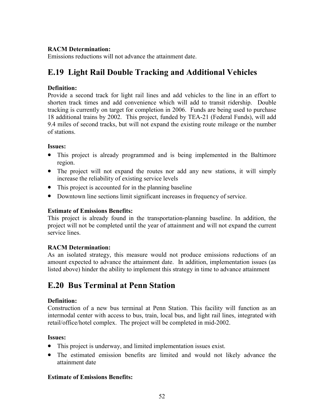## **RACM Determination:**

Emissions reductions will not advance the attainment date.

# **E.19 Light Rail Double Tracking and Additional Vehicles**

## **Definition:**

Provide a second track for light rail lines and add vehicles to the line in an effort to shorten track times and add convenience which will add to transit ridership. Double tracking is currently on target for completion in 2006. Funds are being used to purchase 18 additional trains by 2002. This project, funded by TEA-21 (Federal Funds), will add 9.4 miles of second tracks, but will not expand the existing route mileage or the number of stations.

## **Issues:**

- This project is already programmed and is being implemented in the Baltimore region.
- The project will not expand the routes nor add any new stations, it will simply increase the reliability of existing service levels
- This project is accounted for in the planning baseline
- Downtown line sections limit significant increases in frequency of service.

## **Estimate of Emissions Benefits:**

This project is already found in the transportation-planning baseline. In addition, the project will not be completed until the year of attainment and will not expand the current service lines.

# **RACM Determination:**

As an isolated strategy, this measure would not produce emissions reductions of an amount expected to advance the attainment date. In addition, implementation issues (as listed above) hinder the ability to implement this strategy in time to advance attainment

# **E.20 Bus Terminal at Penn Station**

# **Definition:**

Construction of a new bus terminal at Penn Station. This facility will function as an intermodal center with access to bus, train, local bus, and light rail lines, integrated with retail/office/hotel complex. The project will be completed in mid-2002.

## **Issues:**

- This project is underway, and limited implementation issues exist.
- The estimated emission benefits are limited and would not likely advance the attainment date

## **Estimate of Emissions Benefits:**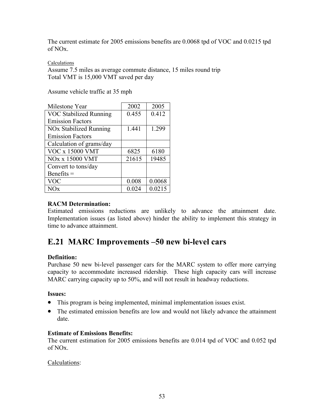The current estimate for 2005 emissions benefits are 0.0068 tpd of VOC and 0.0215 tpd of NOx.

#### Calculations

Assume 7.5 miles as average commute distance, 15 miles round trip Total VMT is 15,000 VMT saved per day

Assume vehicle traffic at 35 mph

| Milestone Year                     | 2002  | 2005   |
|------------------------------------|-------|--------|
| <b>VOC Stabilized Running</b>      | 0.455 | 0.412  |
| <b>Emission Factors</b>            |       |        |
| NO <sub>x</sub> Stabilized Running | 1.441 | 1.299  |
| <b>Emission Factors</b>            |       |        |
| Calculation of grams/day           |       |        |
| <b>VOC x 15000 VMT</b>             | 6825  | 6180   |
| <b>NOx x 15000 VMT</b>             | 21615 | 19485  |
| Convert to tons/day                |       |        |
| Benefits $=$                       |       |        |
| <b>VOC</b>                         | 0.008 | 0.0068 |
| √Оx                                | 0.024 | 0.0215 |

## **RACM Determination:**

Estimated emissions reductions are unlikely to advance the attainment date. Implementation issues (as listed above) hinder the ability to implement this strategy in time to advance attainment.

# **E.21 MARC Improvements –50 new bi-level cars**

## **Definition:**

Purchase 50 new bi-level passenger cars for the MARC system to offer more carrying capacity to accommodate increased ridership. These high capacity cars will increase MARC carrying capacity up to 50%, and will not result in headway reductions.

## **Issues:**

- This program is being implemented, minimal implementation issues exist.
- The estimated emission benefits are low and would not likely advance the attainment date.

## **Estimate of Emissions Benefits:**

The current estimation for 2005 emissions benefits are 0.014 tpd of VOC and 0.052 tpd of NOx.

## Calculations: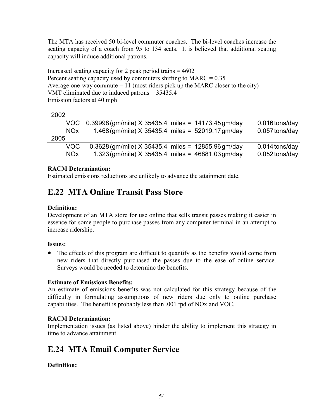The MTA has received 50 bi-level commuter coaches. The bi-level coaches increase the seating capacity of a coach from 95 to 134 seats. It is believed that additional seating capacity will induce additional patrons.

Increased seating capacity for 2 peak period trains  $= 4602$ Percent seating capacity used by commuters shifting to  $MARC = 0.35$ Average one-way commute  $= 11$  (most riders pick up the MARC closer to the city) VMT eliminated due to induced patrons = 35435.4 Emission factors at 40 mph

|                 | VOC 0.39998 (gm/mile) X 35435.4 miles = 14173.45 gm/day | $0.016$ tons/day |
|-----------------|---------------------------------------------------------|------------------|
| NO <sub>x</sub> | 1.468 (gm/mile) X 35435.4 miles = $52019.17$ gm/day     | 0.057 tons/day   |
| 2005            |                                                         |                  |
| VOC.            | $0.3628$ (gm/mile) X 35435.4 miles = 12855.96 gm/day    | $0.014$ tons/day |
| NO <sub>x</sub> | 1.323 (gm/mile) $X$ 35435.4 miles = 46881.03 gm/day     | $0.052$ tons/day |
|                 |                                                         |                  |

## **RACM Determination:**

Estimated emissions reductions are unlikely to advance the attainment date.

# **E.22 MTA Online Transit Pass Store**

## **Definition:**

Development of an MTA store for use online that sells transit passes making it easier in essence for some people to purchase passes from any computer terminal in an attempt to increase ridership.

## **Issues:**

• The effects of this program are difficult to quantify as the benefits would come from new riders that directly purchased the passes due to the ease of online service. Surveys would be needed to determine the benefits.

## **Estimate of Emissions Benefits:**

An estimate of emissions benefits was not calculated for this strategy because of the difficulty in formulating assumptions of new riders due only to online purchase capabilities. The benefit is probably less than .001 tpd of NOx and VOC.

# **RACM Determination:**

Implementation issues (as listed above) hinder the ability to implement this strategy in time to advance attainment.

# **E.24 MTA Email Computer Service**

# **Definition:**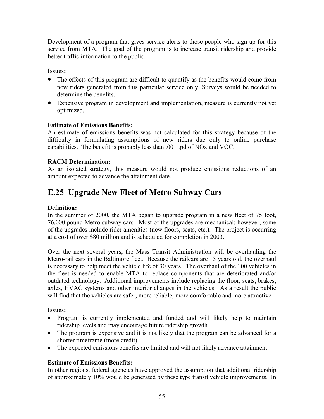Development of a program that gives service alerts to those people who sign up for this service from MTA. The goal of the program is to increase transit ridership and provide better traffic information to the public.

## **Issues:**

- The effects of this program are difficult to quantify as the benefits would come from new riders generated from this particular service only. Surveys would be needed to determine the benefits.
- Expensive program in development and implementation, measure is currently not yet optimized.

## **Estimate of Emissions Benefits:**

An estimate of emissions benefits was not calculated for this strategy because of the difficulty in formulating assumptions of new riders due only to online purchase capabilities. The benefit is probably less than .001 tpd of NOx and VOC.

# **RACM Determination:**

As an isolated strategy, this measure would not produce emissions reductions of an amount expected to advance the attainment date.

# **E.25 Upgrade New Fleet of Metro Subway Cars**

## **Definition:**

In the summer of 2000, the MTA began to upgrade program in a new fleet of 75 foot, 76,000 pound Metro subway cars. Most of the upgrades are mechanical; however, some of the upgrades include rider amenities (new floors, seats, etc.). The project is occurring at a cost of over \$80 million and is scheduled for completion in 2003.

Over the next several years, the Mass Transit Administration will be overhauling the Metro-rail cars in the Baltimore fleet. Because the railcars are 15 years old, the overhaul is necessary to help meet the vehicle life of 30 years. The overhaul of the 100 vehicles in the fleet is needed to enable MTA to replace components that are deteriorated and/or outdated technology. Additional improvements include replacing the floor, seats, brakes, axles, HVAC systems and other interior changes in the vehicles. As a result the public will find that the vehicles are safer, more reliable, more comfortable and more attractive.

## **Issues:**

- Program is currently implemented and funded and will likely help to maintain ridership levels and may encourage future ridership growth.
- The program is expensive and it is not likely that the program can be advanced for a shorter timeframe (more credit)
- The expected emissions benefits are limited and will not likely advance attainment

# **Estimate of Emissions Benefits:**

In other regions, federal agencies have approved the assumption that additional ridership of approximately 10% would be generated by these type transit vehicle improvements. In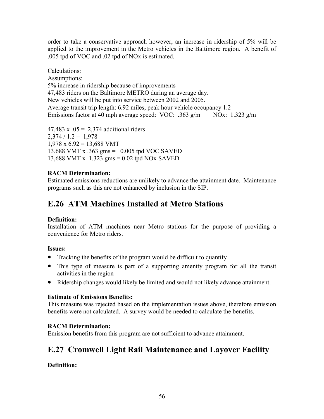order to take a conservative approach however, an increase in ridership of 5% will be applied to the improvement in the Metro vehicles in the Baltimore region. A benefit of .005 tpd of VOC and .02 tpd of NOx is estimated.

Calculations:

Assumptions: 5% increase in ridership because of improvements 47,483 riders on the Baltimore METRO during an average day. New vehicles will be put into service between 2002 and 2005. Average transit trip length: 6.92 miles, peak hour vehicle occupancy 1.2 Emissions factor at 40 mph average speed: VOC: .363 g/m NOx: 1.323 g/m

47,483 x  $.05 = 2,374$  additional riders  $2,374 / 1.2 = 1,978$  $1,978 \times 6.92 = 13,688 \text{ VMT}$ 13,688 VMT x .363 gms = 0.005 tpd VOC SAVED 13,688 VMT x 1.323 gms = 0.02 tpd NOx SAVED

# **RACM Determination:**

Estimated emissions reductions are unlikely to advance the attainment date. Maintenance programs such as this are not enhanced by inclusion in the SIP.

# **E.26 ATM Machines Installed at Metro Stations**

# **Definition:**

Installation of ATM machines near Metro stations for the purpose of providing a convenience for Metro riders.

# **Issues:**

- Tracking the benefits of the program would be difficult to quantify
- This type of measure is part of a supporting amenity program for all the transit activities in the region
- Ridership changes would likely be limited and would not likely advance attainment.

# **Estimate of Emissions Benefits:**

This measure was rejected based on the implementation issues above, therefore emission benefits were not calculated. A survey would be needed to calculate the benefits.

# **RACM Determination:**

Emission benefits from this program are not sufficient to advance attainment.

# **E.27 Cromwell Light Rail Maintenance and Layover Facility**

# **Definition:**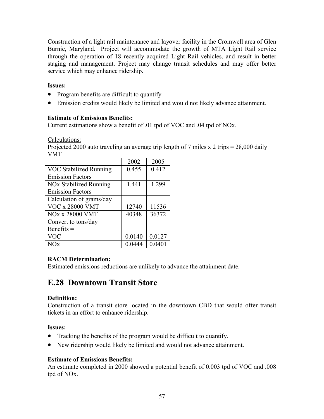Construction of a light rail maintenance and layover facility in the Cromwell area of Glen Burnie, Maryland. Project will accommodate the growth of MTA Light Rail service through the operation of 18 recently acquired Light Rail vehicles, and result in better staging and management. Project may change transit schedules and may offer better service which may enhance ridership.

## **Issues:**

- Program benefits are difficult to quantify.
- Emission credits would likely be limited and would not likely advance attainment.

## **Estimate of Emissions Benefits:**

Current estimations show a benefit of .01 tpd of VOC and .04 tpd of NOx.

Calculations:

Projected 2000 auto traveling an average trip length of 7 miles x 2 trips = 28,000 daily VMT

|                               | 2002   | 2005   |
|-------------------------------|--------|--------|
| <b>VOC Stabilized Running</b> | 0.455  | 0.412  |
| <b>Emission Factors</b>       |        |        |
| NOx Stabilized Running        | 1.441  | 1.299  |
| <b>Emission Factors</b>       |        |        |
| Calculation of grams/day      |        |        |
| <b>VOC x 28000 VMT</b>        | 12740  | 11536  |
| <b>NOx x 28000 VMT</b>        | 40348  | 36372  |
| Convert to tons/day           |        |        |
| Benefits $=$                  |        |        |
| <b>VOC</b>                    | 0.0140 | 0.0127 |
| NOx                           | 0.0444 | 0.0401 |

# **RACM Determination:**

Estimated emissions reductions are unlikely to advance the attainment date.

# **E.28 Downtown Transit Store**

## **Definition:**

Construction of a transit store located in the downtown CBD that would offer transit tickets in an effort to enhance ridership.

## **Issues:**

- Tracking the benefits of the program would be difficult to quantify.
- New ridership would likely be limited and would not advance attainment.

# **Estimate of Emissions Benefits:**

An estimate completed in 2000 showed a potential benefit of 0.003 tpd of VOC and .008 tpd of NOx.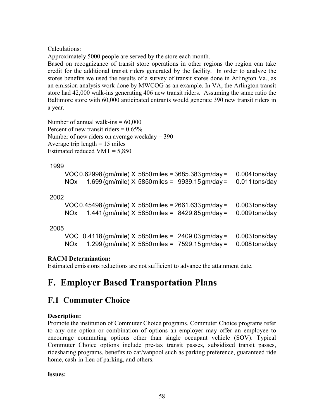Calculations:

Approximately 5000 people are served by the store each month.

Based on recognizance of transit store operations in other regions the region can take credit for the additional transit riders generated by the facility. In order to analyze the stores benefits we used the results of a survey of transit stores done in Arlington Va., as an emission analysis work done by MWCOG as an example. In VA, the Arlington transit store had 42,000 walk-ins generating 406 new transit riders. Assuming the same ratio the Baltimore store with 60,000 anticipated entrants would generate 390 new transit riders in a year.

Number of annual walk-ins  $= 60,000$ Percent of new transit riders  $= 0.65\%$ Number of new riders on average weekday  $=$  390 Average trip length  $= 15$  miles Estimated reduced VMT  $= 5,850$ 

## 1999

| VOC 0.62998 (gm/mile) $X$ 5850 miles = 3685.383 gm/day = 0.004 tons/day |                |
|-------------------------------------------------------------------------|----------------|
| NOx $1.699$ (gm/mile) X 5850 miles = 9939.15 gm/day =                   | 0.011 tons/day |

## 2002

|            |  | $VOC 0.45498$ (gm/mile) X 5850 miles = 2661.633 gm/day = | 0.003 tons/day |
|------------|--|----------------------------------------------------------|----------------|
| <b>NOX</b> |  | $1.441$ (gm/mile) X 5850 miles = 8429.85 gm/day =        | 0.009 tons/day |

## 2005

| VOC $0.4118$ (gm/mile) X 5850 miles = $2409.03$ gm/day = $0.003$ tons/day |  |  |
|---------------------------------------------------------------------------|--|--|
| NOx $1.299$ (gm/mile) X 5850 miles = 7599.15 gm/day = 0.008 tons/day      |  |  |

# **RACM Determination:**

Estimated emissions reductions are not sufficient to advance the attainment date.

# **F. Employer Based Transportation Plans**

# **F.1 Commuter Choice**

# **Description:**

Promote the institution of Commuter Choice programs. Commuter Choice programs refer to any one option or combination of options an employer may offer an employee to encourage commuting options other than single occupant vehicle (SOV). Typical Commuter Choice options include pre-tax transit passes, subsidized transit passes, ridesharing programs, benefits to car/vanpool such as parking preference, guaranteed ride home, cash-in-lieu of parking, and others.

## **Issues:**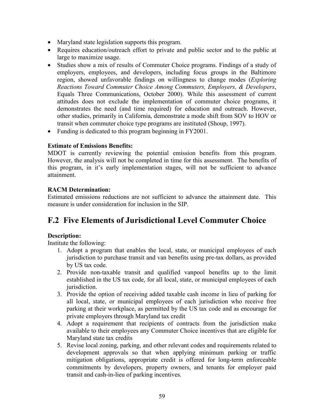- Maryland state legislation supports this program.
- Requires education/outreach effort to private and public sector and to the public at large to maximize usage.
- Studies show a mix of results of Commuter Choice programs. Findings of a study of employers, employees, and developers, including focus groups in the Baltimore region, showed unfavorable findings on willingness to change modes (*Exploring Reactions Toward Commuter Choice Among Commuters, Employers, & Developers*, Equals Three Communications, October 2000). While this assessment of current attitudes does not exclude the implementation of commuter choice programs, it demonstrates the need (and time required) for education and outreach. However, other studies, primarily in California, demonstrate a mode shift from SOV to HOV or transit when commuter choice type programs are instituted (Shoup, 1997).
- Funding is dedicated to this program beginning in FY2001.

## **Estimate of Emissions Benefits:**

MDOT is currently reviewing the potential emission benefits from this program. However, the analysis will not be completed in time for this assessment. The benefits of this program, in it's early implementation stages, will not be sufficient to advance attainment.

## **RACM Determination:**

Estimated emissions reductions are not sufficient to advance the attainment date. This measure is under consideration for inclusion in the SIP.

# **F.2 Five Elements of Jurisdictional Level Commuter Choice**

## **Description:**

Institute the following:

- 1. Adopt a program that enables the local, state, or municipal employees of each jurisdiction to purchase transit and van benefits using pre-tax dollars, as provided by US tax code.
- 2. Provide non-taxable transit and qualified vanpool benefits up to the limit established in the US tax code, for all local, state, or municipal employees of each jurisdiction.
- 3. Provide the option of receiving added taxable cash income in lieu of parking for all local, state, or municipal employees of each jurisdiction who receive free parking at their workplace, as permitted by the US tax code and as encourage for private employers through Maryland tax credit
- 4. Adopt a requirement that recipients of contracts from the jurisdiction make available to their employees any Commuter Choice incentives that are eligible for Maryland state tax credits
- 5. Revise local zoning, parking, and other relevant codes and requirements related to development approvals so that when applying minimum parking or traffic mitigation obligations, appropriate credit is offered for long-term enforceable commitments by developers, property owners, and tenants for employer paid transit and cash-in-lieu of parking incentives.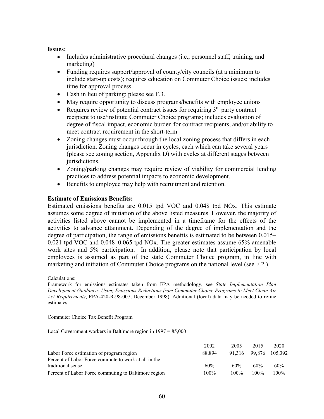#### **Issues:**

- Includes administrative procedural changes (i.e., personnel staff, training, and marketing)
- Funding requires support/approval of county/city councils (at a minimum to include start-up costs); requires education on Commuter Choice issues; includes time for approval process
- Cash in lieu of parking: please see F.3.
- May require opportunity to discuss programs/benefits with employee unions
- Requires review of potential contract issues for requiring  $3<sup>rd</sup>$  party contract recipient to use/institute Commuter Choice programs; includes evaluation of degree of fiscal impact, economic burden for contract recipients, and/or ability to meet contract requirement in the short-term
- Zoning changes must occur through the local zoning process that differs in each jurisdiction. Zoning changes occur in cycles, each which can take several years (please see zoning section, Appendix D) with cycles at different stages between jurisdictions.
- Zoning/parking changes may require review of viability for commercial lending practices to address potential impacts to economic development.
- Benefits to employee may help with recruitment and retention.

## **Estimate of Emissions Benefits:**

Estimated emissions benefits are 0.015 tpd VOC and 0.048 tpd NOx. This estimate assumes some degree of initiation of the above listed measures. However, the majority of activities listed above cannot be implemented in a timeframe for the effects of the activities to advance attainment. Depending of the degree of implementation and the degree of participation, the range of emissions benefits is estimated to be between 0.015– 0.021 tpd VOC and 0.048–0.065 tpd NOx. The greater estimates assume 65% amenable work sites and 5% participation. In addition, please note that participation by local employees is assumed as part of the state Commuter Choice program, in line with marketing and initiation of Commuter Choice programs on the national level (see F.2.).

#### Calculations:

Framework for emissions estimates taken from EPA methodology, see *State Implementation Plan Development Guidance: Using Emissions Reductions from Commuter Choice Programs to Meet Clean Air Act Requirements*, EPA-420-R-98-007, December 1998). Additional (local) data may be needed to refine estimates.

Commuter Choice Tax Benefit Program

Local Government workers in Baltimore region in 1997 = 85,000

|                                                      | 2002   | 2005 | 2015          | 2020    |
|------------------------------------------------------|--------|------|---------------|---------|
| Labor Force estimation of program region             | 88.894 |      | 91.316 99.876 | 105.392 |
| Percent of Labor Force commute to work at all in the |        |      |               |         |
| traditional sense                                    | 60%    | 60%  | 60%           | 60%     |
| Percent of Labor Force commuting to Baltimore region | 100%   | 100% | 100%          | 100%    |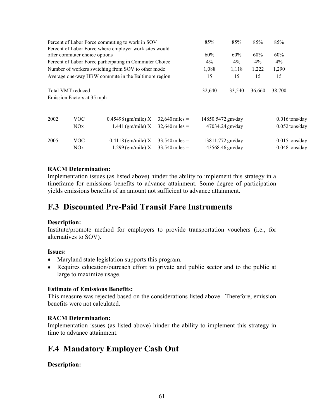|      |                               | Percent of Labor Force commuting to work in SOV<br>Percent of Labor Force where employer work sites would | 85%              | 85%               | 85%              | 85%    |                  |  |
|------|-------------------------------|-----------------------------------------------------------------------------------------------------------|------------------|-------------------|------------------|--------|------------------|--|
|      | offer commuter choice options |                                                                                                           |                  | 60%               | 60%              | 60%    | 60%              |  |
|      |                               | Percent of Labor Force participating in Commuter Choice                                                   |                  | $4\%$             | $4\%$            | $4\%$  | $4\%$            |  |
|      |                               | Number of workers switching from SOV to other mode                                                        |                  | 1,088             | 1,118            | 1,222  | 1,290            |  |
|      |                               | Average one-way HBW commute in the Baltimore region                                                       |                  | 15                | 15               | 15     | 15               |  |
|      | Total VMT reduced             |                                                                                                           |                  | 32,640            | 33,540           | 36,660 | 38,700           |  |
|      | Emission Factors at 35 mph    |                                                                                                           |                  |                   |                  |        |                  |  |
| 2002 | VOC                           | $0.45498$ (gm/mile) X                                                                                     | $32,640$ miles = | 14850.5472 gm/day |                  |        | $0.016$ tons/day |  |
|      | <b>NOx</b>                    | $1.441$ (gm/mile) X                                                                                       | $32,640$ miles = |                   | 47034.24 gm/day  |        | $0.052$ tons/day |  |
| 2005 | VOC                           | $0.4118$ (gm/mile) X                                                                                      | $33,540$ miles = |                   | 13811.772 gm/day |        | $0.015$ tons/day |  |
|      | NOx                           | $1.299$ (gm/mile) X                                                                                       | $33,540$ miles = |                   | 43568.46 gm/day  |        | $0.048$ tons/day |  |

## **RACM Determination:**

Implementation issues (as listed above) hinder the ability to implement this strategy in a timeframe for emissions benefits to advance attainment. Some degree of participation yields emissions benefits of an amount not sufficient to advance attainment.

# **F.3 Discounted Pre-Paid Transit Fare Instruments**

#### **Description:**

Institute/promote method for employers to provide transportation vouchers (i.e., for alternatives to SOV).

#### **Issues:**

- Maryland state legislation supports this program.
- Requires education/outreach effort to private and public sector and to the public at large to maximize usage.

#### **Estimate of Emissions Benefits:**

This measure was rejected based on the considerations listed above. Therefore, emission benefits were not calculated.

#### **RACM Determination:**

Implementation issues (as listed above) hinder the ability to implement this strategy in time to advance attainment.

# **F.4 Mandatory Employer Cash Out**

## **Description:**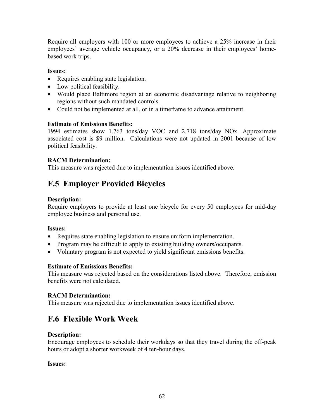Require all employers with 100 or more employees to achieve a 25% increase in their employees' average vehicle occupancy, or a 20% decrease in their employees' homebased work trips.

## **Issues:**

- Requires enabling state legislation.
- Low political feasibility.
- Would place Baltimore region at an economic disadvantage relative to neighboring regions without such mandated controls.
- Could not be implemented at all, or in a timeframe to advance attainment.

## **Estimate of Emissions Benefits:**

1994 estimates show 1.763 tons/day VOC and 2.718 tons/day NOx. Approximate associated cost is \$9 million. Calculations were not updated in 2001 because of low political feasibility.

## **RACM Determination:**

This measure was rejected due to implementation issues identified above.

# **F.5 Employer Provided Bicycles**

## **Description:**

Require employers to provide at least one bicycle for every 50 employees for mid-day employee business and personal use.

## **Issues:**

- Requires state enabling legislation to ensure uniform implementation.
- Program may be difficult to apply to existing building owners/occupants.
- Voluntary program is not expected to yield significant emissions benefits.

## **Estimate of Emissions Benefits:**

This measure was rejected based on the considerations listed above. Therefore, emission benefits were not calculated.

## **RACM Determination:**

This measure was rejected due to implementation issues identified above.

# **F.6 Flexible Work Week**

## **Description:**

Encourage employees to schedule their workdays so that they travel during the off-peak hours or adopt a shorter workweek of 4 ten-hour days.

## **Issues:**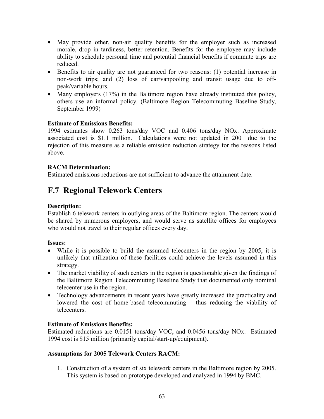- May provide other, non-air quality benefits for the employer such as increased morale, drop in tardiness, better retention. Benefits for the employee may include ability to schedule personal time and potential financial benefits if commute trips are reduced.
- Benefits to air quality are not guaranteed for two reasons: (1) potential increase in non-work trips; and (2) loss of car/vanpooling and transit usage due to offpeak/variable hours.
- Many employers (17%) in the Baltimore region have already instituted this policy, others use an informal policy. (Baltimore Region Telecommuting Baseline Study, September 1999)

## **Estimate of Emissions Benefits:**

1994 estimates show 0.263 tons/day VOC and 0.406 tons/day NOx. Approximate associated cost is \$1.1 million. Calculations were not updated in 2001 due to the rejection of this measure as a reliable emission reduction strategy for the reasons listed above.

## **RACM Determination:**

Estimated emissions reductions are not sufficient to advance the attainment date.

# **F.7 Regional Telework Centers**

# **Description:**

Establish 6 telework centers in outlying areas of the Baltimore region. The centers would be shared by numerous employers, and would serve as satellite offices for employees who would not travel to their regular offices every day.

## **Issues:**

- While it is possible to build the assumed telecenters in the region by 2005, it is unlikely that utilization of these facilities could achieve the levels assumed in this strategy.
- The market viability of such centers in the region is questionable given the findings of the Baltimore Region Telecommuting Baseline Study that documented only nominal telecenter use in the region.
- Technology advancements in recent years have greatly increased the practicality and lowered the cost of home-based telecommuting – thus reducing the viability of telecenters.

## **Estimate of Emissions Benefits:**

Estimated reductions are 0.0151 tons/day VOC, and 0.0456 tons/day NOx. Estimated 1994 cost is \$15 million (primarily capital/start-up/equipment).

## **Assumptions for 2005 Telework Centers RACM:**

1. Construction of a system of six telework centers in the Baltimore region by 2005. This system is based on prototype developed and analyzed in 1994 by BMC.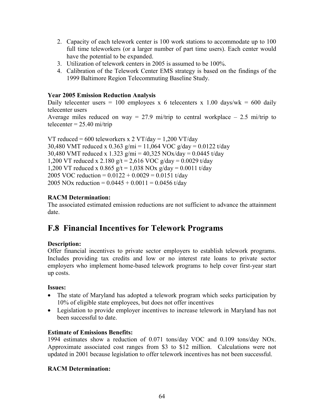- 2. Capacity of each telework center is 100 work stations to accommodate up to 100 full time teleworkers (or a larger number of part time users). Each center would have the potential to be expanded.
- 3. Utilization of telework centers in 2005 is assumed to be 100%.
- 4. Calibration of the Telework Center EMS strategy is based on the findings of the 1999 Baltimore Region Telecommuting Baseline Study.

## **Year 2005 Emission Reduction Analysis**

Daily telecenter users = 100 employees x 6 telecenters x 1.00 days/wk = 600 daily telecenter users

Average miles reduced on way = 27.9 mi/trip to central workplace  $-$  2.5 mi/trip to telecenter  $= 25.40$  mi/trip

VT reduced = 600 teleworkers x 2 VT/day = 1,200 VT/day 30,480 VMT reduced x 0.363 g/mi = 11,064 VOC g/day = 0.0122 t/day 30,480 VMT reduced x 1.323 g/mi = 40,325 NOx/day = 0.0445 t/day 1,200 VT reduced x 2.180  $g/t = 2,616$  VOC  $g/day = 0.0029$  t/day 1,200 VT reduced x 0.865  $g/t = 1,038$  NOx  $g/day = 0.0011$  t/day 2005 VOC reduction =  $0.0122 + 0.0029 = 0.0151$  t/day 2005 NOx reduction =  $0.0445 + 0.0011 = 0.0456$  t/day

# **RACM Determination:**

The associated estimated emission reductions are not sufficient to advance the attainment date.

# **F.8 Financial Incentives for Telework Programs**

## **Description:**

Offer financial incentives to private sector employers to establish telework programs. Includes providing tax credits and low or no interest rate loans to private sector employers who implement home-based telework programs to help cover first-year start up costs.

## **Issues:**

- The state of Maryland has adopted a telework program which seeks participation by 10% of eligible state employees, but does not offer incentives
- Legislation to provide employer incentives to increase telework in Maryland has not been successful to date.

## **Estimate of Emissions Benefits:**

1994 estimates show a reduction of 0.071 tons/day VOC and 0.109 tons/day NOx. Approximate associated cost ranges from \$3 to \$12 million. Calculations were not updated in 2001 because legislation to offer telework incentives has not been successful.

## **RACM Determination:**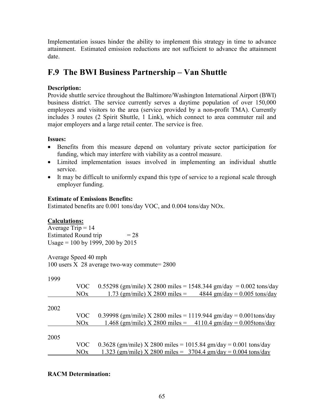Implementation issues hinder the ability to implement this strategy in time to advance attainment. Estimated emission reductions are not sufficient to advance the attainment date.

# **F.9 The BWI Business Partnership – Van Shuttle**

# **Description:**

Provide shuttle service throughout the Baltimore/Washington International Airport (BWI) business district. The service currently serves a daytime population of over 150,000 employees and visitors to the area (service provided by a non-profit TMA). Currently includes 3 routes (2 Spirit Shuttle, 1 Link), which connect to area commuter rail and major employers and a large retail center. The service is free.

# **Issues:**

- Benefits from this measure depend on voluntary private sector participation for funding, which may interfere with viability as a control measure.
- Limited implementation issues involved in implementing an individual shuttle service.
- It may be difficult to uniformly expand this type of service to a regional scale through employer funding.

# **Estimate of Emissions Benefits:**

Estimated benefits are 0.001 tons/day VOC, and 0.004 tons/day NOx.

# **Calculations:**

Average Trip  $= 14$ Estimated Round trip  $= 28$ Usage = 100 by 1999, 200 by 2015

Average Speed 40 mph 100 users X 28 average two-way commute= 2800

1000

| ーフフフ |      |                                                                              |
|------|------|------------------------------------------------------------------------------|
|      | VOC  | 0.55298 (gm/mile) X 2800 miles = 1548.344 gm/day = 0.002 tons/day            |
|      | NOx  | 1.73 (gm/mile) X 2800 miles = $4844 \text{ gm/day} = 0.005 \text{ tons/day}$ |
| 2002 |      |                                                                              |
|      |      |                                                                              |
|      | VOC. | 0.39998 (gm/mile) X 2800 miles = 1119.944 gm/day = 0.001 tons/day            |
|      | NOx  | 1.468 (gm/mile) X 2800 miles = $4110.4$ gm/day = 0.005tons/day               |
| 2005 |      |                                                                              |
|      | VOC. | 0.3628 (gm/mile) X 2800 miles = 1015.84 gm/day = 0.001 tons/day              |
|      | NOx  | 1.323 (gm/mile) X 2800 miles = $3704.4$ gm/day = 0.004 tons/day              |

# **RACM Determination:**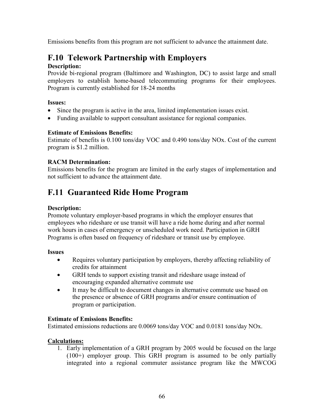Emissions benefits from this program are not sufficient to advance the attainment date.

# **F.10 Telework Partnership with Employers**

## **Description:**

Provide bi-regional program (Baltimore and Washington, DC) to assist large and small employers to establish home-based telecommuting programs for their employees. Program is currently established for 18-24 months

## **Issues:**

- Since the program is active in the area, limited implementation issues exist.
- Funding available to support consultant assistance for regional companies.

## **Estimate of Emissions Benefits:**

Estimate of benefits is 0.100 tons/day VOC and 0.490 tons/day NOx. Cost of the current program is \$1.2 million.

# **RACM Determination:**

Emissions benefits for the program are limited in the early stages of implementation and not sufficient to advance the attainment date.

# **F.11 Guaranteed Ride Home Program**

## **Description:**

Promote voluntary employer-based programs in which the employer ensures that employees who rideshare or use transit will have a ride home during and after normal work hours in cases of emergency or unscheduled work need. Participation in GRH Programs is often based on frequency of rideshare or transit use by employee.

## **Issues**

- Requires voluntary participation by employers, thereby affecting reliability of credits for attainment
- GRH tends to support existing transit and rideshare usage instead of encouraging expanded alternative commute use
- It may be difficult to document changes in alternative commute use based on the presence or absence of GRH programs and/or ensure continuation of program or participation.

## **Estimate of Emissions Benefits:**

Estimated emissions reductions are 0.0069 tons/day VOC and 0.0181 tons/day NOx.

## **Calculations:**

1. Early implementation of a GRH program by 2005 would be focused on the large (100+) employer group. This GRH program is assumed to be only partially integrated into a regional commuter assistance program like the MWCOG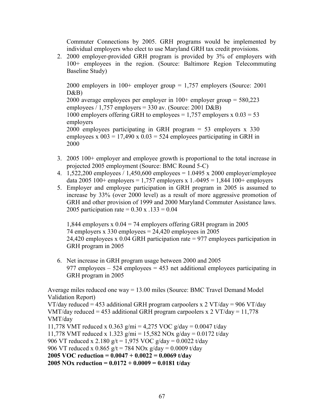Commuter Connections by 2005. GRH programs would be implemented by individual employers who elect to use Maryland GRH tax credit provisions.

2. 2000 employer-provided GRH program is provided by 3% of employers with 100+ employees in the region. (Source: Baltimore Region Telecommuting Baseline Study)

2000 employers in 100+ employer group = 1,757 employers (Source: 2001 D&B) 2000 average employees per employer in 100+ employer group = 580,223 employees /  $1,757$  employers = 330 av. (Source: 2001 D&B) 1000 employers offering GRH to employees =  $1,757$  employers x  $0.03 = 53$ employers 2000 employees participating in GRH program = 53 employers x 330 employees x  $003 = 17,490$  x  $0.03 = 524$  employees participating in GRH in 2000

- 3. 2005 100+ employer and employee growth is proportional to the total increase in projected 2005 employment (Source: BMC Round 5-C)
- 4. 1,522,200 employees / 1,450,600 employees = 1.0495 x 2000 employer/employee data 2005 100+ employers = 1,757 employers x 1.-0495 = 1,844 100+ employers
- 5. Employer and employee participation in GRH program in 2005 is assumed to increase by 33% (over 2000 level) as a result of more aggressive promotion of GRH and other provision of 1999 and 2000 Maryland Commuter Assistance laws. 2005 participation rate =  $0.30 \times 0.133 = 0.04$

1,844 employers x  $0.04 = 74$  employers offering GRH program in 2005 74 employers x 330 employees  $= 24,420$  employees in 2005 24,420 employees x 0.04 GRH participation rate = 977 employees participation in GRH program in 2005

6. Net increase in GRH program usage between 2000 and 2005 977 employees  $-524$  employees  $= 453$  net additional employees participating in GRH program in 2005

Average miles reduced one way = 13.00 miles (Source: BMC Travel Demand Model Validation Report) VT/day reduced = 453 additional GRH program carpoolers x 2 VT/day = 906 VT/day VMT/day reduced = 453 additional GRH program carpoolers x  $2 \text{ VT}/\text{day} = 11,778$ VMT/day 11,778 VMT reduced x 0.363 g/mi = 4,275 VOC g/day = 0.0047 t/day 11,778 VMT reduced x 1.323 g/mi = 15,582 NOx g/day =  $0.0172$  t/day 906 VT reduced x 2.180  $g/t = 1.975$  VOC  $g/day = 0.0022$  t/day 906 VT reduced x 0.865  $g/t = 784$  NOx  $g/day = 0.0009$  t/day **2005 VOC reduction = 0.0047 + 0.0022 = 0.0069 t/day 2005 NOx reduction = 0.0172 + 0.0009 = 0.0181 t/day**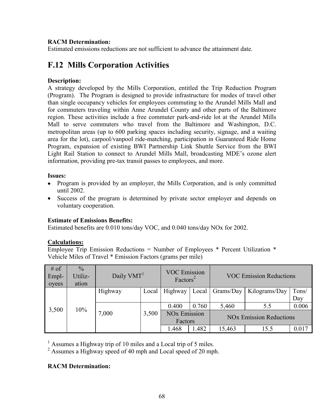## **RACM Determination:**

Estimated emissions reductions are not sufficient to advance the attainment date.

# **F.12 Mills Corporation Activities**

### **Description:**

A strategy developed by the Mills Corporation, entitled the Trip Reduction Program (Program). The Program is designed to provide infrastructure for modes of travel other than single occupancy vehicles for employees commuting to the Arundel Mills Mall and for commuters traveling within Anne Arundel County and other parts of the Baltimore region. These activities include a free commuter park-and-ride lot at the Arundel Mills Mall to serve commuters who travel from the Baltimore and Washington, D.C. metropolitan areas (up to 600 parking spaces including security, signage, and a waiting area for the lot), carpool/vanpool ride-matching, participation in Guaranteed Ride Home Program, expansion of existing BWI Partnership Link Shuttle Service from the BWI Light Rail Station to connect to Arundel Mills Mall, broadcasting MDE's ozone alert information, providing pre-tax transit passes to employees, and more.

#### **Issues:**

- Program is provided by an employer, the Mills Corporation, and is only committed until 2002.
- Success of the program is determined by private sector employer and depends on voluntary cooperation.

## **Estimate of Emissions Benefits:**

Estimated benefits are 0.010 tons/day VOC, and 0.040 tons/day NOx for 2002.

## **Calculations:**

Employee Trip Emission Reductions = Number of Employees  $*$  Percent Utilization  $*$ Vehicle Miles of Travel \* Emission Factors (grams per mile)

| $#$ of<br>Empl-<br>oyees | $\frac{0}{0}$<br>Utiliz-<br>ation | Daily VMT <sup>1</sup> |       | <b>VOC Emission</b><br>Factors <sup>2</sup> |       | <b>VOC Emission Reductions</b> |                                           |       |
|--------------------------|-----------------------------------|------------------------|-------|---------------------------------------------|-------|--------------------------------|-------------------------------------------|-------|
|                          |                                   | Highway                | Local | Highway                                     | Local | Grams/Day                      | Kilograms/Day                             | Tons/ |
|                          |                                   |                        |       |                                             |       |                                |                                           | Day   |
| 3,500                    | 10%                               |                        |       | 0.400                                       | 0.760 | 5,460                          | 5.5                                       | 0.006 |
|                          |                                   | 7,000                  | 3,500 | <b>NO<sub>x</sub></b> Emission              |       |                                | <b>NO<sub>x</sub></b> Emission Reductions |       |
|                          |                                   |                        |       | Factors                                     |       |                                |                                           |       |
|                          |                                   |                        |       | 1.468                                       | .482  | 15,463                         | 15.5                                      | 0.017 |

<sup>1</sup> Assumes a Highway trip of 10 miles and a Local trip of 5 miles.

<sup>2</sup> Assumes a Highway speed of 40 mph and Local speed of 20 mph.

## **RACM Determination:**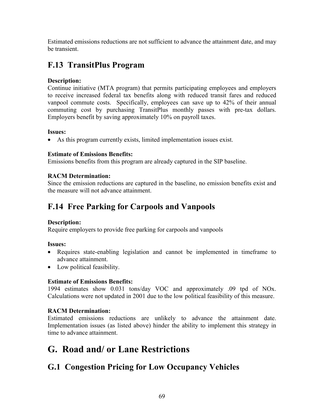Estimated emissions reductions are not sufficient to advance the attainment date, and may be transient.

# **F.13 TransitPlus Program**

## **Description:**

Continue initiative (MTA program) that permits participating employees and employers to receive increased federal tax benefits along with reduced transit fares and reduced vanpool commute costs. Specifically, employees can save up to 42% of their annual commuting cost by purchasing TransitPlus monthly passes with pre-tax dollars. Employers benefit by saving approximately 10% on payroll taxes.

## **Issues:**

• As this program currently exists, limited implementation issues exist.

## **Estimate of Emissions Benefits:**

Emissions benefits from this program are already captured in the SIP baseline.

## **RACM Determination:**

Since the emission reductions are captured in the baseline, no emission benefits exist and the measure will not advance attainment.

# **F.14 Free Parking for Carpools and Vanpools**

## **Description:**

Require employers to provide free parking for carpools and vanpools

## **Issues:**

- Requires state-enabling legislation and cannot be implemented in timeframe to advance attainment.
- Low political feasibility.

# **Estimate of Emissions Benefits:**

1994 estimates show 0.031 tons/day VOC and approximately .09 tpd of NOx. Calculations were not updated in 2001 due to the low political feasibility of this measure.

# **RACM Determination:**

Estimated emissions reductions are unlikely to advance the attainment date. Implementation issues (as listed above) hinder the ability to implement this strategy in time to advance attainment.

# **G. Road and/ or Lane Restrictions**

# **G.1 Congestion Pricing for Low Occupancy Vehicles**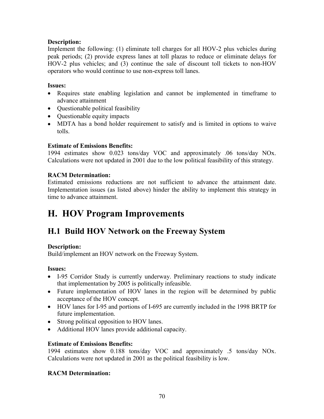## **Description:**

Implement the following: (1) eliminate toll charges for all HOV-2 plus vehicles during peak periods; (2) provide express lanes at toll plazas to reduce or eliminate delays for HOV-2 plus vehicles; and (3) continue the sale of discount toll tickets to non-HOV operators who would continue to use non-express toll lanes.

## **Issues:**

- Requires state enabling legislation and cannot be implemented in timeframe to advance attainment
- Ouestionable political feasibility
- Questionable equity impacts
- MDTA has a bond holder requirement to satisfy and is limited in options to waive tolls.

## **Estimate of Emissions Benefits:**

1994 estimates show 0.023 tons/day VOC and approximately .06 tons/day NOx. Calculations were not updated in 2001 due to the low political feasibility of this strategy.

# **RACM Determination:**

Estimated emissions reductions are not sufficient to advance the attainment date. Implementation issues (as listed above) hinder the ability to implement this strategy in time to advance attainment.

# **H. HOV Program Improvements**

# **H.1 Build HOV Network on the Freeway System**

## **Description:**

Build/implement an HOV network on the Freeway System.

## **Issues:**

- I-95 Corridor Study is currently underway. Preliminary reactions to study indicate that implementation by 2005 is politically infeasible.
- Future implementation of HOV lanes in the region will be determined by public acceptance of the HOV concept.
- HOV lanes for I-95 and portions of I-695 are currently included in the 1998 BRTP for future implementation.
- Strong political opposition to HOV lanes.
- Additional HOV lanes provide additional capacity.

# **Estimate of Emissions Benefits:**

1994 estimates show 0.188 tons/day VOC and approximately .5 tons/day NOx. Calculations were not updated in 2001 as the political feasibility is low.

## **RACM Determination:**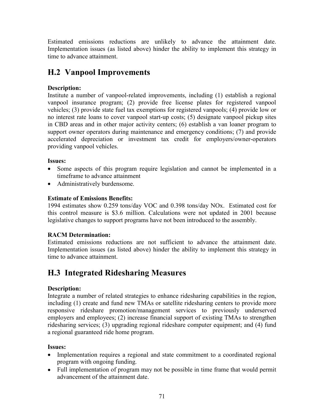Estimated emissions reductions are unlikely to advance the attainment date. Implementation issues (as listed above) hinder the ability to implement this strategy in time to advance attainment.

# **H.2 Vanpool Improvements**

# **Description:**

Institute a number of vanpool-related improvements, including (1) establish a regional vanpool insurance program; (2) provide free license plates for registered vanpool vehicles; (3) provide state fuel tax exemptions for registered vanpools; (4) provide low or no interest rate loans to cover vanpool start-up costs; (5) designate vanpool pickup sites in CBD areas and in other major activity centers; (6) establish a van loaner program to support owner operators during maintenance and emergency conditions; (7) and provide accelerated depreciation or investment tax credit for employers/owner-operators providing vanpool vehicles.

# **Issues:**

- Some aspects of this program require legislation and cannot be implemented in a timeframe to advance attainment
- Administratively burdensome.

# **Estimate of Emissions Benefits:**

1994 estimates show 0.259 tons/day VOC and 0.398 tons/day NOx. Estimated cost for this control measure is \$3.6 million. Calculations were not updated in 2001 because legislative changes to support programs have not been introduced to the assembly.

# **RACM Determination:**

Estimated emissions reductions are not sufficient to advance the attainment date. Implementation issues (as listed above) hinder the ability to implement this strategy in time to advance attainment.

# **H.3 Integrated Ridesharing Measures**

# **Description:**

Integrate a number of related strategies to enhance ridesharing capabilities in the region, including (1) create and fund new TMAs or satellite ridesharing centers to provide more responsive rideshare promotion/management services to previously underserved employers and employees; (2) increase financial support of existing TMAs to strengthen ridesharing services; (3) upgrading regional rideshare computer equipment; and (4) fund a regional guaranteed ride home program.

# **Issues:**

- Implementation requires a regional and state commitment to a coordinated regional program with ongoing funding.
- Full implementation of program may not be possible in time frame that would permit advancement of the attainment date.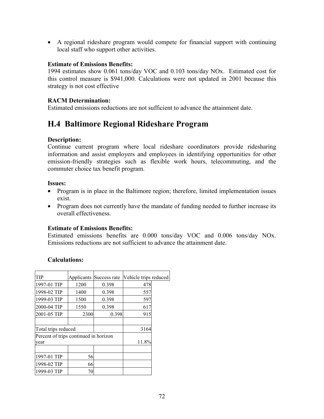• A regional rideshare program would compete for financial support with continuing local staff who support other activities.

#### **Estimate of Emissions Benefits:**

1994 estimates show 0.061 tons/day VOC and 0.103 tons/day NOx. Estimated cost for this control measure is \$941,000. Calculations were not updated in 2001 because this strategy is not cost effective

### **RACM Determination:**

Estimated emissions reductions are not sufficient to advance the attainment date.

# **H.4 Baltimore Regional Rideshare Program**

#### **Description:**

Continue current program where local rideshare coordinators provide ridesharing information and assist employers and employees in identifying opportunities for other emission-friendly strategies such as flexible work hours, telecommuting, and the commuter choice tax benefit program.

#### **Issues:**

- Program is in place in the Baltimore region; therefore, limited implementation issues exist.
- Program does not currently have the mandate of funding needed to further increase its overall effectiveness.

#### **Estimate of Emissions Benefits:**

Estimated emissions benefits are 0.000 tons/day VOC and 0.006 tons/day NOx. Emissions reductions are not sufficient to advance the attainment date.

#### **Calculations:**

| TIP                                   | Applicants | Success rate | Vehicle trips reduced |  |
|---------------------------------------|------------|--------------|-----------------------|--|
| 1997-01 TIP                           | 1200       | 0.398        | 478                   |  |
| 1998-02 TIP                           | 1400       | 0.398        | 557                   |  |
| 1999-03 TIP                           | 1500       | 0.398        | 597                   |  |
| 2000-04 TIP                           | 1550       | 0.398        | 617                   |  |
| 2001-05 TIP                           | 2300       | 0.398        | 915                   |  |
|                                       |            |              |                       |  |
| Total trips reduced                   |            |              | 3164                  |  |
| Percent of trips continued in horizon |            |              |                       |  |
| year                                  |            |              | 11.8%                 |  |
|                                       |            |              |                       |  |
| 1997-01 TIP                           | 56         |              |                       |  |
| 1998-02 TIP                           | 66         |              |                       |  |
| 1999-03 TIP                           | 70         |              |                       |  |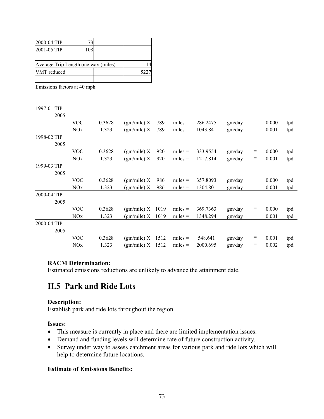| 2000-04 TIP                         |  |     |
|-------------------------------------|--|-----|
| 2001-05 TIP                         |  |     |
|                                     |  |     |
| Average Trip Length one way (miles) |  |     |
| VMT reduced                         |  | 522 |
|                                     |  |     |

Emissions factors at 40 mph

#### 1997-01 TIP

| 2005 |
|------|

|             |            | 0.3628 |                    |      |           | 286.2475 |        | $=$ |       |     |
|-------------|------------|--------|--------------------|------|-----------|----------|--------|-----|-------|-----|
|             | <b>VOC</b> |        | (gm/mile) X        | 789  | $miles =$ |          | gm/day |     | 0.000 | tpd |
|             | <b>NOx</b> | 1.323  | (gm/mile) X        | 789  | $miles =$ | 1043.841 | gm/day | $=$ | 0.001 | tpd |
| 1998-02 TIP |            |        |                    |      |           |          |        |     |       |     |
| 2005        |            |        |                    |      |           |          |        |     |       |     |
|             | <b>VOC</b> | 0.3628 | (gm/mile) X        | 920  | $miles =$ | 333.9554 | gm/day | $=$ | 0.000 | tpd |
|             | <b>NOx</b> | 1.323  | (gm/mile) X        | 920  | $miles =$ | 1217.814 | gm/day | $=$ | 0.001 | tpd |
| 1999-03 TIP |            |        |                    |      |           |          |        |     |       |     |
| 2005        |            |        |                    |      |           |          |        |     |       |     |
|             | <b>VOC</b> | 0.3628 | (gm/mile) X        | 986  | $miles =$ | 357.8093 | gm/day | $=$ | 0.000 | tpd |
|             | NOx        | 1.323  | (gm/mile) X        | 986  | $miles =$ | 1304.801 | gm/day | $=$ | 0.001 | tpd |
| 2000-04 TIP |            |        |                    |      |           |          |        |     |       |     |
| 2005        |            |        |                    |      |           |          |        |     |       |     |
|             | <b>VOC</b> | 0.3628 | $\text{g}$ mile) X | 1019 | $miles =$ | 369.7363 | gm/day | $=$ | 0.000 | tpd |
|             | <b>NOx</b> | 1.323  | (gm/mile) X        | 1019 | $miles =$ | 1348.294 | gm/day | $=$ | 0.001 | tpd |
| 2000-04 TIP |            |        |                    |      |           |          |        |     |       |     |
| 2005        |            |        |                    |      |           |          |        |     |       |     |
|             | <b>VOC</b> | 0.3628 | (gm/mile) X        | 1512 | $miles =$ | 548.641  | gm/day | $=$ | 0.001 | tpd |
|             | NOx        | 1.323  | (gm/mile) X        | 1512 | $miles =$ | 2000.695 | gm/day | =   | 0.002 | tpd |

#### **RACM Determination:**

Estimated emissions reductions are unlikely to advance the attainment date.

### **H.5 Park and Ride Lots**

#### **Description:**

Establish park and ride lots throughout the region.

#### **Issues:**

- This measure is currently in place and there are limited implementation issues.
- Demand and funding levels will determine rate of future construction activity.
- Survey under way to assess catchment areas for various park and ride lots which will help to determine future locations.

#### **Estimate of Emissions Benefits:**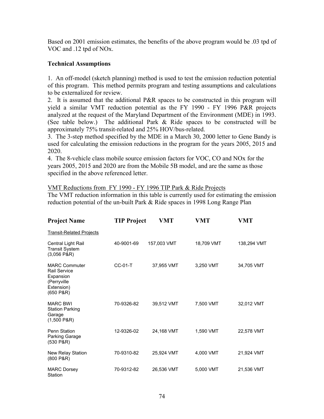Based on 2001 emission estimates, the benefits of the above program would be .03 tpd of VOC and .12 tpd of NOx.

#### **Technical Assumptions**

1. An off-model (sketch planning) method is used to test the emission reduction potential of this program. This method permits program and testing assumptions and calculations to be externalized for review.

2. It is assumed that the additional P&R spaces to be constructed in this program will yield a similar VMT reduction potential as the FY 1990 - FY 1996 P&R projects analyzed at the request of the Maryland Department of the Environment (MDE) in 1993. (See table below.) The additional Park & Ride spaces to be constructed will be approximately 75% transit-related and 25% HOV/bus-related.

3. The 3-step method specified by the MDE in a March 30, 2000 letter to Gene Bandy is used for calculating the emission reductions in the program for the years 2005, 2015 and 2020.

4. The 8-vehicle class mobile source emission factors for VOC, CO and NOx for the years 2005, 2015 and 2020 are from the Mobile 5B model, and are the same as those specified in the above referenced letter.

#### VMT Reductions from FY 1990 - FY 1996 TIP Park & Ride Projects

The VMT reduction information in this table is currently used for estimating the emission reduction potential of the un-built Park & Ride spaces in 1998 Long Range Plan

| <b>Project Name</b>                                                                         | <b>TIP Project</b> | VMT         | <b>VMT</b> | VMT         |
|---------------------------------------------------------------------------------------------|--------------------|-------------|------------|-------------|
| <b>Transit-Related Projects</b>                                                             |                    |             |            |             |
| Central Light Rail<br><b>Transit System</b><br>(3,056 P&R)                                  | 40-9001-69         | 157,003 VMT | 18,709 VMT | 138,294 VMT |
| <b>MARC Commuter</b><br>Rail Service<br>Expansion<br>(Perryville<br>Extension)<br>(650 P&R) | <b>CC-01-T</b>     | 37,955 VMT  | 3,250 VMT  | 34,705 VMT  |
| <b>MARC BWI</b><br><b>Station Parking</b><br>Garage<br>$(1,500$ P&R)                        | 70-9326-82         | 39,512 VMT  | 7,500 VMT  | 32,012 VMT  |
| <b>Penn Station</b><br>Parking Garage<br>(530 P&R)                                          | 12-9326-02         | 24,168 VMT  | 1.590 VMT  | 22,578 VMT  |
| New Relay Station<br>(800 P&R)                                                              | 70-9310-82         | 25,924 VMT  | 4,000 VMT  | 21,924 VMT  |
| <b>MARC Dorsey</b><br>Station                                                               | 70-9312-82         | 26,536 VMT  | 5,000 VMT  | 21,536 VMT  |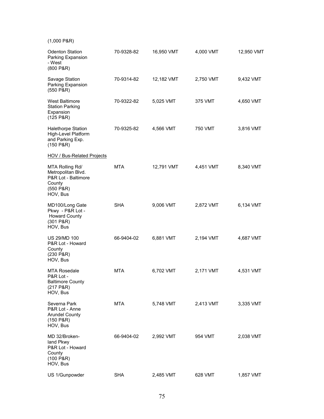| $(1,000$ P&R)                                                                                   |            |            |           |            |
|-------------------------------------------------------------------------------------------------|------------|------------|-----------|------------|
| <b>Odenton Station</b><br>Parking Expansion<br>- West<br>(800 P&R)                              | 70-9328-82 | 16,950 VMT | 4,000 VMT | 12,950 VMT |
| Savage Station<br>Parking Expansion<br>(550 P&R)                                                | 70-9314-82 | 12,182 VMT | 2,750 VMT | 9,432 VMT  |
| <b>West Baltimore</b><br><b>Station Parking</b><br>Expansion<br>(125 P&R)                       | 70-9322-82 | 5,025 VMT  | 375 VMT   | 4,650 VMT  |
| Halethorpe Station<br>High-Level Platform<br>and Parking Exp.<br>(150 P&R)                      | 70-9325-82 | 4,566 VMT  | 750 VMT   | 3,816 VMT  |
| <b>HOV / Bus-Related Projects</b>                                                               |            |            |           |            |
| MTA Rolling Rd/<br>Metropolitan Blvd.<br>P&R Lot - Baltimore<br>County<br>(550 P&R)<br>HOV, Bus | <b>MTA</b> | 12,791 VMT | 4,451 VMT | 8,340 VMT  |
| MD100/Long Gate<br>Pkwy - P&R Lot -<br><b>Howard County</b><br>(301 P&R)<br>HOV, Bus            | <b>SHA</b> | 9,006 VMT  | 2,872 VMT | 6,134 VMT  |
| <b>US 29/MD 100</b><br>P&R Lot - Howard<br>County<br>(230 P&R)<br>HOV, Bus                      | 66-9404-02 | 6,881 VMT  | 2,194 VMT | 4,687 VMT  |
| <b>MTA Rosedale</b><br>P&R Lot -<br><b>Baltimore County</b><br>(217 P&R)<br>HOV, Bus            | MTA        | 6,702 VMT  | 2,171 VMT | 4,531 VMT  |
| Severna Park<br>P&R Lot - Anne<br><b>Arundel County</b><br>(150 P&R)<br>HOV, Bus                | MTA        | 5,748 VMT  | 2,413 VMT | 3,335 VMT  |
| MD 32/Broken-<br>land Pkwy<br>P&R Lot - Howard<br>County<br>(100 P&R)<br>HOV, Bus               | 66-9404-02 | 2,992 VMT  | 954 VMT   | 2,038 VMT  |
| US 1/Gunpowder                                                                                  | <b>SHA</b> | 2,485 VMT  | 628 VMT   | 1,857 VMT  |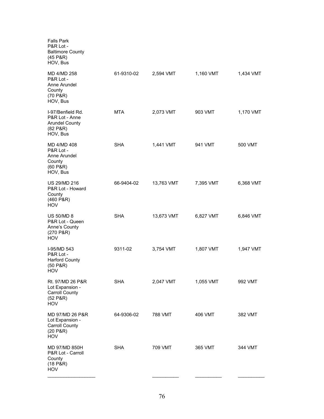| <b>Falls Park</b><br>P&R Lot -<br><b>Baltimore County</b><br>(45 P&R)<br>HOV, Bus      |            |            |           |           |
|----------------------------------------------------------------------------------------|------------|------------|-----------|-----------|
| MD 4/MD 258<br>P&R Lot -<br>Anne Arundel<br>County<br>(70 P & R)<br>HOV, Bus           | 61-9310-02 | 2,594 VMT  | 1,160 VMT | 1,434 VMT |
| I-97/Benfield Rd.<br>P&R Lot - Anne<br><b>Arundel County</b><br>(82 P & R)<br>HOV, Bus | MTA        | 2,073 VMT  | 903 VMT   | 1,170 VMT |
| MD 4/MD 408<br>P&R Lot -<br>Anne Arundel<br>County<br>(60 P & R)<br>HOV, Bus           | <b>SHA</b> | 1,441 VMT  | 941 VMT   | 500 VMT   |
| <b>US 29/MD 216</b><br>P&R Lot - Howard<br>County<br>(460 P&R)<br>HOV                  | 66-9404-02 | 13,763 VMT | 7,395 VMT | 6,368 VMT |
| <b>US 50/MD 8</b><br>P&R Lot - Queen<br>Anne's County<br>(270 P&R)<br>HOV              | <b>SHA</b> | 13,673 VMT | 6,827 VMT | 6,846 VMT |
| I-95/MD 543<br>P&R Lot -<br><b>Harford County</b><br>(50 P&R)<br>HOV                   | 9311-02    | 3,754 VMT  | 1,807 VMT | 1,947 VMT |
| Rt. 97/MD 26 P&R<br>Lot Expansion -<br><b>Carroll County</b><br>(52 P&R)<br>HOV        | <b>SHA</b> | 2,047 VMT  | 1,055 VMT | 992 VMT   |
| MD 97/MD 26 P&R<br>Lot Expansion -<br><b>Carroll County</b><br>(20 P&R)<br>HOV         | 64-9306-02 | 788 VMT    | 406 VMT   | 382 VMT   |
| MD 97/MD 850H<br>P&R Lot - Carroll<br>County<br>(18 P & R)<br>HOV                      | <b>SHA</b> | 709 VMT    | 365 VMT   | 344 VMT   |
|                                                                                        |            |            |           |           |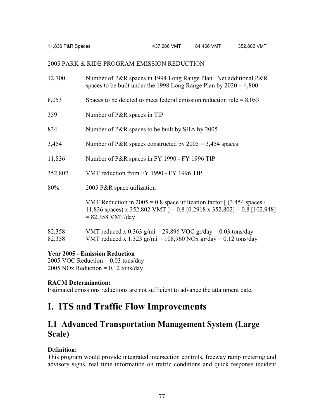11,836 P&R Spaces 437,286 VMT 84,466 VMT 352,802 VMT

#### 2005 PARK & RIDE PROGRAM EMISSION REDUCTION

| 12,700           | Number of P&R spaces in 1994 Long Range Plan. Net additional P&R<br>spaces to be built under the 1998 Long Range Plan by $2020 = 4,800$                                             |
|------------------|-------------------------------------------------------------------------------------------------------------------------------------------------------------------------------------|
| 8,053            | Spaces to be deleted to meet federal emission reduction rule $= 8,053$                                                                                                              |
| 359              | Number of P&R spaces in TIP                                                                                                                                                         |
| 834              | Number of P&R spaces to be built by SHA by 2005                                                                                                                                     |
| 3,454            | Number of P&R spaces constructed by $2005 = 3,454$ spaces                                                                                                                           |
| 11,836           | Number of P&R spaces in FY 1990 - FY 1996 TIP                                                                                                                                       |
| 352,802          | VMT reduction from FY 1990 - FY 1996 TIP                                                                                                                                            |
| 80%              | 2005 P&R space utilization                                                                                                                                                          |
|                  | VMT Reduction in 2005 = 0.8 space utilization factor $\int (3,454 \text{ spaces})$<br>11,836 spaces) x 352,802 VMT ] = 0.8 [0.2918 x 352,802] = 0.8 [102,948]<br>$= 82,358$ VMT/day |
| 82,358<br>82,358 | VMT reduced x 0.363 g/mi = 29,896 VOC gr/day = 0.03 tons/day<br>VMT reduced x 1.323 gr/mi = $108,960$ NOx gr/day = 0.12 tons/day                                                    |

#### **Year 2005 - Emission Reduction**

2005 VOC Reduction  $= 0.03$  tons/day 2005 NOx Reduction =  $0.12$  tons/day

#### **RACM Determination:**

Estimated emissions reductions are not sufficient to advance the attainment date.

## **I. ITS and Traffic Flow Improvements**

## **I.1 Advanced Transportation Management System (Large Scale)**

#### **Definition:**

This program would provide integrated intersection controls, freeway ramp metering and advisory signs, real time information on traffic conditions and quick response incident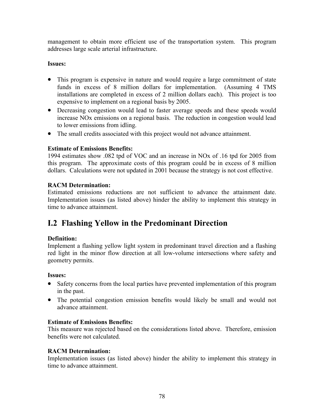management to obtain more efficient use of the transportation system. This program addresses large scale arterial infrastructure.

#### **Issues:**

- This program is expensive in nature and would require a large commitment of state funds in excess of 8 million dollars for implementation. (Assuming 4 TMS installations are completed in excess of 2 million dollars each). This project is too expensive to implement on a regional basis by 2005.
- Decreasing congestion would lead to faster average speeds and these speeds would increase NOx emissions on a regional basis. The reduction in congestion would lead to lower emissions from idling.
- The small credits associated with this project would not advance attainment.

#### **Estimate of Emissions Benefits:**

1994 estimates show .082 tpd of VOC and an increase in NOx of .16 tpd for 2005 from this program. The approximate costs of this program could be in excess of 8 million dollars. Calculations were not updated in 2001 because the strategy is not cost effective.

#### **RACM Determination:**

Estimated emissions reductions are not sufficient to advance the attainment date. Implementation issues (as listed above) hinder the ability to implement this strategy in time to advance attainment.

## **I.2 Flashing Yellow in the Predominant Direction**

#### **Definition:**

Implement a flashing yellow light system in predominant travel direction and a flashing red light in the minor flow direction at all low-volume intersections where safety and geometry permits.

#### **Issues:**

- Safety concerns from the local parties have prevented implementation of this program in the past.
- The potential congestion emission benefits would likely be small and would not advance attainment.

#### **Estimate of Emissions Benefits:**

This measure was rejected based on the considerations listed above. Therefore, emission benefits were not calculated.

#### **RACM Determination:**

Implementation issues (as listed above) hinder the ability to implement this strategy in time to advance attainment.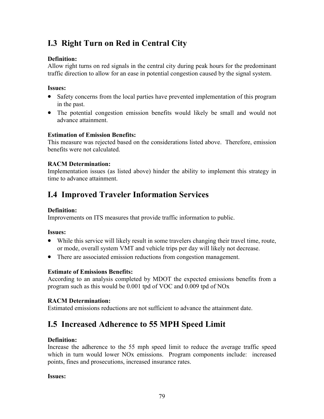## **I.3 Right Turn on Red in Central City**

#### **Definition:**

Allow right turns on red signals in the central city during peak hours for the predominant traffic direction to allow for an ease in potential congestion caused by the signal system.

#### **Issues:**

- Safety concerns from the local parties have prevented implementation of this program in the past.
- The potential congestion emission benefits would likely be small and would not advance attainment.

#### **Estimation of Emission Benefits:**

This measure was rejected based on the considerations listed above. Therefore, emission benefits were not calculated.

#### **RACM Determination:**

Implementation issues (as listed above) hinder the ability to implement this strategy in time to advance attainment.

## **I.4 Improved Traveler Information Services**

#### **Definition:**

Improvements on ITS measures that provide traffic information to public.

#### **Issues:**

- While this service will likely result in some travelers changing their travel time, route, or mode, overall system VMT and vehicle trips per day will likely not decrease.
- There are associated emission reductions from congestion management.

#### **Estimate of Emissions Benefits:**

According to an analysis completed by MDOT the expected emissions benefits from a program such as this would be 0.001 tpd of VOC and 0.009 tpd of NOx

#### **RACM Determination:**

Estimated emissions reductions are not sufficient to advance the attainment date.

## **I.5 Increased Adherence to 55 MPH Speed Limit**

#### **Definition:**

Increase the adherence to the 55 mph speed limit to reduce the average traffic speed which in turn would lower NO<sub>x</sub> emissions. Program components include: increased points, fines and prosecutions, increased insurance rates.

#### **Issues:**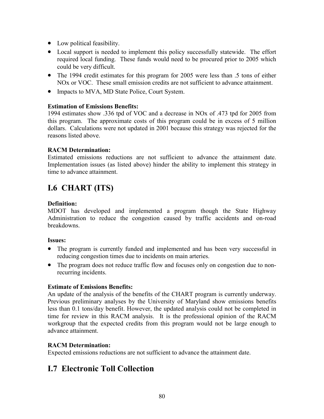- Low political feasibility.
- Local support is needed to implement this policy successfully statewide. The effort required local funding. These funds would need to be procured prior to 2005 which could be very difficult.
- The 1994 credit estimates for this program for 2005 were less than .5 tons of either NOx or VOC. These small emission credits are not sufficient to advance attainment.
- Impacts to MVA, MD State Police, Court System.

#### **Estimation of Emissions Benefits:**

1994 estimates show .336 tpd of VOC and a decrease in NOx of .473 tpd for 2005 from this program. The approximate costs of this program could be in excess of 5 million dollars. Calculations were not updated in 2001 because this strategy was rejected for the reasons listed above.

#### **RACM Determination:**

Estimated emissions reductions are not sufficient to advance the attainment date. Implementation issues (as listed above) hinder the ability to implement this strategy in time to advance attainment.

## **I.6 CHART (ITS)**

#### **Definition:**

MDOT has developed and implemented a program though the State Highway Administration to reduce the congestion caused by traffic accidents and on-road breakdowns.

#### **Issues:**

- The program is currently funded and implemented and has been very successful in reducing congestion times due to incidents on main arteries.
- The program does not reduce traffic flow and focuses only on congestion due to nonrecurring incidents.

#### **Estimate of Emissions Benefits:**

An update of the analysis of the benefits of the CHART program is currently underway. Previous preliminary analyses by the University of Maryland show emissions benefits less than 0.1 tons/day benefit. However, the updated analysis could not be completed in time for review in this RACM analysis. It is the professional opinion of the RACM workgroup that the expected credits from this program would not be large enough to advance attainment.

#### **RACM Determination:**

Expected emissions reductions are not sufficient to advance the attainment date.

### **I.7 Electronic Toll Collection**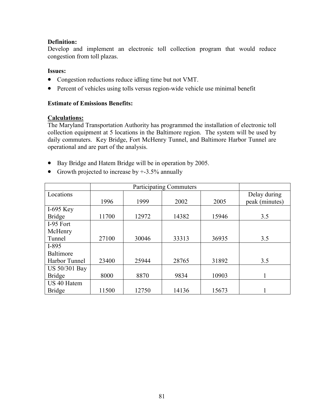#### **Definition:**

Develop and implement an electronic toll collection program that would reduce congestion from toll plazas.

#### **Issues:**

- Congestion reductions reduce idling time but not VMT.
- Percent of vehicles using tolls versus region-wide vehicle use minimal benefit

#### **Estimate of Emissions Benefits:**

#### **Calculations:**

The Maryland Transportation Authority has programmed the installation of electronic toll collection equipment at 5 locations in the Baltimore region. The system will be used by daily commuters. Key Bridge, Fort McHenry Tunnel, and Baltimore Harbor Tunnel are operational and are part of the analysis.

- Bay Bridge and Hatem Bridge will be in operation by 2005.
- Growth projected to increase by  $+3.5\%$  annually

| Locations     |       |       |       |       | Delay during   |
|---------------|-------|-------|-------|-------|----------------|
|               | 1996  | 1999  | 2002  | 2005  | peak (minutes) |
| I-695 Key     |       |       |       |       |                |
| <b>Bridge</b> | 11700 | 12972 | 14382 | 15946 | 3.5            |
| I-95 Fort     |       |       |       |       |                |
| McHenry       |       |       |       |       |                |
| Tunnel        | 27100 | 30046 | 33313 | 36935 | 3.5            |
| $I-895$       |       |       |       |       |                |
| Baltimore     |       |       |       |       |                |
| Harbor Tunnel | 23400 | 25944 | 28765 | 31892 | 3.5            |
| US 50/301 Bay |       |       |       |       |                |
| <b>Bridge</b> | 8000  | 8870  | 9834  | 10903 |                |
| US 40 Hatem   |       |       |       |       |                |
| <b>Bridge</b> | 11500 | 12750 | 14136 | 15673 |                |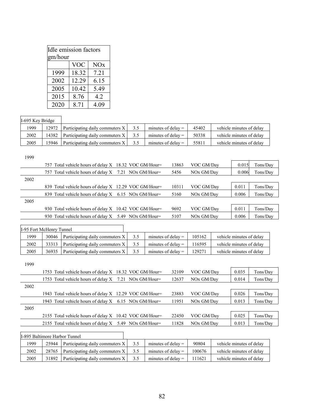| Idle emission factors |       |      |  |  |  |
|-----------------------|-------|------|--|--|--|
| gm/hour               |       |      |  |  |  |
|                       | VOC   | NOx  |  |  |  |
| 1999                  | 18.32 | 7.21 |  |  |  |
| 2002                  | 12.29 | 6.15 |  |  |  |
| 2005                  | 10.42 | 5.49 |  |  |  |
| 2015                  | 8.76  | 4.2  |  |  |  |
| 2020                  | 8.71  | 4.09 |  |  |  |

#### I-695 Key Bridge

| 1999 | 12972 | Participating daily commuters X |     | minutes of delay $=$ | 45402 | vehicle minutes of delay |
|------|-------|---------------------------------|-----|----------------------|-------|--------------------------|
| 2002 | 14382 | Participating daily commuters X | 3.5 | minutes of delay $=$ | 50338 | vehicle minutes of delay |
| 2005 | 15946 | Participating daily commuters X |     | minutes of delay $=$ | 55811 | vehicle minutes of delay |

| 1999 |                                                          |       |                        |       |          |
|------|----------------------------------------------------------|-------|------------------------|-------|----------|
|      | 757 Total vehicle hours of delay X 18.32 VOC GM/Hour=    | 13863 | VOC GM/Day             | 0.015 | Tons/Day |
|      | 757 Total vehicle hours of delay $X$ 7.21 NOx GM/Hour=   | 5456  | NO <sub>x</sub> GM/Day | 0.006 | Tons/Day |
| 2002 |                                                          |       |                        |       |          |
|      | 839 Total vehicle hours of delay X 12.29 VOC GM/Hour=    | 10311 | VOC GM/Day             | 0.011 | Tons/Day |
|      | 839 Total vehicle hours of delay X 6.15 NOx GM/Hour=     | 5160  | NO <sub>x</sub> GM/Day | 0.006 | Tons/Day |
| 2005 |                                                          |       |                        |       |          |
|      | 930 Total vehicle hours of delay X 10.42 VOC GM/Hour=    | 9692  | VOC GM/Day             | 0.011 | Tons/Day |
|      | 930 Total vehicle hours of delay $X = 5.49$ NOx GM/Hour= | 5107  | NO <sub>x</sub> GM/Day | 0.006 | Tons/Day |
|      |                                                          |       |                        |       |          |

| I-95 Fort McHenry Tunnel |       |                                 |     |                      |        |                          |
|--------------------------|-------|---------------------------------|-----|----------------------|--------|--------------------------|
| 1999                     | 30046 | Participating daily commuters X | 3.5 | minutes of delay $=$ | 105162 | vehicle minutes of delay |
| 2002                     | 33313 | Participating daily commuters X | 3.5 | minutes of delay $=$ | 116595 | vehicle minutes of delay |
| 2005                     | 36935 | Participating daily commuters X | 3.5 | minutes of delay $=$ | 129271 | vehicle minutes of delay |

| 1999 |                                                           |       |                        |       |          |
|------|-----------------------------------------------------------|-------|------------------------|-------|----------|
|      | 1753 Total vehicle hours of delay X 18.32 VOC GM/Hour=    | 32109 | VOC GM/Day             | 0.035 | Tons/Day |
|      | 1753 Total vehicle hours of delay $X$ 7.21 NOx GM/Hour=   | 12637 | NO <sub>x</sub> GM/Day | 0.014 | Tons/Day |
| 2002 |                                                           |       |                        |       |          |
|      | 1943 Total vehicle hours of delay X 12.29 VOC GM/Hour=    | 23883 | VOC GM/Day             | 0.026 | Tons/Day |
|      | 1943 Total vehicle hours of delay $X = 6.15$ NOx GM/Hour= | 11951 | NO <sub>x</sub> GM/Day | 0.013 | Tons/Day |
| 2005 |                                                           |       |                        |       |          |
|      | 2155 Total vehicle hours of delay X 10.42 VOC GM/Hour=    | 22450 | VOC GM/Day             | 0.025 | Tons/Day |
|      | 2155 Total vehicle hours of delay $X = 5.49$ NOx GM/Hour= | 11828 | NO <sub>x</sub> GM/Day | 0.013 | Tons/Day |

| I-895 Baltimore Harbor Tunnel |       |                                 |     |                      |        |                          |
|-------------------------------|-------|---------------------------------|-----|----------------------|--------|--------------------------|
| 1999                          | 25944 | Participating daily commuters X | 3.5 | minutes of delay $=$ | 90804  | vehicle minutes of delay |
| 2002                          | 28765 | Participating daily commuters X | 3.5 | minutes of delay $=$ | 100676 | vehicle minutes of delay |
| 2005                          | 31892 | Participating daily commuters X | 3.5 | minutes of delay $=$ | 111621 | vehicle minutes of delay |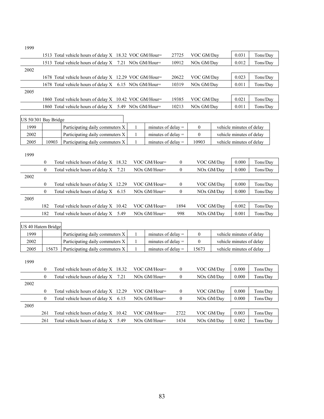1999

|      | 1513 Total vehicle hours of delay X 18.32 VOC GM/Hour= | 27725 | VOC GM/Day | 0.031 | Tons/Day |
|------|--------------------------------------------------------|-------|------------|-------|----------|
|      | 1513 Total vehicle hours of delay X 7.21 NOx GM/Hour=  | 10912 | NOx GM/Day | 0.012 | Tons/Day |
| 2002 |                                                        |       |            |       |          |
|      | 1678 Total vehicle hours of delay X 12.29 VOC GM/Hour= | 20622 | VOC GM/Day | 0.023 | Tons/Day |
|      | 1678 Total vehicle hours of delay X 6.15 NOx GM/Hour=  | 10319 | NOx GM/Day | 0.011 | Tons/Day |
| 2005 |                                                        |       |            |       |          |
|      | 1860 Total vehicle hours of delay X 10.42 VOC GM/Hour= | 19385 | VOC GM/Day | 0.021 | Tons/Day |
|      | 1860 Total vehicle hours of delay X 5.49 NOx GM/Hour=  | 10213 | NOx GM/Day | 0.011 | Tons/Day |
|      |                                                        |       |            |       |          |

| $US 50/301$ Bay Bridge |       |                                 |                      |       |                          |
|------------------------|-------|---------------------------------|----------------------|-------|--------------------------|
| 1999                   |       | Participating daily commuters X | minutes of delay $=$ |       | vehicle minutes of delay |
| 2002                   |       | Participating daily commuters X | minutes of delay $=$ |       | vehicle minutes of delay |
| 2005                   | 10903 | Participating daily commuters X | minutes of delay $=$ | 10903 | vehicle minutes of delay |

| 1999 |          |                                         |                |              |                        |       |          |
|------|----------|-----------------------------------------|----------------|--------------|------------------------|-------|----------|
|      | 0        | Total vehicle hours of delay $X$ 18.32  | VOC GM/Hour=   | $\mathbf{0}$ | VOC GM/Day             | 0.000 | Tons/Day |
|      | $\theta$ | Total vehicle hours of delay $X$ 7.21   | $NOx$ GM/Hour= | $\mathbf{0}$ | NOx GM/Day             | 0.000 | Tons/Day |
| 2002 |          |                                         |                |              |                        |       |          |
|      | 0        | Total vehicle hours of delay $X$ 12.29  | VOC GM/Hour=   | $\mathbf{0}$ | VOC GM/Dav             | 0.000 | Tons/Day |
|      | $\Omega$ | Total vehicle hours of delay $X = 6.15$ | $NOx$ GM/Hour= | $\Omega$     | NO <sub>x</sub> GM/Day | 0.000 | Tons/Day |
| 2005 |          |                                         |                |              |                        |       |          |
|      | 182      | Total vehicle hours of delay $X$ 10.42  | VOC GM/Hour=   | 1894         | VOC GM/Day             | 0.002 | Tons/Day |
|      | 182      | Total vehicle hours of delay $X$ 5.49   | $NOx$ GM/Hour= | 998          | NOx GM/Dav             | 0.001 | Tons/Day |

| US 40 Hatem Bridge |                |       |                                         |      |                      |                |                        |            |                          |          |
|--------------------|----------------|-------|-----------------------------------------|------|----------------------|----------------|------------------------|------------|--------------------------|----------|
| 1999               |                |       | Participating daily commuters X         |      | minutes of delay $=$ |                | $\theta$               |            | vehicle minutes of delay |          |
| 2002               |                |       | Participating daily commuters X         |      | minutes of delay $=$ |                | $\theta$               |            | vehicle minutes of delay |          |
| 2005               |                | 15673 | Participating daily commuters X         |      | minutes of delay $=$ |                | 15673                  |            | vehicle minutes of delay |          |
| 1999               |                |       |                                         |      |                      |                |                        |            |                          |          |
|                    | $\overline{0}$ |       | Total vehicle hours of delay X 18.32    |      | VOC GM/Hour=         | $\overline{0}$ |                        | VOC GM/Dav | 0.000                    | Tons/Day |
|                    | $\theta$       |       | Total vehicle hours of delay $X$ 7.21   |      | $NOx$ GM/Hour=       | $\overline{0}$ | NO <sub>x</sub> GM/Dav |            | 0.000                    | Tons/Day |
| 2002               |                |       |                                         |      |                      |                |                        |            |                          |          |
|                    | $\overline{0}$ |       | Total vehicle hours of delay $X$ 12.29  |      | VOC GM/Hour=         | $\overline{0}$ |                        | VOC GM/Day | 0.000                    | Tons/Day |
|                    | $\theta$       |       | Total vehicle hours of delay $X = 6.15$ |      | $NOx$ GM/Hour=       | $\overline{0}$ | NOx GM/Day             |            | 0.000                    | Tons/Day |
| 2005               |                |       |                                         |      |                      |                |                        |            |                          |          |
|                    | 261            |       | Total vehicle hours of delay $X$ 10.42  |      | VOC GM/Hour=         | 2722           | VOC GM/Dav             |            | 0.003                    | Tons/Day |
|                    | 261            |       | Total vehicle hours of delay X          | 5.49 | $NOx$ GM/Hour=       | 1434           | NO <sub>x</sub> GM/Dav |            | 0.002                    | Tons/Day |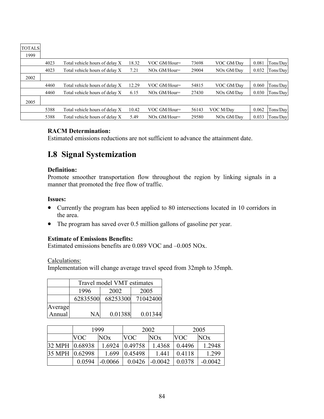| ------ |      |                                |       |                |       |            |       |          |
|--------|------|--------------------------------|-------|----------------|-------|------------|-------|----------|
| 1999   |      |                                |       |                |       |            |       |          |
|        | 4023 | Total vehicle hours of delay X | 18.32 | VOC GM/Hour=   | 73698 | VOC GM/Day | 0.081 | Tons/Day |
|        | 4023 | Total vehicle hours of delay X | 7.21  | $NOX$ GM/Hour= | 29004 | NOx GM/Day | 0.032 | Tons/Day |
| 2002   |      |                                |       |                |       |            |       |          |
|        | 4460 | Total vehicle hours of delay X | 12.29 | VOC GM/Hour=   | 54815 | VOC GM/Day | 0.060 | Tons/Day |
|        | 4460 | Total vehicle hours of delay X | 6.15  | $NOX$ GM/Hour= | 27430 | NOx GM/Day | 0.030 | Tons/Day |
| 2005   |      |                                |       |                |       |            |       |          |
|        | 5388 | Total vehicle hours of delay X | 10.42 | VOC GM/Hour=   | 56143 | VOC M/Day  | 0.062 | Tons/Day |
|        | 5388 | Total vehicle hours of delay X | 5.49  | $NQx$ GM/Hour= | 29580 | NOx GM/Day | 0.033 | Tons/Day |

#### **RACM Determination:**

Estimated emissions reductions are not sufficient to advance the attainment date.

## **I.8 Signal Systemization**

#### **Definition:**

TOTALS

Promote smoother transportation flow throughout the region by linking signals in a manner that promoted the free flow of traffic.

#### **Issues:**

- Currently the program has been applied to 80 intersections located in 10 corridors in the area.
- The program has saved over 0.5 million gallons of gasoline per year.

#### **Estimate of Emissions Benefits:**

Estimated emissions benefits are 0.089 VOC and –0.005 NOx.

Calculations:

Implementation will change average travel speed from 32mph to 35mph.

|         | Travel model VMT estimates |          |          |  |  |  |  |
|---------|----------------------------|----------|----------|--|--|--|--|
|         | 1996                       | 2002     | 2005     |  |  |  |  |
|         | 62835500                   | 68253300 | 71042400 |  |  |  |  |
| Average |                            |          |          |  |  |  |  |
| Annual  |                            | 0.01388  | 0.01344  |  |  |  |  |

|                 |        | 1999       | 2002       |            | 2005       |           |
|-----------------|--------|------------|------------|------------|------------|-----------|
|                 | VOC    | <b>NOx</b> | <b>VOC</b> | <b>NOx</b> | <b>VOC</b> | NOx       |
| 32 MPH 10.68938 |        | 1.6924     | 0.49758    | 1.4368     | 0.4496     | 1.2948    |
| 35 MPH 0.62998  |        | 1.699      | 0.45498    | 1.441      | 0.4118     | 1.299     |
|                 | 0.0594 | $-0.0066$  | 0.0426     | $-0.0042$  | 0.0378     | $-0.0042$ |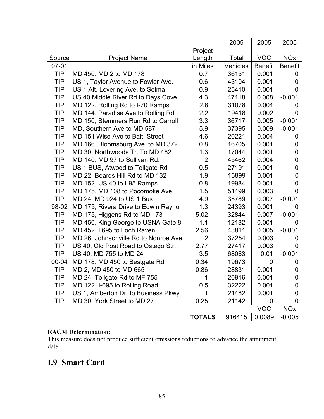|            |                                       |                | 2005            | 2005           | 2005                  |
|------------|---------------------------------------|----------------|-----------------|----------------|-----------------------|
|            |                                       | Project        |                 |                |                       |
| Source     | <b>Project Name</b>                   | Length         | Total           | <b>VOC</b>     | <b>NO<sub>x</sub></b> |
| $97 - 01$  |                                       | in Miles       | <b>Vehicles</b> | <b>Benefit</b> | <b>Benefit</b>        |
| <b>TIP</b> | MD 450, MD 2 to MD 178                | 0.7            | 36151           | 0.001          | 0                     |
| <b>TIP</b> | US 1, Taylor Avenue to Fowler Ave.    | 0.6            | 43104           | 0.001          | 0                     |
| <b>TIP</b> | US 1 Alt, Levering Ave. to Selma      | 0.9            | 25410           | 0.001          | 0                     |
| <b>TIP</b> | US 40 Middle River Rd to Days Cove    | 4.3            | 47118           | 0.008          | $-0.001$              |
| <b>TIP</b> | MD 122, Rolling Rd to I-70 Ramps      | 2.8            | 31078           | 0.004          | 0                     |
| <b>TIP</b> | MD 144, Paradise Ave to Rolling Rd    | 2.2            | 19418           | 0.002          | O                     |
| <b>TIP</b> | MD 150, Stemmers Run Rd to Carroll    | 3.3            | 36717           | 0.005          | $-0.001$              |
| <b>TIP</b> | MD, Southern Ave to MD 587            | 5.9            | 37395           | 0.009          | $-0.001$              |
| <b>TIP</b> | MD 151 Wise Ave to Balt. Street       | 4.6            | 20221           | 0.004          | O                     |
| <b>TIP</b> | MD 166, Bloomsburg Ave. to MD 372     | 0.8            | 16705           | 0.001          | 0                     |
| <b>TIP</b> | MD 30, Northwoods Tr. To MD 482       | 1.3            | 17044           | 0.001          | 0                     |
| <b>TIP</b> | MD 140, MD 97 to Sullivan Rd.         | $\overline{2}$ | 45462           | 0.004          | 0                     |
| <b>TIP</b> | US 1 BUS, Atwood to Tollgate Rd       | 0.5            | 27191           | 0.001          | 0                     |
| <b>TIP</b> | MD 22, Beards Hill Rd to MD 132       | 1.9            | 15899           | 0.001          | 0                     |
| <b>TIP</b> | MD 152, US 40 to I-95 Ramps           | 0.8            | 19984           | 0.001          | 0                     |
| <b>TIP</b> | MD 175, MD 108 to Pocomoke Ave.       | 1.5            | 51499           | 0.003          | 0                     |
| <b>TIP</b> | MD 24, MD 924 to US 1 Bus             | 4.9            | 35789           | 0.007          | $-0.001$              |
| 98-02      | MD 175, Rivera Drive to Edwin Raynor  | 1.3            | 24393           | 0.001          | 0                     |
| <b>TIP</b> | MD 175, Higgens Rd to MD 173          | 5.02           | 32844           | 0.007          | $-0.001$              |
| <b>TIP</b> | MD 450, King George to USNA Gate 8    | 1.1            | 12182           | 0.001          | 0                     |
| <b>TIP</b> | MD 452, I 695 to Loch Raven           | 2.56           | 43811           | 0.005          | $-0.001$              |
| <b>TIP</b> | MD 26, Johnsonville Rd to Nonroe Ave. | $\overline{2}$ | 37254           | 0.003          | 0                     |
| <b>TIP</b> | US 40, Old Post Road to Ostego Str.   | 2.77           | 27417           | 0.003          | O                     |
| TIP        | US 40, MD 755 to MD 24                | 3.5            | 68063           | 0.01           | $-0.001$              |
| 00-04      | MD 178, MD 450 to Bestgate Rd         | 0.34           | 19673           | 0              | 0                     |
| <b>TIP</b> | MD 2, MD 450 to MD 665                | 0.86           | 28831           | 0.001          | 0                     |
| TIP        | MD 24, Tollgate Rd to MF 755          | 1              | 20916           | 0.001          | Ü                     |
| TIP        | MD 122, I-695 to Rolling Road         | 0.5            | 32222           | 0.001          |                       |
| <b>TIP</b> | US 1, Amberton Dr. to Business Pkwy   |                | 21482           | 0.001          |                       |
| TIP        | MD 30, York Street to MD 27           | 0.25           | 21142           | 0              | 0                     |
|            |                                       |                |                 | <b>VOC</b>     | <b>NOx</b>            |
|            |                                       | <b>TOTALS</b>  | 916415          | 0.0089         | $-0.005$              |

#### **RACM Determination:**

This measure does not produce sufficient emissions reductions to advance the attainment date.

## **I.9 Smart Card**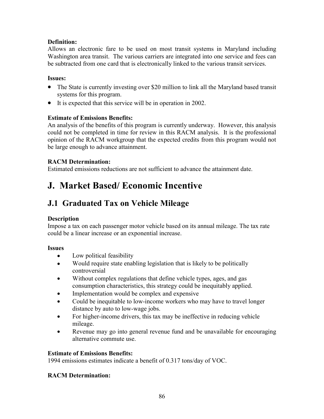#### **Definition:**

Allows an electronic fare to be used on most transit systems in Maryland including Washington area transit. The various carriers are integrated into one service and fees can be subtracted from one card that is electronically linked to the various transit services.

#### **Issues:**

- The State is currently investing over \$20 million to link all the Maryland based transit systems for this program.
- It is expected that this service will be in operation in 2002.

#### **Estimate of Emissions Benefits:**

An analysis of the benefits of this program is currently underway. However, this analysis could not be completed in time for review in this RACM analysis. It is the professional opinion of the RACM workgroup that the expected credits from this program would not be large enough to advance attainment.

#### **RACM Determination:**

Estimated emissions reductions are not sufficient to advance the attainment date.

## **J. Market Based/ Economic Incentive**

## **J.1 Graduated Tax on Vehicle Mileage**

#### **Description**

Impose a tax on each passenger motor vehicle based on its annual mileage. The tax rate could be a linear increase or an exponential increase.

#### **Issues**

- Low political feasibility
- Would require state enabling legislation that is likely to be politically controversial
- Without complex regulations that define vehicle types, ages, and gas consumption characteristics, this strategy could be inequitably applied.
- Implementation would be complex and expensive
- Could be inequitable to low-income workers who may have to travel longer distance by auto to low-wage jobs.
- For higher-income drivers, this tax may be ineffective in reducing vehicle mileage.
- Revenue may go into general revenue fund and be unavailable for encouraging alternative commute use.

#### **Estimate of Emissions Benefits:**

1994 emissions estimates indicate a benefit of 0.317 tons/day of VOC.

#### **RACM Determination:**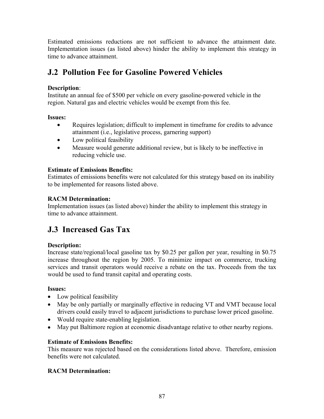Estimated emissions reductions are not sufficient to advance the attainment date. Implementation issues (as listed above) hinder the ability to implement this strategy in time to advance attainment.

## **J.2 Pollution Fee for Gasoline Powered Vehicles**

#### **Description**:

Institute an annual fee of \$500 per vehicle on every gasoline-powered vehicle in the region. Natural gas and electric vehicles would be exempt from this fee.

#### **Issues:**

- Requires legislation; difficult to implement in timeframe for credits to advance attainment (i.e., legislative process, garnering support)
- Low political feasibility
- Measure would generate additional review, but is likely to be ineffective in reducing vehicle use.

#### **Estimate of Emissions Benefits:**

Estimates of emissions benefits were not calculated for this strategy based on its inability to be implemented for reasons listed above.

#### **RACM Determination:**

Implementation issues (as listed above) hinder the ability to implement this strategy in time to advance attainment.

## **J.3 Increased Gas Tax**

#### **Description:**

Increase state/regional/local gasoline tax by \$0.25 per gallon per year, resulting in \$0.75 increase throughout the region by 2005. To minimize impact on commerce, trucking services and transit operators would receive a rebate on the tax. Proceeds from the tax would be used to fund transit capital and operating costs.

#### **Issues:**

- Low political feasibility
- May be only partially or marginally effective in reducing VT and VMT because local drivers could easily travel to adjacent jurisdictions to purchase lower priced gasoline.
- Would require state-enabling legislation.
- May put Baltimore region at economic disadvantage relative to other nearby regions.

#### **Estimate of Emissions Benefits:**

This measure was rejected based on the considerations listed above. Therefore, emission benefits were not calculated.

#### **RACM Determination:**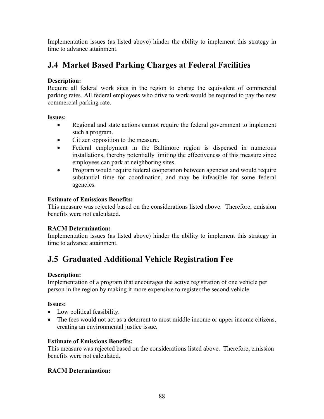Implementation issues (as listed above) hinder the ability to implement this strategy in time to advance attainment.

## **J.4 Market Based Parking Charges at Federal Facilities**

#### **Description:**

Require all federal work sites in the region to charge the equivalent of commercial parking rates. All federal employees who drive to work would be required to pay the new commercial parking rate.

#### **Issues:**

- Regional and state actions cannot require the federal government to implement such a program.
- Citizen opposition to the measure.
- Federal employment in the Baltimore region is dispersed in numerous installations, thereby potentially limiting the effectiveness of this measure since employees can park at neighboring sites.
- Program would require federal cooperation between agencies and would require substantial time for coordination, and may be infeasible for some federal agencies.

#### **Estimate of Emissions Benefits:**

This measure was rejected based on the considerations listed above. Therefore, emission benefits were not calculated.

#### **RACM Determination:**

Implementation issues (as listed above) hinder the ability to implement this strategy in time to advance attainment.

## **J.5 Graduated Additional Vehicle Registration Fee**

#### **Description:**

Implementation of a program that encourages the active registration of one vehicle per person in the region by making it more expensive to register the second vehicle.

#### **Issues:**

- Low political feasibility.
- The fees would not act as a deterrent to most middle income or upper income citizens, creating an environmental justice issue.

#### **Estimate of Emissions Benefits:**

This measure was rejected based on the considerations listed above. Therefore, emission benefits were not calculated.

#### **RACM Determination:**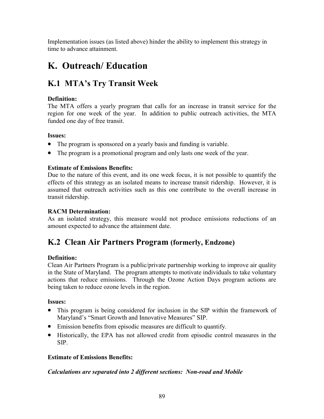Implementation issues (as listed above) hinder the ability to implement this strategy in time to advance attainment.

## **K. Outreach/ Education**

## **K.1 MTA's Try Transit Week**

#### **Definition:**

The MTA offers a yearly program that calls for an increase in transit service for the region for one week of the year. In addition to public outreach activities, the MTA funded one day of free transit.

#### **Issues:**

- The program is sponsored on a yearly basis and funding is variable.
- The program is a promotional program and only lasts one week of the year.

#### **Estimate of Emissions Benefits:**

Due to the nature of this event, and its one week focus, it is not possible to quantify the effects of this strategy as an isolated means to increase transit ridership. However, it is assumed that outreach activities such as this one contribute to the overall increase in transit ridership.

#### **RACM Determination:**

As an isolated strategy, this measure would not produce emissions reductions of an amount expected to advance the attainment date.

## **K.2 Clean Air Partners Program (formerly, Endzone)**

#### **Definition:**

Clean Air Partners Program is a public/private partnership working to improve air quality in the State of Maryland. The program attempts to motivate individuals to take voluntary actions that reduce emissions. Through the Ozone Action Days program actions are being taken to reduce ozone levels in the region.

#### **Issues:**

- This program is being considered for inclusion in the SIP within the framework of Maryland's "Smart Growth and Innovative Measures" SIP.
- Emission benefits from episodic measures are difficult to quantify.
- Historically, the EPA has not allowed credit from episodic control measures in the SIP.

#### **Estimate of Emissions Benefits:**

#### *Calculations are separated into 2 different sections: Non-road and Mobile*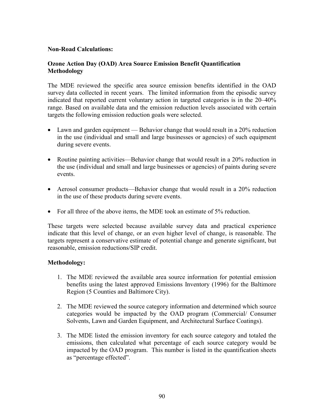#### **Non-Road Calculations:**

#### **Ozone Action Day (OAD) Area Source Emission Benefit Quantification Methodology**

The MDE reviewed the specific area source emission benefits identified in the OAD survey data collected in recent years. The limited information from the episodic survey indicated that reported current voluntary action in targeted categories is in the 20–40% range. Based on available data and the emission reduction levels associated with certain targets the following emission reduction goals were selected.

- Lawn and garden equipment Behavior change that would result in a 20% reduction in the use (individual and small and large businesses or agencies) of such equipment during severe events.
- Routine painting activities—Behavior change that would result in a 20% reduction in the use (individual and small and large businesses or agencies) of paints during severe events.
- Aerosol consumer products—Behavior change that would result in a 20% reduction in the use of these products during severe events.
- For all three of the above items, the MDE took an estimate of 5% reduction.

These targets were selected because available survey data and practical experience indicate that this level of change, or an even higher level of change, is reasonable. The targets represent a conservative estimate of potential change and generate significant, but reasonable, emission reductions/SIP credit.

#### **Methodology:**

- 1. The MDE reviewed the available area source information for potential emission benefits using the latest approved Emissions Inventory (1996) for the Baltimore Region (5 Counties and Baltimore City).
- 2. The MDE reviewed the source category information and determined which source categories would be impacted by the OAD program (Commercial/ Consumer Solvents, Lawn and Garden Equipment, and Architectural Surface Coatings).
- 3. The MDE listed the emission inventory for each source category and totaled the emissions, then calculated what percentage of each source category would be impacted by the OAD program. This number is listed in the quantification sheets as "percentage effected".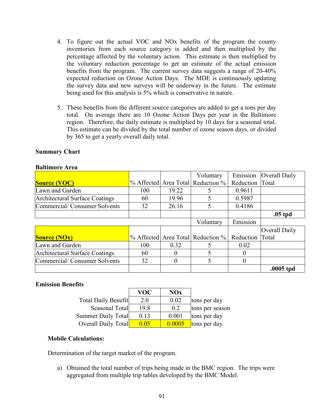- 4. To figure out the actual VOC and NOx benefits of the program the county inventories from each source category is added and then multiplied by the percentage affected by the voluntary action. This estimate is then multiplied by the voluntary reduction percentage to get an estimate of the actual emission benefits from the program. The current survey data suggests a range of 20-40% expected reduction on Ozone Action Days. The MDE is continuously updating the survey data and new surveys will be underway in the future. The estimate being used for this analysis is 5% which is conservative in nature.
- 5. These benefits from the different source categories are added to get a tons per day total. On average there are 10 Ozone Action Days per year in the Baltimore region. Therefore, the daily estimate is multiplied by 10 days for a seasonal total. This estimate can be divided by the total number of ozone season days, or divided by 365 to get a yearly overall daily total.

#### **Summary Chart**

#### **Baltimore Area**

|                                |           |          | Voluntary                         | Emission  | Overall Daily |
|--------------------------------|-----------|----------|-----------------------------------|-----------|---------------|
| <b>Source (VOC)</b>            |           |          | % Affected Area Total Reduction % | Reduction | Total         |
| Lawn and Garden                | 100       | 19.22    |                                   | 0.9611    |               |
| Architectural Surface Coatings | 60        | 19.96    |                                   | 0.5987    |               |
| Commercial/Consumer Solvents   | 32        | 26.16    |                                   | 0.4186    |               |
|                                |           |          |                                   |           | $.05$ tpd     |
|                                | Voluntary | Emission |                                   |           |               |
|                                |           |          |                                   |           | Overall Daily |
| <b>Source (NOx)</b>            |           |          | % Affected Area Total Reduction % | Reduction | Total         |
| Lawn and Garden                | 100       | 0.32     |                                   | 0.02      |               |
| Architectural Surface Coatings | 60        |          |                                   | $\Omega$  |               |
| Commercial/Consumer Solvents   | 32        |          | 5                                 | $\Omega$  |               |
|                                |           |          |                                   |           | .0005 tpd     |

#### **Emission Benefits**

|                            | VOC  | NOx    |                 |
|----------------------------|------|--------|-----------------|
| <b>Total Daily Benefit</b> | 2.0  | 0.02   | tons per day    |
| Seasonal Total             | 19.8 | 0.2    | tons per season |
| <b>Summer Daily Total</b>  | 0.13 | 0.001  | tons per day    |
| Overall Daily Total        | 0.05 | 0.0005 | tons per day    |

#### **Mobile Calculations:**

Determination of the target market of the program.

a) Obtained the total number of trips being made in the BMC region. The trips were aggregated from multiple trip tables developed by the BMC Model.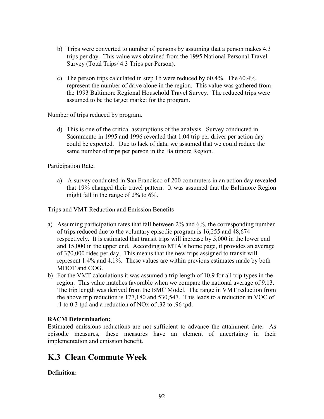- b) Trips were converted to number of persons by assuming that a person makes 4.3 trips per day. This value was obtained from the 1995 National Personal Travel Survey (Total Trips/ 4.3 Trips per Person).
- c) The person trips calculated in step 1b were reduced by 60.4%. The 60.4% represent the number of drive alone in the region. This value was gathered from the 1993 Baltimore Regional Household Travel Survey. The reduced trips were assumed to be the target market for the program.

Number of trips reduced by program.

d) This is one of the critical assumptions of the analysis. Survey conducted in Sacramento in 1995 and 1996 revealed that 1.04 trip per driver per action day could be expected. Due to lack of data, we assumed that we could reduce the same number of trips per person in the Baltimore Region.

Participation Rate.

a) A survey conducted in San Francisco of 200 commuters in an action day revealed that 19% changed their travel pattern. It was assumed that the Baltimore Region might fall in the range of 2% to 6%.

Trips and VMT Reduction and Emission Benefits

- a) Assuming participation rates that fall between 2% and 6%, the corresponding number of trips reduced due to the voluntary episodic program is 16,255 and 48,674 respectively. It is estimated that transit trips will increase by 5,000 in the lower end and 15,000 in the upper end. According to MTA's home page, it provides an average of 370,000 rides per day. This means that the new trips assigned to transit will represent 1.4% and 4.1%. These values are within previous estimates made by both MDOT and COG.
- b) For the VMT calculations it was assumed a trip length of 10.9 for all trip types in the region. This value matches favorable when we compare the national average of 9.13. The trip length was derived from the BMC Model. The range in VMT reduction from the above trip reduction is 177,180 and 530,547. This leads to a reduction in VOC of .1 to 0.3 tpd and a reduction of NOx of .32 to .96 tpd.

#### **RACM Determination:**

Estimated emissions reductions are not sufficient to advance the attainment date. As episodic measures, these measures have an element of uncertainty in their implementation and emission benefit.

## **K.3 Clean Commute Week**

**Definition:**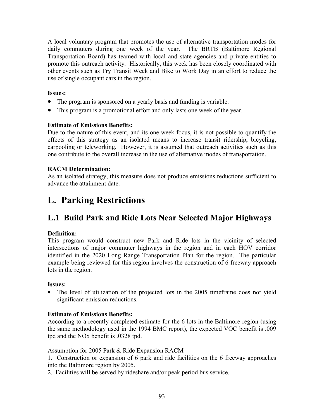A local voluntary program that promotes the use of alternative transportation modes for daily commuters during one week of the year. The BRTB (Baltimore Regional Transportation Board) has teamed with local and state agencies and private entities to promote this outreach activity. Historically, this week has been closely coordinated with other events such as Try Transit Week and Bike to Work Day in an effort to reduce the use of single occupant cars in the region.

#### **Issues:**

- The program is sponsored on a yearly basis and funding is variable.
- This program is a promotional effort and only lasts one week of the year.

#### **Estimate of Emissions Benefits:**

Due to the nature of this event, and its one week focus, it is not possible to quantify the effects of this strategy as an isolated means to increase transit ridership, bicycling, carpooling or teleworking. However, it is assumed that outreach activities such as this one contribute to the overall increase in the use of alternative modes of transportation.

#### **RACM Determination:**

As an isolated strategy, this measure does not produce emissions reductions sufficient to advance the attainment date.

## **L. Parking Restrictions**

## **L.1 Build Park and Ride Lots Near Selected Major Highways**

#### **Definition:**

This program would construct new Park and Ride lots in the vicinity of selected intersections of major commuter highways in the region and in each HOV corridor identified in the 2020 Long Range Transportation Plan for the region. The particular example being reviewed for this region involves the construction of 6 freeway approach lots in the region.

#### **Issues:**

• The level of utilization of the projected lots in the 2005 timeframe does not yield significant emission reductions.

#### **Estimate of Emissions Benefits:**

According to a recently completed estimate for the 6 lots in the Baltimore region (using the same methodology used in the 1994 BMC report), the expected VOC benefit is .009 tpd and the NOx benefit is .0328 tpd.

Assumption for 2005 Park & Ride Expansion RACM

1. Construction or expansion of 6 park and ride facilities on the 6 freeway approaches into the Baltimore region by 2005.

2. Facilities will be served by rideshare and/or peak period bus service.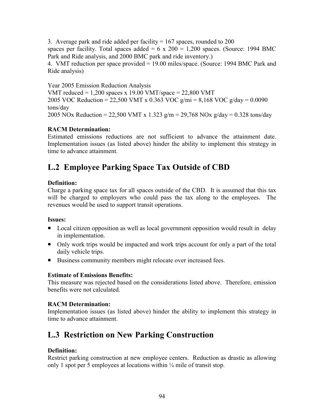3. Average park and ride added per facility  $= 167$  spaces, rounded to 200 spaces per facility. Total spaces added = 6 x 200 = 1,200 spaces. (Source: 1994 BMC Park and Ride analysis, and 2000 BMC park and ride inventory.)

4. VMT reduction per space provided = 19.00 miles/space. (Source: 1994 BMC Park and Ride analysis)

Year 2005 Emission Reduction Analysis VMT reduced =  $1,200$  spaces x 19.00 VMT/space =  $22,800$  VMT 2005 VOC Reduction = 22,500 VMT x 0.363 VOC g/mi = 8,168 VOC g/day = 0.0090 tons/day 2005 NOx Reduction = 22,500 VMT x 1.323  $g/m = 29,768$  NOx  $g/day = 0.328$  tons/day

#### **RACM Determination:**

Estimated emissions reductions are not sufficient to advance the attainment date. Implementation issues (as listed above) hinder the ability to implement this strategy in time to advance attainment.

## **L.2 Employee Parking Space Tax Outside of CBD**

#### **Definition:**

Charge a parking space tax for all spaces outside of the CBD. It is assumed that this tax will be charged to employers who could pass the tax along to the employees. The revenues would be used to support transit operations.

#### **Issues:**

- Local citizen opposition as well as local government opposition would result in delay in implementation.
- Only work trips would be impacted and work trips account for only a part of the total daily vehicle trips.
- Business community members might relocate over increased fees.

#### **Estimate of Emissions Benefits:**

This measure was rejected based on the considerations listed above. Therefore, emission benefits were not calculated.

#### **RACM Determination:**

Implementation issues (as listed above) hinder the ability to implement this strategy in time to advance attainment.

## **L.3 Restriction on New Parking Construction**

#### **Definition:**

Restrict parking construction at new employee centers. Reduction as drastic as allowing only 1 spot per 5 employees at locations within  $\frac{1}{4}$  mile of transit stop.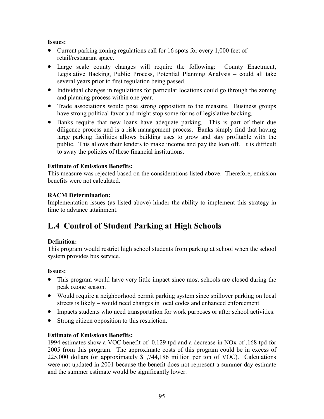#### **Issues:**

- Current parking zoning regulations call for 16 spots for every 1,000 feet of retail/restaurant space.
- Large scale county changes will require the following: County Enactment, Legislative Backing, Public Process, Potential Planning Analysis – could all take several years prior to first regulation being passed.
- Individual changes in regulations for particular locations could go through the zoning and planning process within one year.
- Trade associations would pose strong opposition to the measure. Business groups have strong political favor and might stop some forms of legislative backing.
- Banks require that new loans have adequate parking. This is part of their due diligence process and is a risk management process. Banks simply find that having large parking facilities allows building uses to grow and stay profitable with the public. This allows their lenders to make income and pay the loan off. It is difficult to sway the policies of these financial institutions.

#### **Estimate of Emissions Benefits:**

This measure was rejected based on the considerations listed above. Therefore, emission benefits were not calculated.

#### **RACM Determination:**

Implementation issues (as listed above) hinder the ability to implement this strategy in time to advance attainment.

## **L.4 Control of Student Parking at High Schools**

#### **Definition:**

This program would restrict high school students from parking at school when the school system provides bus service.

#### **Issues:**

- This program would have very little impact since most schools are closed during the peak ozone season.
- Would require a neighborhood permit parking system since spillover parking on local streets is likely – would need changes in local codes and enhanced enforcement.
- Impacts students who need transportation for work purposes or after school activities.
- Strong citizen opposition to this restriction.

#### **Estimate of Emissions Benefits:**

1994 estimates show a VOC benefit of 0.129 tpd and a decrease in NOx of .168 tpd for 2005 from this program. The approximate costs of this program could be in excess of 225,000 dollars (or approximately \$1,744,186 million per ton of VOC). Calculations were not updated in 2001 because the benefit does not represent a summer day estimate and the summer estimate would be significantly lower.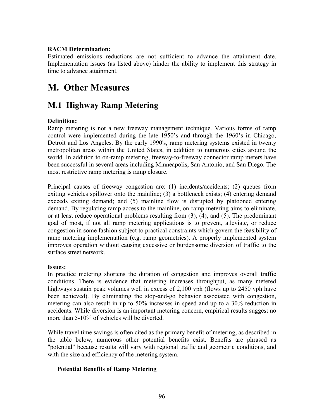#### **RACM Determination:**

Estimated emissions reductions are not sufficient to advance the attainment date. Implementation issues (as listed above) hinder the ability to implement this strategy in time to advance attainment.

## **M. Other Measures**

## **M.1 Highway Ramp Metering**

#### **Definition:**

Ramp metering is not a new freeway management technique. Various forms of ramp control were implemented during the late 1950's and through the 1960's in Chicago, Detroit and Los Angeles. By the early 1990's, ramp metering systems existed in twenty metropolitan areas within the United States, in addition to numerous cities around the world. In addition to on-ramp metering, freeway-to-freeway connector ramp meters have been successful in several areas including Minneapolis, San Antonio, and San Diego. The most restrictive ramp metering is ramp closure.

Principal causes of freeway congestion are: (1) incidents/accidents; (2) queues from exiting vehicles spillover onto the mainline; (3) a bottleneck exists; (4) entering demand exceeds exiting demand; and (5) mainline flow is disrupted by platooned entering demand. By regulating ramp access to the mainline, on-ramp metering aims to eliminate, or at least reduce operational problems resulting from (3), (4), and (5). The predominant goal of most, if not all ramp metering applications is to prevent, alleviate, or reduce congestion in some fashion subject to practical constraints which govern the feasibility of ramp metering implementation (e.g. ramp geometrics). A properly implemented system improves operation without causing excessive or burdensome diversion of traffic to the surface street network.

#### **Issues:**

In practice metering shortens the duration of congestion and improves overall traffic conditions. There is evidence that metering increases throughput, as many metered highways sustain peak volumes well in excess of 2,100 vph (flows up to 2450 vph have been achieved). By eliminating the stop-and-go behavior associated with congestion, metering can also result in up to 50% increases in speed and up to a 30% reduction in accidents. While diversion is an important metering concern, empirical results suggest no more than 5-10% of vehicles will be diverted.

While travel time savings is often cited as the primary benefit of metering, as described in the table below, numerous other potential benefits exist. Benefits are phrased as "potential" because results will vary with regional traffic and geometric conditions, and with the size and efficiency of the metering system.

#### **Potential Benefits of Ramp Metering**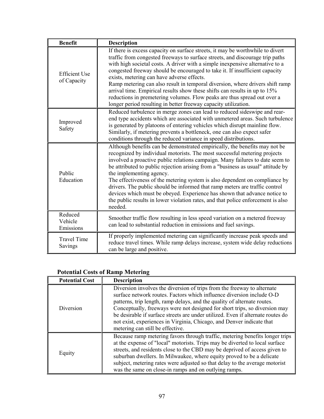| <b>Benefit</b>                      | <b>Description</b>                                                                                                                                                                                                                                                                                                                                                                                                                                                                                                                                                                                                                                                                                 |  |
|-------------------------------------|----------------------------------------------------------------------------------------------------------------------------------------------------------------------------------------------------------------------------------------------------------------------------------------------------------------------------------------------------------------------------------------------------------------------------------------------------------------------------------------------------------------------------------------------------------------------------------------------------------------------------------------------------------------------------------------------------|--|
| <b>Efficient Use</b><br>of Capacity | If there is excess capacity on surface streets, it may be worthwhile to divert<br>traffic from congested freeways to surface streets, and discourage trip paths<br>with high societal costs. A driver with a simple inexpensive alternative to a<br>congested freeway should be encouraged to take it. If insufficient capacity<br>exists, metering can have adverse effects.<br>Ramp metering can also result in temporal diversion, where drivers shift ramp<br>arrival time. Empirical results show these shifts can results in up to 15%<br>reductions in premetering volumes. Flow peaks are thus spread out over a<br>longer period resulting in better freeway capacity utilization.        |  |
| Improved<br>Safety                  | Reduced turbulence in merge zones can lead to reduced sideswipe and rear-<br>end type accidents which are associated with unmetered areas. Such turbulence<br>is generated by platoons of entering vehicles which disrupt mainline flow.<br>Similarly, if metering prevents a bottleneck, one can also expect safer<br>conditions through the reduced variance in speed distributions.                                                                                                                                                                                                                                                                                                             |  |
| Public<br>Education                 | Although benefits can be demonstrated empirically, the benefits may not be<br>recognized by individual motorists. The most successful metering projects<br>involved a proactive public relations campaign. Many failures to date seem to<br>be attributed to public rejection arising from a "business as usual" attitude by<br>the implementing agency.<br>The effectiveness of the metering system is also dependent on compliance by<br>drivers. The public should be informed that ramp meters are traffic control<br>devices which must be obeyed. Experience has shown that advance notice to<br>the public results in lower violation rates, and that police enforcement is also<br>needed. |  |
| Reduced<br>Vehicle<br>Emissions     | Smoother traffic flow resulting in less speed variation on a metered freeway<br>can lead to substantial reduction in emissions and fuel savings.                                                                                                                                                                                                                                                                                                                                                                                                                                                                                                                                                   |  |
| <b>Travel Time</b><br>Savings       | If properly implemented metering can significantly increase peak speeds and<br>reduce travel times. While ramp delays increase, system wide delay reductions<br>can be large and positive.                                                                                                                                                                                                                                                                                                                                                                                                                                                                                                         |  |

## **Potential Costs of Ramp Metering**

| <b>Potential Cost</b> | <b>Description</b>                                                                                                                                                                                                                                                                                                                                                                                                                                                                                         |  |
|-----------------------|------------------------------------------------------------------------------------------------------------------------------------------------------------------------------------------------------------------------------------------------------------------------------------------------------------------------------------------------------------------------------------------------------------------------------------------------------------------------------------------------------------|--|
| Diversion             | Diversion involves the diversion of trips from the freeway to alternate<br>surface network routes. Factors which influence diversion include O-D<br>patterns, trip length, ramp delays, and the quality of alternate routes.<br>Conceptually, freeways were not designed for short trips, so diversion may<br>be desirable if surface streets are under utilized. Even if alternate routes do<br>not exist, experiences in Virginia, Chicago, and Denver indicate that<br>metering can still be effective. |  |
| Equity                | Because ramp metering favors through traffic, metering benefits longer trips<br>at the expense of "local" motorists. Trips may be diverted to local surface<br>streets, and residents close to the CBD may be deprived of access given to<br>suburban dwellers. In Milwaukee, where equity proved to be a delicate<br>subject, metering rates were adjusted so that delay to the average motorist<br>was the same on close-in ramps and on outlying ramps.                                                 |  |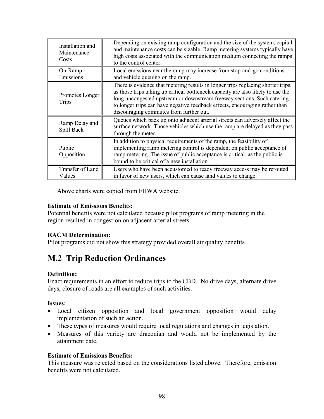| Installation and<br>Maintenance<br>Costs | Depending on existing ramp configuration and the size of the system, capital<br>and maintenance costs can be sizable. Ramp metering systems typically have<br>high costs associated with the communication medium connecting the ramps<br>to the control center.                                                                                                          |  |
|------------------------------------------|---------------------------------------------------------------------------------------------------------------------------------------------------------------------------------------------------------------------------------------------------------------------------------------------------------------------------------------------------------------------------|--|
| On-Ramp<br>Emissions                     | Local emissions near the ramp may increase from stop-and-go conditions<br>and vehicle queuing on the ramp.                                                                                                                                                                                                                                                                |  |
| Promotes Longer<br><b>Trips</b>          | There is evidence that metering results in longer trips replacing shorter trips,<br>as those trips taking up critical bottleneck capacity are also likely to use the<br>long uncongested upstream or downstream freeway sections. Such catering<br>to longer trips can have negative feedback effects, encouraging rather than<br>discouraging commutes from further out. |  |
| Ramp Delay and<br>Spill Back             | Queues which back up onto adjacent arterial streets can adversely affect the<br>surface network. Those vehicles which use the ramp are delayed as they pass<br>through the meter.                                                                                                                                                                                         |  |
| Public<br>Opposition                     | In addition to physical requirements of the ramp, the feasibility of<br>implementing ramp metering control is dependent on public acceptance of<br>ramp metering. The issue of public acceptance is critical, as the public is<br>bound to be critical of a new installation.                                                                                             |  |
| Transfer of Land<br>Values               | Users who have been accustomed to ready freeway access may be rerouted<br>in favor of new users, which can cause land values to change.                                                                                                                                                                                                                                   |  |

Above charts were copied from FHWA website.

#### **Estimate of Emissions Benefits:**

Potential benefits were not calculated because pilot programs of ramp metering in the region resulted in congestion on adjacent arterial streets.

#### **RACM Determination:**

Pilot programs did not show this strategy provided overall air quality benefits.

## **M.2 Trip Reduction Ordinances**

#### **Definition:**

Enact requirements in an effort to reduce trips to the CBD. No drive days, alternate drive days, closure of roads are all examples of such activities.

#### **Issues:**

- Local citizen opposition and local government opposition would delay implementation of such an action.
- These types of measures would require local regulations and changes in legislation.
- Measures of this variety are draconian and would not be implemented by the attainment date.

#### **Estimate of Emissions Benefits:**

This measure was rejected based on the considerations listed above. Therefore, emission benefits were not calculated.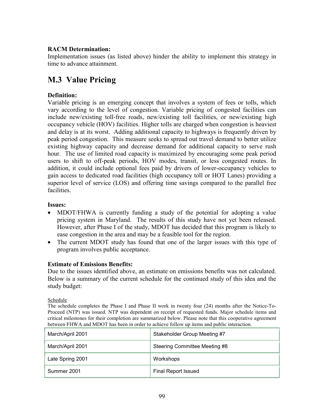#### **RACM Determination:**

Implementation issues (as listed above) hinder the ability to implement this strategy in time to advance attainment.

## **M.3 Value Pricing**

#### **Definition:**

Variable pricing is an emerging concept that involves a system of fees or tolls, which vary according to the level of congestion. Variable pricing of congested facilities can include new/existing toll-free roads, new/existing toll facilities, or new/existing high occupancy vehicle (HOV) facilities. Higher tolls are charged when congestion is heaviest and delay is at its worst. Adding additional capacity to highways is frequently driven by peak period congestion. This measure seeks to spread out travel demand to better utilize existing highway capacity and decrease demand for additional capacity to serve rush hour. The use of limited road capacity is maximized by encouraging some peak period users to shift to off-peak periods, HOV modes, transit, or less congested routes. In addition, it could include optional fees paid by drivers of lower-occupancy vehicles to gain access to dedicated road facilities (high occupancy toll or HOT Lanes) providing a superior level of service (LOS) and offering time savings compared to the parallel free facilities.

#### **Issues:**

- MDOT/FHWA is currently funding a study of the potential for adopting a value pricing system in Maryland. The results of this study have not yet been released. However, after Phase I of the study, MDOT has decided that this program is likely to ease congestion in the area and may be a feasible tool for the region.
- The current MDOT study has found that one of the larger issues with this type of program involves public acceptance.

#### **Estimate of Emissions Benefits:**

Due to the issues identified above, an estimate on emissions benefits was not calculated. Below is a summary of the current schedule for the continued study of this idea and the study budget:

#### Schedule

The schedule completes the Phase I and Phase II work in twenty four (24) months after the Notice-To-Proceed (NTP) was issued. NTP was dependent on receipt of requested funds. Major schedule items and critical milestones for their completion are summarized below. Please note that this cooperative agreement between FHWA and MDOT has been in order to achieve follow up items and public interaction.

| March/April 2001 | Stakeholder Group Meeting #7  |
|------------------|-------------------------------|
| March/April 2001 | Steering Committee Meeting #8 |
| Late Spring 2001 | Workshops                     |
| Summer 2001      | <b>Final Report Issued</b>    |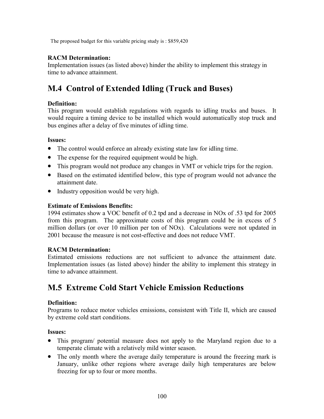The proposed budget for this variable pricing study is : \$859,420

#### **RACM Determination:**

Implementation issues (as listed above) hinder the ability to implement this strategy in time to advance attainment.

## **M.4 Control of Extended Idling (Truck and Buses)**

#### **Definition:**

This program would establish regulations with regards to idling trucks and buses. It would require a timing device to be installed which would automatically stop truck and bus engines after a delay of five minutes of idling time.

#### **Issues:**

- The control would enforce an already existing state law for idling time.
- The expense for the required equipment would be high.
- This program would not produce any changes in VMT or vehicle trips for the region.
- Based on the estimated identified below, this type of program would not advance the attainment date.
- Industry opposition would be very high.

#### **Estimate of Emissions Benefits:**

1994 estimates show a VOC benefit of 0.2 tpd and a decrease in NOx of .53 tpd for 2005 from this program. The approximate costs of this program could be in excess of 5 million dollars (or over 10 million per ton of NOx). Calculations were not updated in 2001 because the measure is not cost-effective and does not reduce VMT.

#### **RACM Determination:**

Estimated emissions reductions are not sufficient to advance the attainment date. Implementation issues (as listed above) hinder the ability to implement this strategy in time to advance attainment.

## **M.5 Extreme Cold Start Vehicle Emission Reductions**

#### **Definition:**

Programs to reduce motor vehicles emissions, consistent with Title II, which are caused by extreme cold start conditions.

#### **Issues:**

- This program/ potential measure does not apply to the Maryland region due to a temperate climate with a relatively mild winter season.
- The only month where the average daily temperature is around the freezing mark is January, unlike other regions where average daily high temperatures are below freezing for up to four or more months.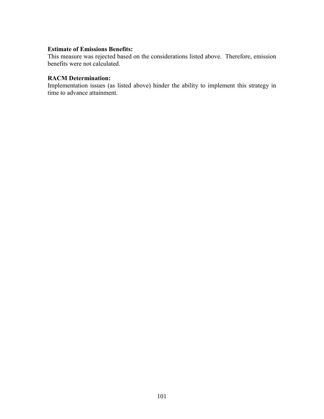#### **Estimate of Emissions Benefits:**

This measure was rejected based on the considerations listed above. Therefore, emission benefits were not calculated.

#### **RACM Determination:**

Implementation issues (as listed above) hinder the ability to implement this strategy in time to advance attainment.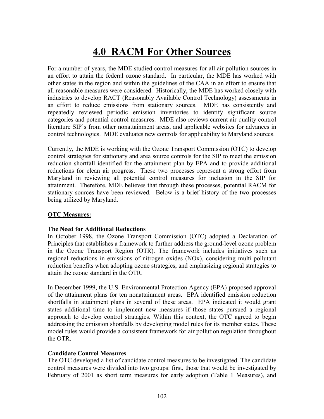## **4.0 RACM For Other Sources**

For a number of years, the MDE studied control measures for all air pollution sources in an effort to attain the federal ozone standard. In particular, the MDE has worked with other states in the region and within the guidelines of the CAA in an effort to ensure that all reasonable measures were considered. Historically, the MDE has worked closely with industries to develop RACT (Reasonably Available Control Technology) assessments in an effort to reduce emissions from stationary sources. MDE has consistently and repeatedly reviewed periodic emission inventories to identify significant source categories and potential control measures. MDE also reviews current air quality control literature SIP's from other nonattainment areas, and applicable websites for advances in control technologies. MDE evaluates new controls for applicability to Maryland sources.

Currently, the MDE is working with the Ozone Transport Commission (OTC) to develop control strategies for stationary and area source controls for the SIP to meet the emission reduction shortfall identified for the attainment plan by EPA and to provide additional reductions for clean air progress. These two processes represent a strong effort from Maryland in reviewing all potential control measures for inclusion in the SIP for attainment. Therefore, MDE believes that through these processes, potential RACM for stationary sources have been reviewed. Below is a brief history of the two processes being utilized by Maryland.

#### **OTC Measures:**

#### **The Need for Additional Reductions**

In October 1998, the Ozone Transport Commission (OTC) adopted a Declaration of Principles that establishes a framework to further address the ground-level ozone problem in the Ozone Transport Region (OTR). The framework includes initiatives such as regional reductions in emissions of nitrogen oxides (NOx), considering multi-pollutant reduction benefits when adopting ozone strategies, and emphasizing regional strategies to attain the ozone standard in the OTR.

In December 1999, the U.S. Environmental Protection Agency (EPA) proposed approval of the attainment plans for ten nonattainment areas. EPA identified emission reduction shortfalls in attainment plans in several of these areas. EPA indicated it would grant states additional time to implement new measures if those states pursued a regional approach to develop control stratagies. Within this context, the OTC agreed to begin addressing the emission shortfalls by developing model rules for its member states. These model rules would provide a consistent framework for air pollution regulation throughout the OTR.

#### **Candidate Control Measures**

The OTC developed a list of candidate control measures to be investigated. The candidate control measures were divided into two groups: first, those that would be investigated by February of 2001 as short term measures for early adoption (Table 1 Measures), and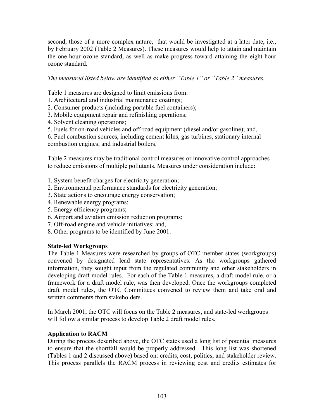second, those of a more complex nature, that would be investigated at a later date, i.e., by February 2002 (Table 2 Measures). These measures would help to attain and maintain the one-hour ozone standard, as well as make progress toward attaining the eight-hour ozone standard.

*The measured listed below are identified as either "Table 1" or "Table 2" measures.* 

Table 1 measures are designed to limit emissions from:

- 1. Architectural and industrial maintenance coatings;
- 2. Consumer products (including portable fuel containers);
- 3. Mobile equipment repair and refinishing operations;
- 4. Solvent cleaning operations;
- 5. Fuels for on-road vehicles and off-road equipment (diesel and/or gasoline); and,

6. Fuel combustion sources, including cement kilns, gas turbines, stationary internal combustion engines, and industrial boilers.

Table 2 measures may be traditional control measures or innovative control approaches to reduce emissions of multiple pollutants. Measures under consideration include:

- 1. System benefit charges for electricity generation;
- 2. Environmental performance standards for electricity generation;
- 3. State actions to encourage energy conservation;
- 4. Renewable energy programs;
- 5. Energy efficiency programs;
- 6. Airport and aviation emission reduction programs;
- 7. Off-road engine and vehicle initiatives; and,
- 8. Other programs to be identified by June 2001.

#### **State-led Workgroups**

The Table 1 Measures were researched by groups of OTC member states (workgroups) convened by designated lead state representatives. As the workgroups gathered information, they sought input from the regulated community and other stakeholders in developing draft model rules. For each of the Table 1 measures, a draft model rule, or a framework for a draft model rule, was then developed. Once the workgroups completed draft model rules, the OTC Committees convened to review them and take oral and written comments from stakeholders.

In March 2001, the OTC will focus on the Table 2 measures, and state-led workgroups will follow a similar process to develop Table 2 draft model rules.

#### **Application to RACM**

During the process described above, the OTC states used a long list of potential measures to ensure that the shortfall would be properly addressed. This long list was shortened (Tables 1 and 2 discussed above) based on: credits, cost, politics, and stakeholder review. This process parallels the RACM process in reviewing cost and credits estimates for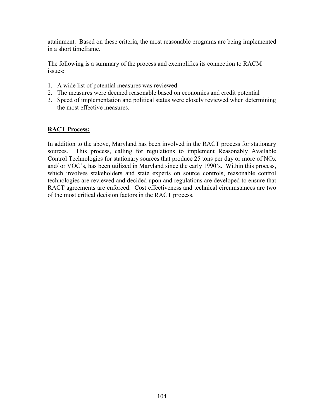attainment. Based on these criteria, the most reasonable programs are being implemented in a short timeframe.

The following is a summary of the process and exemplifies its connection to RACM issues:

- 1. A wide list of potential measures was reviewed.
- 2. The measures were deemed reasonable based on economics and credit potential
- 3. Speed of implementation and political status were closely reviewed when determining the most effective measures.

#### **RACT Process:**

In addition to the above, Maryland has been involved in the RACT process for stationary sources. This process, calling for regulations to implement Reasonably Available Control Technologies for stationary sources that produce 25 tons per day or more of NOx and/ or VOC's, has been utilized in Maryland since the early 1990's. Within this process, which involves stakeholders and state experts on source controls, reasonable control technologies are reviewed and decided upon and regulations are developed to ensure that RACT agreements are enforced. Cost effectiveness and technical circumstances are two of the most critical decision factors in the RACT process.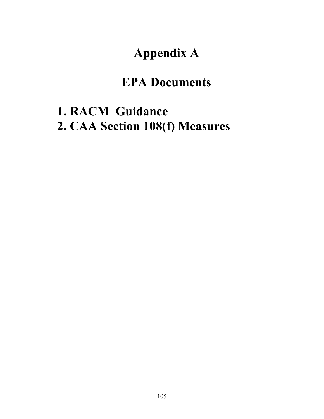# **Appendix A**

## **EPA Documents**

# **1. RACM Guidance 2. CAA Section 108(f) Measures**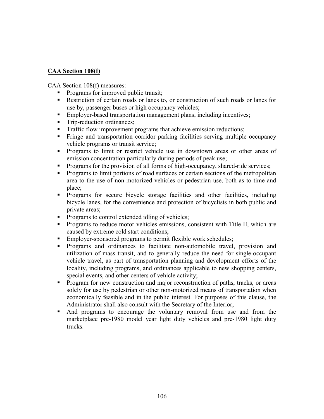#### **CAA Section 108(f)**

CAA Section 108(f) measures:

- Programs for improved public transit;
- Restriction of certain roads or lanes to, or construction of such roads or lanes for use by, passenger buses or high occupancy vehicles;
- Employer-based transportation management plans, including incentives;
- Trip-reduction ordinances;
- **Traffic flow improvement programs that achieve emission reductions;**
- Fringe and transportation corridor parking facilities serving multiple occupancy vehicle programs or transit service;
- **Programs to limit or restrict vehicle use in downtown areas or other areas of** emission concentration particularly during periods of peak use;
- **Programs for the provision of all forms of high-occupancy, shared-ride services;**
- **Programs to limit portions of road surfaces or certain sections of the metropolitan** area to the use of non-motorized vehicles or pedestrian use, both as to time and place;
- Programs for secure bicycle storage facilities and other facilities, including bicycle lanes, for the convenience and protection of bicyclists in both public and private areas;
- Programs to control extended idling of vehicles;
- **Programs to reduce motor vehicles emissions, consistent with Title II, which are** caused by extreme cold start conditions;
- **Employer-sponsored programs to permit flexible work schedules;**
- **Programs and ordinances to facilitate non-automobile travel, provision and** utilization of mass transit, and to generally reduce the need for single-occupant vehicle travel, as part of transportation planning and development efforts of the locality, including programs, and ordinances applicable to new shopping centers, special events, and other centers of vehicle activity;
- **Program for new construction and major reconstruction of paths, tracks, or areas** solely for use by pedestrian or other non-motorized means of transportation when economically feasible and in the public interest. For purposes of this clause, the Administrator shall also consult with the Secretary of the Interior;
- And programs to encourage the voluntary removal from use and from the marketplace pre-1980 model year light duty vehicles and pre-1980 light duty trucks.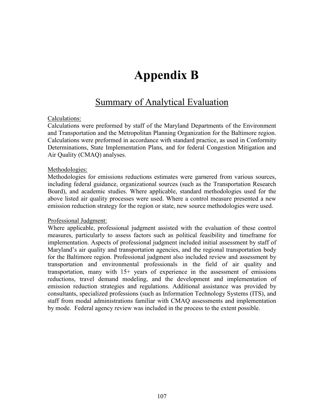# **Appendix B**

## Summary of Analytical Evaluation

#### Calculations:

Calculations were preformed by staff of the Maryland Departments of the Environment and Transportation and the Metropolitan Planning Organization for the Baltimore region. Calculations were preformed in accordance with standard practice, as used in Conformity Determinations, State Implementation Plans, and for federal Congestion Mitigation and Air Quality (CMAQ) analyses.

#### Methodologies:

Methodologies for emissions reductions estimates were garnered from various sources, including federal guidance, organizational sources (such as the Transportation Research Board), and academic studies. Where applicable, standard methodologies used for the above listed air quality processes were used. Where a control measure presented a new emission reduction strategy for the region or state, new source methodologies were used.

#### Professional Judgment:

Where applicable, professional judgment assisted with the evaluation of these control measures, particularly to assess factors such as political feasibility and timeframe for implementation. Aspects of professional judgment included initial assessment by staff of Maryland's air quality and transportation agencies, and the regional transportation body for the Baltimore region. Professional judgment also included review and assessment by transportation and environmental professionals in the field of air quality and transportation, many with 15+ years of experience in the assessment of emissions reductions, travel demand modeling, and the development and implementation of emission reduction strategies and regulations. Additional assistance was provided by consultants, specialized professions (such as Information Technology Systems (ITS), and staff from modal administrations familiar with CMAQ assessments and implementation by mode. Federal agency review was included in the process to the extent possible.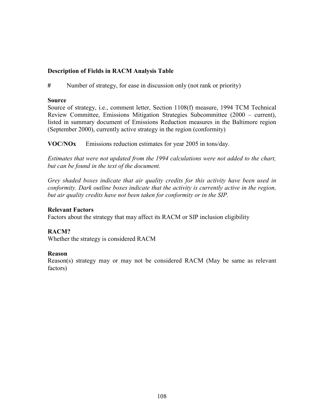#### **Description of Fields in RACM Analysis Table**

**#** Number of strategy, for ease in discussion only (not rank or priority)

#### **Source**

Source of strategy, i.e., comment letter, Section 1108(f) measure, 1994 TCM Technical Review Committee, Emissions Mitigation Strategies Subcommittee (2000 – current), listed in summary document of Emissions Reduction measures in the Baltimore region (September 2000), currently active strategy in the region (conformity)

**VOC/NOx** Emissions reduction estimates for year 2005 in tons/day.

*Estimates that were not updated from the 1994 calculations were not added to the chart, but can be found in the text of the document.*

*Grey shaded boxes indicate that air quality credits for this activity have been used in conformity. Dark outline boxes indicate that the activity is currently active in the region, but air quality credits have not been taken for conformity or in the SIP.* 

#### **Relevant Factors**

Factors about the strategy that may affect its RACM or SIP inclusion eligibility

#### **RACM?**

Whether the strategy is considered RACM

#### **Reason**

Reason(s) strategy may or may not be considered RACM (May be same as relevant factors)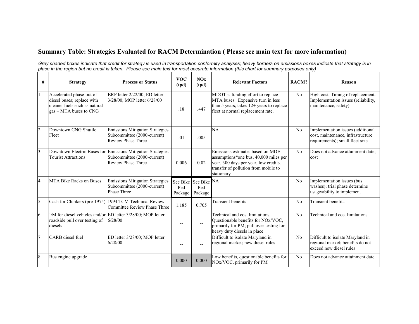## **Summary Table: Strategies Evaluated for RACM Determination ( Please see main text for more information)**

*Grey shaded boxes indicate that credit for strategy is used in transportation conformity analyses; heavy borders on emissions boxes indicate that strategy is in place in the region but no credit is taken. Please see main text for most accurate information (this chart for summary purposes only)* 

| # | <b>Strategy</b>                                                                                                                   | <b>Process or Status</b>                                                                                                | <b>VOC</b><br>(tpd) | NOx<br>(tpd)                           | <b>Relevant Factors</b>                                                                                                                                                  | RACM? | Reason                                                                                                    |
|---|-----------------------------------------------------------------------------------------------------------------------------------|-------------------------------------------------------------------------------------------------------------------------|---------------------|----------------------------------------|--------------------------------------------------------------------------------------------------------------------------------------------------------------------------|-------|-----------------------------------------------------------------------------------------------------------|
|   | Accelerated phase-out of<br>diesel buses; replace with<br>cleaner fuels such as natural<br>$\text{gas} - \text{MTA}$ buses to CNG | BRP letter 2/22/00; ED letter<br>3/28/00; MOP letter 6/28/00                                                            | .18                 | .447                                   | MDOT is funding effort to replace<br>MTA buses. Expensive turn in less<br>than 5 years, takes $12+$ years to replace<br>fleet at normal replacement rate.                | No    | High cost. Timing of replacement.<br>Implementation issues (reliability,<br>maintenance, safety)          |
|   | Downtown CNG Shuttle<br>Fleet                                                                                                     | <b>Emissions Mitigation Strategies</b><br>Subcommittee (2000-current)<br>Review Phase Three                             | .01                 | .005                                   | NA                                                                                                                                                                       | No    | Implementation issues (additional<br>cost, maintenance, infrastructure<br>requirements); small fleet size |
| 3 | <b>Tourist Attractions</b>                                                                                                        | Downtown Electric Buses for Emissions Mitigation Strategies<br>Subcommittee (2000-current)<br><b>Review Phase Three</b> | 0.006               | 0.02                                   | Emissions estimates based on MDE<br>assumptions*one bus, 40,000 miles per<br>year, 300 days per year, low credits.<br>transfer of pollution from mobile to<br>stationary | No    | Does not advance attainment date;<br>cost                                                                 |
| 4 | <b>MTA Bike Racks on Buses</b>                                                                                                    | <b>Emissions Mitigation Strategies</b><br>Subcommittee (2000-current)<br>Phase Three                                    | Ped<br>Package      | See Bike See Bike NA<br>Ped<br>Package |                                                                                                                                                                          | No    | Implementation issues (bus<br>washes); trial phase determine<br>usage/ability to implement                |
| 5 |                                                                                                                                   | Cash for Clunkers (pre-1975) 1994 TCM Technical Review<br>Committee Review Phase Three                                  | 1.185               | 0.705                                  | <b>Transient</b> benefits                                                                                                                                                | No    | <b>Transient benefits</b>                                                                                 |
| 6 | roadside pull over testing of<br>diesels                                                                                          | I/M for diesel vehicles and/or ED letter 3/28/00; MOP letter<br>6/28/00                                                 | --                  | $- -$                                  | Technical and cost limitations.<br>Questionable benefits for NOx/VOC,<br>primarily for PM; pull over testing for<br>heavy duty diesels in place                          | No    | Technical and cost limitations                                                                            |
|   | CARB diesel fuel                                                                                                                  | ED letter 3/28/00; MOP letter<br>6/28/00                                                                                | --                  |                                        | Difficult to isolate Maryland in<br>regional market; new diesel rules                                                                                                    | No    | Difficult to isolate Maryland in<br>regional market; benefits do not<br>exceed new diesel rules           |
| 8 | Bus engine upgrade                                                                                                                |                                                                                                                         | 0.000               | 0.000                                  | Low benefits, questionable benefits for<br>NOx/VOC, primarily for PM                                                                                                     | No    | Does not advance attainment date                                                                          |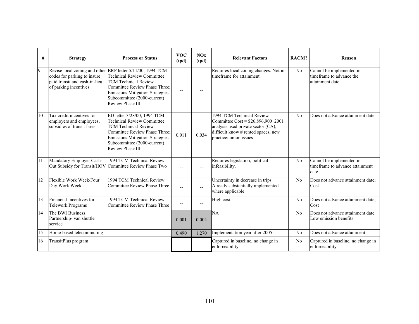| #  | <b>Strategy</b>                                                                       | <b>Process or Status</b>                                                                                                                                                                                                                                     | <b>VOC</b><br>(tpd)      | NOx<br>(tpd)   | <b>Relevant Factors</b>                                                                                                                                                | RACM? | Reason                                                                  |
|----|---------------------------------------------------------------------------------------|--------------------------------------------------------------------------------------------------------------------------------------------------------------------------------------------------------------------------------------------------------------|--------------------------|----------------|------------------------------------------------------------------------------------------------------------------------------------------------------------------------|-------|-------------------------------------------------------------------------|
| 9  | codes for parking to insure<br>paid transit and cash-in-lieu<br>of parking incentives | Revise local zoning and other BRP letter 5/11/00; 1994 TCM<br><b>Technical Review Committee</b><br><b>TCM Technical Review</b><br>Committee Review Phase Three:<br><b>Emissions Mitigation Strategies</b><br>Subcommittee (2000-current)<br>Review Phase III | $\overline{\phantom{a}}$ |                | Requires local zoning changes. Not in<br>timeframe for attainment.                                                                                                     | No    | Cannot be implemented in<br>timeframe to advance the<br>attainment date |
| 10 | Tax credit incentives for<br>employers and employees,<br>subsidies of transit fares   | ED letter 3/28/00; 1994 TCM<br><b>Technical Review Committee</b><br><b>TCM Technical Review</b><br>Committee Review Phase Three:<br><b>Emissions Mitigation Strategies</b><br>Subcommittee (2000-current)<br><b>Review Phase III</b>                         | 0.011                    | 0.034          | 1994 TCM Technical Review<br>Committee Cost = \$26,896,900 2001<br>analysis used private sector (CA);<br>difficult know # rented spaces, new<br>practice; union issues | No    | Does not advance attainment date                                        |
| 11 | Mandatory Employer Cash-                                                              | 1994 TCM Technical Review<br>Out Subsidy for Transit/HOV Committee Review Phase Two                                                                                                                                                                          | $\overline{a}$           |                | Requires legislation; political<br>infeasibility.                                                                                                                      | No    | Cannot be implemented in<br>timeframe to advance attainment<br>date     |
| 12 | Flexible Work Week/Four<br>Day Work Week                                              | 1994 TCM Technical Review<br>Committee Review Phase Three                                                                                                                                                                                                    | $\overline{a}$           | $\overline{a}$ | Uncertainty in decrease in trips.<br>Already substantially implemented<br>where applicable.                                                                            | No    | Does not advance attainment date:<br>Cost                               |
| 13 | Financial Incentives for<br><b>Telework Programs</b>                                  | 1994 TCM Technical Review<br>Committee Review Phase Three                                                                                                                                                                                                    | $\overline{\phantom{a}}$ | $- -$          | High cost.                                                                                                                                                             | No    | Does not advance attainment date;<br>Cost                               |
| 14 | The BWI Business<br>Partnership- van shuttle<br>service                               |                                                                                                                                                                                                                                                              | 0.001                    | 0.004          | 'NА                                                                                                                                                                    | No    | Does not advance attainment date<br>Low emission benefits               |
| 15 | Home-based telecommuting                                                              |                                                                                                                                                                                                                                                              | 0.490                    | 1.270          | Implementation year after 2005                                                                                                                                         | No    | Does not advance attainment                                             |
| 16 | TransitPlus program                                                                   |                                                                                                                                                                                                                                                              | --                       | $- -$          | Captured in baseline, no change in<br>enforceability                                                                                                                   | No    | Captured in baseline, no change in<br>enforceability                    |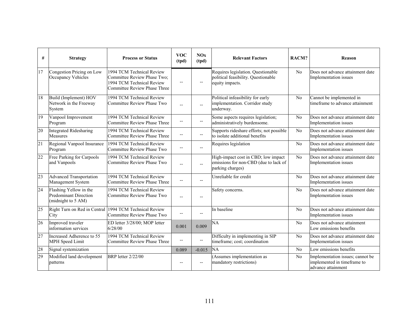| #               | <b>Strategy</b>                                                              | <b>Process or Status</b>                                                                                                     | <b>VOC</b><br>(tpd)      | NOx<br>(tpd)             | <b>Relevant Factors</b>                                                                          | RACM? | <b>Reason</b>                                                                         |
|-----------------|------------------------------------------------------------------------------|------------------------------------------------------------------------------------------------------------------------------|--------------------------|--------------------------|--------------------------------------------------------------------------------------------------|-------|---------------------------------------------------------------------------------------|
| 17              | Congestion Pricing on Low<br>Occupancy Vehicles                              | 1994 TCM Technical Review<br>Committee Review Phase Two;<br>1994 TCM Technical Review<br><b>Committee Review Phase Three</b> | $\overline{\phantom{a}}$ | --                       | Requires legislation. Questionable<br>political feasibility. Questionable<br>equity impacts.     | No    | Does not advance attainment date<br>Implementation issues                             |
| 18              | Build (Implement) HOV<br>Network in the Freeway<br>System                    | 1994 TCM Technical Review<br>Committee Review Phase Two                                                                      | $\overline{a}$           |                          | Political infeasibility for early<br>implementation. Corridor study<br>underway.                 | No    | Cannot be implemented in<br>timeframe to advance attainment                           |
| 19              | Vanpool Improvement<br>Program                                               | 1994 TCM Technical Review<br><b>Committee Review Phase Three</b>                                                             | $\overline{a}$           | $\overline{\phantom{a}}$ | Some aspects requires legislation;<br>administratively burdensome.                               | No    | Does not advance attainment date<br>Implementation issues                             |
| 20              | <b>Integrated Ridesharing</b><br>Measures                                    | 1994 TCM Technical Review<br><b>Committee Review Phase Three</b>                                                             | $-$                      |                          | Supports rideshare efforts; not possible<br>to isolate additional benefits                       | No    | Does not advance attainment date<br>Implementation issues                             |
| $\overline{21}$ | Regional Vanpool Insurance<br>Program                                        | 1994 TCM Technical Review<br>Committee Review Phase Two                                                                      | $\overline{a}$           | $\overline{a}$           | Requires legislation                                                                             | No    | Does not advance attainment date<br>Implementation issues                             |
| 22              | Free Parking for Carpools<br>and Vanpools                                    | 1994 TCM Technical Review<br><b>Committee Review Phase Two</b>                                                               | $-$                      | $\overline{a}$           | High-impact cost in CBD; low impact<br>emissions for non-CBD (due to lack of<br>parking charges) | No    | Does not advance attainment date<br>Implementation issues                             |
| 23              | Advanced Transportation<br>Management System                                 | 1994 TCM Technical Review<br><b>Committee Review Phase Three</b>                                                             | $\overline{a}$           | $-$                      | Unreliable for credit                                                                            | No    | Does not advance attainment date<br>Implementation issues                             |
| $\overline{24}$ | Flashing Yellow in the<br><b>Predominant Direction</b><br>(midnight to 5 AM) | 1994 TCM Technical Review<br>Committee Review Phase Two                                                                      | $\overline{a}$           |                          | Safety concerns.                                                                                 | No    | Does not advance attainment date<br>Implementation issues                             |
| $\overline{25}$ | Right Turn on Red in Central<br>City                                         | 1994 TCM Technical Review<br><b>Committee Review Phase Two</b>                                                               | $-$                      | $- -$                    | In baseline                                                                                      | No    | Does not advance attainment date<br>Implementation issues                             |
| 26              | Improved traveler<br>information services                                    | ED letter 3/28/00; MOP letter<br>6/28/00                                                                                     | 0.001                    | 0.009                    | NA                                                                                               | No    | Does not advance attainment<br>Low emissions benefits                                 |
| $\overline{27}$ | Increased Adherence to 55<br>MPH Speed Limit                                 | 1994 TCM Technical Review<br><b>Committee Review Phase Three</b>                                                             | $\overline{\phantom{a}}$ | $\overline{\phantom{a}}$ | Difficulty in implementing in SIP<br>timeframe; cost; coordination                               | No    | Does not advance attainment date<br>Implementation issues                             |
| 28              | Signal systemization                                                         |                                                                                                                              | 0.089                    | $-0.015$                 | NA                                                                                               | No    | Low emissions benefits                                                                |
| 29              | Modified land development<br>patterns                                        | <b>BRP</b> letter 2/22/00                                                                                                    | $-$                      |                          | Assumes implementation as<br>mandatory restrictions)                                             | No    | Implementation issues; cannot be<br>implemented in timeframe to<br>advance attainment |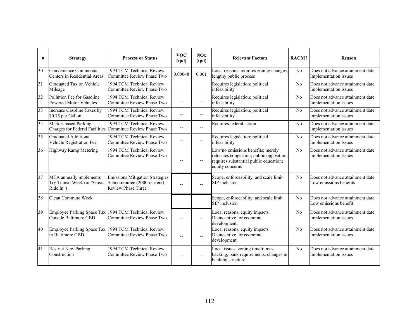| #               | <b>Strategy</b>                                                     | <b>Process or Status</b>                                                                           | <b>VOC</b><br>(tpd)      | NOx<br>(tpd)             | <b>Relevant Factors</b>                                                                                                                    | RACM? | Reason                                                     |
|-----------------|---------------------------------------------------------------------|----------------------------------------------------------------------------------------------------|--------------------------|--------------------------|--------------------------------------------------------------------------------------------------------------------------------------------|-------|------------------------------------------------------------|
| 30              | Convenience Commercial<br>Centers in Residential Areas              | 1994 TCM Technical Review<br>Committee Review Phase Two                                            | 0.00048                  | 0.001                    | Local reasons, requires zoning changes,<br>lengthy public process                                                                          | No    | Does not advance attainment date<br>Implementation issues  |
| $\overline{31}$ | Graduated Tax on Vehicle<br>Mileage                                 | 1994 TCM Technical Review<br>Committee Review Phase Two                                            | $\overline{a}$           | $- -$                    | Requires legislation; political<br>infeasibility                                                                                           | No    | Does not advance attainment date<br>Implementation issues  |
| 32              | Pollution Fee for Gasoline<br>Powered Motor Vehicles                | 1994 TCM Technical Review<br>Committee Review Phase Two                                            | --                       | $\overline{\phantom{a}}$ | Requires legislation; political<br>infeasibility                                                                                           | No    | Does not advance attainment date<br>Implementation issues  |
| $\overline{33}$ | Increase Gasoline Taxes by<br>\$0.75 per Gallon                     | 1994 TCM Technical Review<br>Committee Review Phase Two                                            | --                       | $\overline{\phantom{a}}$ | Requires legislation; political<br>infeasibility                                                                                           | No    | Does not advance attainment date<br>Implementation issues  |
| 34              | Market-based Parking                                                | 1994 TCM Technical Review<br>Charges for Federal Facilities Committee Review Phase Two             | --                       | $\overline{\phantom{a}}$ | Requires federal action                                                                                                                    | No    | Does not advance attainment date<br>Implementation issues  |
| 35              | <b>Graduated Additional</b><br>Vehicle Registration Fee             | 1994 TCM Technical Review<br>Committee Review Phase Two                                            | $-$                      | $\overline{\phantom{a}}$ | Requires legislation; political<br>infeasibility                                                                                           | No    | Does not advance attainment date<br>Implementation issues  |
| 36              | Highway Ramp Metering                                               | 1994 TCM Technical Review<br>Committee Review Phase Two                                            | $\overline{a}$           | $\overline{\phantom{a}}$ | Low/no emissions benefits; merely<br>relocates congestion; public opposition;<br>requires substantial public education;<br>equity concerns | No    | Does not advance attainment date<br>Implementation issues  |
| 37              | MTA annually implements<br>Try Transit Week (or "Great<br>Ride In") | <b>Emissions Mitigation Strategies</b><br>Subcommittee (2000-current)<br><b>Review Phase Three</b> | $\overline{\phantom{0}}$ | $\overline{a}$           | Scope, enforceability, and scale limit<br>SIP inclusion                                                                                    | No    | Does not advance attainment date<br>Low emissions benefits |
| 38              | Clean Commute Week                                                  |                                                                                                    | $-$                      | $\qquad \qquad -$        | Scope, enforceability, and scale limit<br><b>SIP</b> inclusion                                                                             | No    | Does not advance attainment date<br>Low emissions benefit  |
| 39              | <b>Outside Baltimore CBD</b>                                        | Employee Parking Space Tax 1994 TCM Technical Review<br>Committee Review Phase Two                 | $\overline{\phantom{a}}$ | $\overline{\phantom{a}}$ | Local reasons, equity impacts,<br>Disincentive for economic<br>development.                                                                | No    | Does not advance attainment date<br>Implementation issues  |
| 40              | in Baltimore CBD                                                    | Employee Parking Space Tax 1994 TCM Technical Review<br>Committee Review Phase Two                 | $-$                      | $\overline{a}$           | Local reasons, equity impacts,<br>Disincentive for economic<br>development.                                                                | No    | Does not advance attainment date<br>Implementation issues  |
| 41              | <b>Restrict New Parking</b><br>Construction                         | 1994 TCM Technical Review<br>Committee Review Phase Two                                            | $-$                      |                          | Local issues, zoning timeframes,<br>backing, bank requirements, changes in<br>banking structure                                            | No    | Does not advance attainment date<br>Implementation issues  |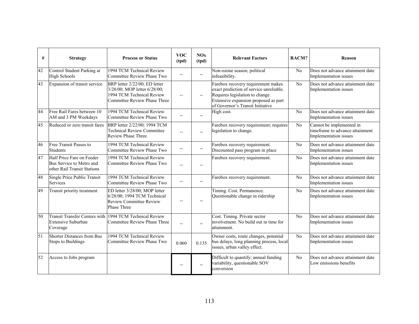| #  | <b>Strategy</b>                                                                      | <b>Process or Status</b>                                                                                                   | <b>VOC</b><br>(tpd)      | NOx<br>(tpd)             | <b>Relevant Factors</b>                                                                                                                                                                      | RACM? | <b>Reason</b>                                                                        |
|----|--------------------------------------------------------------------------------------|----------------------------------------------------------------------------------------------------------------------------|--------------------------|--------------------------|----------------------------------------------------------------------------------------------------------------------------------------------------------------------------------------------|-------|--------------------------------------------------------------------------------------|
| 42 | Control Student Parking at<br><b>High Schools</b>                                    | 1994 TCM Technical Review<br>Committee Review Phase Two                                                                    | $-$                      | $\overline{\phantom{a}}$ | Non-ozone season; political<br>infeasibility.                                                                                                                                                | No    | Does not advance attainment date<br>Implementation issues                            |
| 43 | Expansion of transit service                                                         | BRP letter 2/22/00; ED letter<br>3/28/00; MOP letter 6/28/00;<br>1994 TCM Technical Review<br>Committee Review Phase Three | $\overline{\phantom{a}}$ | $- -$                    | Farebox recovery requirement makes<br>exact prediction of service unreliable.<br>Requires legislation to change.<br>Extensive expansion proposed as part<br>of Governor's Transit Initiative | No    | Does not advance attainment date<br>Implementation issues                            |
| 44 | Free Rail Fares between 10<br>AM and 3 PM Weekdays                                   | 1994 TCM Technical Review<br>Committee Review Phase Two                                                                    | $-$                      |                          | High cost.                                                                                                                                                                                   | No    | Does not advance attainment date<br>Implementation issues                            |
| 45 | Reduced or zero transit fares                                                        | BRP letter 2/22/00; 1994 TCM<br><b>Technical Review Committee</b><br><b>Review Phase Three</b>                             | $\overline{a}$           | $-1$                     | Farebox recovery requirement; requires<br>legislation to change.                                                                                                                             | No    | Cannot be implemented in<br>timeframe to advance attainment<br>Implementation issues |
| 46 | Free Transit Passes to<br><b>Students</b>                                            | 1994 TCM Technical Review<br>Committee Review Phase Two                                                                    | --                       | $\overline{\phantom{a}}$ | Farebox recovery requirement.<br>Discounted pass program in place                                                                                                                            | No    | Does not advance attainment date<br>Implementation issues                            |
| 47 | Half Price Fare on Feeder<br>Bus Service to Metro and<br>other Rail Transit Stations | 1994 TCM Technical Review<br>Committee Review Phase Two                                                                    | $\overline{a}$           | $\overline{a}$           | Farebox recovery requirement.                                                                                                                                                                | No    | Does not advance attainment date<br>Implementation issues                            |
| 48 | Single Price Public Transit<br>Services                                              | 1994 TCM Technical Review<br>Committee Review Phase Two                                                                    | $-$                      | $- -$                    | Farebox recovery requirement.                                                                                                                                                                | No    | Does not advance attainment date<br>Implementation issues                            |
| 49 | Transit priority treatment                                                           | ED letter 3/28/00; MOP letter<br>6/28/00; 1994 TCM Technical<br>Review Committee Review<br>Phase Three                     | $-$                      | $\overline{a}$           | Timing. Cost. Permanence.<br>Questionable change in ridership                                                                                                                                | No    | Does not advance attainment date<br>Implementation issues                            |
| 50 | <b>Extensive Suburban</b><br>Coverage                                                | Transit Transfer Centers with 1994 TCM Technical Review<br>Committee Review Phase Three                                    | $\overline{a}$           | $\overline{a}$           | Cost. Timing. Private sector<br>involvement. No build out in time for<br>attainment.                                                                                                         | No    | Does not advance attainment date<br>Implementation issues                            |
| 51 | Shorter Distances from Bus<br><b>Stops to Buildings</b>                              | 1994 TCM Technical Review<br>Committee Review Phase Two                                                                    | 0.060                    | 0.135                    | Owner costs, route changes, potential<br>bus delays, long planning process, local<br>issues, urban valley effect.                                                                            | No    | Does not advance attainment date<br>Implementation issues                            |
| 52 | Access to Jobs program                                                               |                                                                                                                            | $\overline{a}$           |                          | Difficult to quantify; annual funding<br>variability, questionable SOV<br>conversion                                                                                                         | No    | Does not advance attainment date<br>Low emissions benefits                           |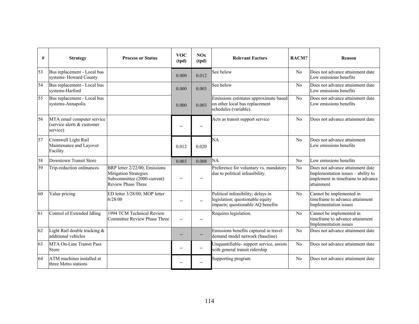| #  | <b>Strategy</b>                                                      | <b>Process or Status</b>                                                                                                  | <b>VOC</b><br>(tpd)      | NOx<br>(tpd)   | <b>Relevant Factors</b>                                                                                     | RACM?          | <b>Reason</b>                                                                                                             |
|----|----------------------------------------------------------------------|---------------------------------------------------------------------------------------------------------------------------|--------------------------|----------------|-------------------------------------------------------------------------------------------------------------|----------------|---------------------------------------------------------------------------------------------------------------------------|
| 53 | Bus replacement - Local bus<br>systems-Howard County                 |                                                                                                                           | 0.000                    | 0.012          | See below                                                                                                   | No             | Does not advance attainment date<br>Low emissions benefits                                                                |
| 54 | Bus replacement - Local bus<br>systems-Harford                       |                                                                                                                           | 0.000                    | 0.003          | See below                                                                                                   | N <sub>0</sub> | Does not advance attainment date<br>Low emissions benefits                                                                |
| 55 | Bus replacement - Local bus<br>systems-Annapolis                     |                                                                                                                           | 0.000                    | 0.003          | Emissions estimates approximate based<br>on other local bus replacement<br>schedules (variable).            | N <sub>0</sub> | Does not advance attainment date<br>Low emissions benefits                                                                |
| 56 | MTA email computer service<br>(service alerts & customer<br>service) |                                                                                                                           | --                       | --             | Acts as transit support service                                                                             | N <sub>0</sub> | Does not advance attainment date                                                                                          |
| 57 | Cromwell Light Rail<br>Maintenance and Layover<br>Facility           |                                                                                                                           | 0.012                    | 0.020          | NA                                                                                                          | No             | Does not advance attainment<br>Low emissions benefits                                                                     |
| 58 | Downtown Transit Store                                               |                                                                                                                           | 0.003                    | 0.008          | NA                                                                                                          | No             | Low emissions benefits                                                                                                    |
| 59 | Trip-reduction ordinances                                            | BRP letter 2/22/00; Emissions<br><b>Mitigation Strategies</b><br>Subcommittee (2000-current)<br><b>Review Phase Three</b> |                          |                | Preference for voluntary vs. mandatory<br>due to political infeasibility.                                   | No             | Does not advance attainment date<br>Implementation issues - ability to<br>implement in timeframe to advance<br>attainment |
| 60 | Value pricing                                                        | ED letter 3/28/00; MOP letter<br>6/28/00                                                                                  | $\overline{\phantom{a}}$ | $\overline{a}$ | Political infeasibility; delays in<br>legislation; questionable equity<br>impacts; questionable AQ benefits | No             | Cannot be implemented in<br>timeframe to advance attainment<br>Implementation issues                                      |
| 61 | Control of Extended Idling                                           | 1994 TCM Technical Review<br><b>Committee Review Phase Three</b>                                                          | $-$                      |                | Requires legislation.                                                                                       | N <sub>0</sub> | Cannot be implemented in<br>timeframe to advance attainment<br>Implementation issues                                      |
| 62 | Light Rail double tracking &<br>additional vehicles                  |                                                                                                                           |                          |                | Emissions benefits captured in travel<br>demand model network (baseline)                                    | No             | Does not advance attainment date                                                                                          |
| 63 | <b>MTA On-Line Transit Pass</b><br>Store                             |                                                                                                                           | --                       | --             | Unquantifiable- support service, assists<br>with general transit ridership                                  | No             | Does not advance attainment date                                                                                          |
| 64 | ATM machines installed at<br>three Metro stations                    |                                                                                                                           | $-$                      |                | Supporting program                                                                                          | No             | Does not advance attainment date                                                                                          |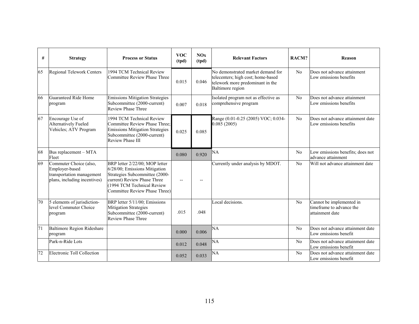| #  | <b>Strategy</b>                                                                                       | <b>Process or Status</b>                                                                                                                                                                        | <b>VOC</b><br>(tpd)      | NOx<br>(tpd) | <b>Relevant Factors</b>                                                                                                         | RACM?          | <b>Reason</b>                                                           |
|----|-------------------------------------------------------------------------------------------------------|-------------------------------------------------------------------------------------------------------------------------------------------------------------------------------------------------|--------------------------|--------------|---------------------------------------------------------------------------------------------------------------------------------|----------------|-------------------------------------------------------------------------|
| 65 | Regional Telework Centers                                                                             | 1994 TCM Technical Review<br>Committee Review Phase Three                                                                                                                                       | 0.015                    | 0.046        | No demonstrated market demand for<br>telecenters; high cost; home-based<br>telework more predominant in the<br>Baltimore region | No             | Does not advance attainment<br>Low emissions benefits                   |
| 66 | Guaranteed Ride Home<br>program                                                                       | <b>Emissions Mitigation Strategies</b><br>Subcommittee (2000-current)<br><b>Review Phase Three</b>                                                                                              | 0.007                    | 0.018        | Isolated program not as effective as<br>comprehensive program                                                                   | No             | Does not advance attainment<br>Low emissions benefits                   |
| 67 | Encourage Use of<br>Alternatively Fueled<br>Vehicles; ATV Program                                     | 1994 TCM Technical Review<br>Committee Review Phase Three;<br><b>Emissions Mitigation Strategies</b><br>Subcommittee (2000-current)<br>Review Phase III                                         | 0.025                    | 0.085        | Range (0.01-0.25 (2005) VOC; 0.034-<br>0.085(2005)                                                                              | No             | Does not advance attainment date<br>Low emissions benefits              |
| 68 | Bus replacement - MTA<br>Fleet                                                                        |                                                                                                                                                                                                 | 0.080                    | 0.920        | NA                                                                                                                              | No             | Low emissions benefits; does not<br>advance attainment                  |
| 69 | Commuter Choice (also,<br>Employer-based<br>transportation management<br>plans, including incentives) | BRP letter 2/22/00; MOP letter<br>6/28/00; Emissions Mitigation<br>Strategies Subcommittee (2000-<br>current) Review Phase Three<br>(1994 TCM Technical Review<br>Committee Review Phase Three) | $\overline{\phantom{a}}$ | $-$          | Currently under analysis by MDOT.                                                                                               | No             | Will not advance attainment date                                        |
| 70 | 5 elements of jurisdiction-<br>level Commuter Choice<br>program                                       | BRP letter 5/11/00; Emissions<br><b>Mitigation Strategies</b><br>Subcommittee (2000-current)<br><b>Review Phase Three</b>                                                                       | .015                     | .048         | Local decisions.                                                                                                                | N <sub>0</sub> | Cannot be implemented in<br>timeframe to advance the<br>attainment date |
| 71 | Baltimore Region Rideshare<br>program                                                                 |                                                                                                                                                                                                 | 0.000                    | 0.006        | NA                                                                                                                              | No             | Does not advance attainment date<br>Low emissions benefit               |
|    | Park-n-Ride Lots                                                                                      |                                                                                                                                                                                                 | 0.012                    | 0.048        | NA                                                                                                                              | No             | Does not advance attainment date<br>Low emissions benefit               |
| 72 | Electronic Toll Collection                                                                            |                                                                                                                                                                                                 | 0.052                    | 0.033        | NA                                                                                                                              | No             | Does not advance attainment date<br>Low emissions benefit               |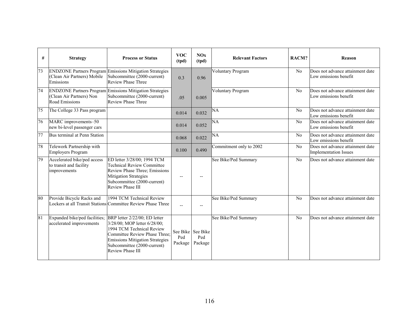| #  | <b>Strategy</b>                                                        | <b>Process or Status</b>                                                                                                                                                                                                        | <b>VOC</b><br>(tpd)      | NOx<br>(tpd)                        | <b>Relevant Factors</b>  | RACM? | Reason                                                           |
|----|------------------------------------------------------------------------|---------------------------------------------------------------------------------------------------------------------------------------------------------------------------------------------------------------------------------|--------------------------|-------------------------------------|--------------------------|-------|------------------------------------------------------------------|
| 73 | (Clean Air Partners) Mobile<br>Emissions                               | <b>ENDZONE Partners Program Emissions Mitigation Strategies</b><br>Subcommittee (2000-current)<br>Review Phase Three                                                                                                            | 0.3                      | 0.96                                | <b>Voluntary Program</b> | No    | Does not advance attainment date<br>Low emissions benefit        |
| 74 | (Clean Air Partners) Non<br>Road Emissions                             | <b>ENDZONE Partners Program Emissions Mitigation Strategies</b><br>Subcommittee (2000-current)<br><b>Review Phase Three</b>                                                                                                     | .05                      | 0.005                               | <b>Voluntary Program</b> | No    | Does not advance attainment date<br>Low emissions benefit        |
| 75 | The College 33 Pass program                                            |                                                                                                                                                                                                                                 | 0.014                    | 0.032                               | NA                       | No    | Does not advance attainment date<br>Low emissions benefit        |
| 76 | MARC improvements-50<br>new bi-level passenger cars                    |                                                                                                                                                                                                                                 | 0.014                    | 0.052                               | NA                       | No    | Does not advance attainment date<br>Low emissions benefit        |
| 77 | Bus terminal at Penn Station                                           |                                                                                                                                                                                                                                 | 0.068                    | 0.022                               | NA                       | No    | Does not advance attainment date<br>Low emissions benefit        |
| 78 | Telework Partnership with<br><b>Employers Program</b>                  |                                                                                                                                                                                                                                 | 0.100                    | 0.490                               | Commitment only to 2002  | No    | Does not advance attainment date<br><b>Implementation Issues</b> |
| 79 | Accelerated bike/ped access<br>to transit and facility<br>improvements | ED letter 3/28/00; 1994 TCM<br><b>Technical Review Committee</b><br>Review Phase Three; Emissions<br><b>Mitigation Strategies</b><br>Subcommittee (2000-current)<br><b>Review Phase III</b>                                     | $\overline{\phantom{a}}$ |                                     | See Bike/Ped Summary     | No    | Does not advance attainment date                                 |
| 80 | Provide Bicycle Racks and                                              | 1994 TCM Technical Review<br>Lockers at all Transit Stations Committee Review Phase Three                                                                                                                                       | $-$                      |                                     | See Bike/Ped Summary     | No    | Does not advance attainment date                                 |
| 81 | Expanded bike/ped facilities;<br>accelerated improvements              | BRP letter 2/22/00; ED letter<br>3/28/00; MOP letter 6/28/00;<br>1994 TCM Technical Review<br>Committee Review Phase Three:<br><b>Emissions Mitigation Strategies</b><br>Subcommittee (2000-current)<br><b>Review Phase III</b> | Ped<br>Package           | See Bike See Bike<br>Ped<br>Package | See Bike/Ped Summary     | No    | Does not advance attainment date                                 |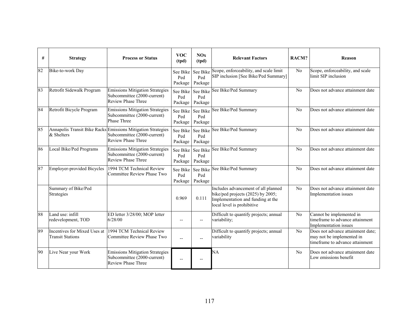| #  | <b>Strategy</b>                                         | <b>Process or Status</b>                                                                                                 | <b>VOC</b><br>(tpd)        | NOx<br>(tpd)                        | <b>Relevant Factors</b>                                                                                                                     | RACM?          | <b>Reason</b>                                                                                     |
|----|---------------------------------------------------------|--------------------------------------------------------------------------------------------------------------------------|----------------------------|-------------------------------------|---------------------------------------------------------------------------------------------------------------------------------------------|----------------|---------------------------------------------------------------------------------------------------|
| 82 | Bike-to-work Day                                        |                                                                                                                          | Ped<br>Package             | See Bike See Bike<br>Ped<br>Package | Scope, enforceability, and scale limit<br>SIP inclusion [See Bike/Ped Summary]                                                              | No             | Scope, enforceability, and scale<br>limit SIP inclusion                                           |
| 83 | Retrofit Sidewalk Program                               | <b>Emissions Mitigation Strategies</b><br>Subcommittee (2000-current)<br><b>Review Phase Three</b>                       | Ped<br>Package             | See Bike See Bike<br>Ped<br>Package | See Bike/Ped Summary                                                                                                                        | No             | Does not advance attainment date                                                                  |
| 84 | Retrofit Bicycle Program                                | <b>Emissions Mitigation Strategies</b><br>Subcommittee (2000-current)<br><b>Phase Three</b>                              | See Bike<br>Ped<br>Package | See Bike<br>Ped<br>Package          | See Bike/Ped Summary                                                                                                                        | No             | Does not advance attainment date                                                                  |
| 85 | & Shelters                                              | Annapolis Transit Bike Racks Emissions Mitigation Strategies<br>Subcommittee (2000-current)<br><b>Review Phase Three</b> | See Bike<br>Ped<br>Package | See Bike<br>Ped<br>Package          | See Bike/Ped Summary                                                                                                                        | No             | Does not advance attainment date                                                                  |
| 86 | Local Bike/Ped Programs                                 | <b>Emissions Mitigation Strategies</b><br>Subcommittee (2000-current)<br><b>Review Phase Three</b>                       | Ped<br>Package             | See Bike See Bike<br>Ped<br>Package | See Bike/Ped Summary                                                                                                                        | No             | Does not advance attainment date                                                                  |
| 87 | Employer-provided Bicycles                              | 1994 TCM Technical Review<br>Committee Review Phase Two                                                                  | See Bike<br>Ped<br>Package | See Bike<br>Ped<br>Package          | See Bike/Ped Summary                                                                                                                        | No             | Does not advance attainment date                                                                  |
|    | Summary of Bike/Ped<br>Strategies                       |                                                                                                                          | 0.969                      | 0.111                               | Includes advancement of all planned<br>bike/ped projects (2025) by 2005;<br>Implementation and funding at the<br>local level is prohibitive | No             | Does not advance attainment date<br>Implementation issues                                         |
| 88 | Land use: infill<br>redevelopment, TOD                  | ED letter 3/28/00; MOP letter<br>6/28/00                                                                                 | $\overline{a}$             | $-$                                 | Difficult to quantify projects; annual<br>variability;                                                                                      | No             | Cannot be implemented in<br>timeframe to advance attainment<br>Implementation issues              |
| 89 | Incentives for Mixed Uses at<br><b>Transit Stations</b> | 1994 TCM Technical Review<br>Committee Review Phase Two                                                                  | $\overline{a}$             | $\overline{a}$                      | Difficult to quantify projects; annual<br>variability                                                                                       | No             | Does not advance attainment date;<br>may not be implemented in<br>timeframe to advance attainment |
| 90 | Live Near your Work                                     | <b>Emissions Mitigation Strategies</b><br>Subcommittee (2000-current)<br><b>Review Phase Three</b>                       | $\overline{a}$             |                                     | NA                                                                                                                                          | N <sub>0</sub> | Does not advance attainment date<br>Low emissions benefit                                         |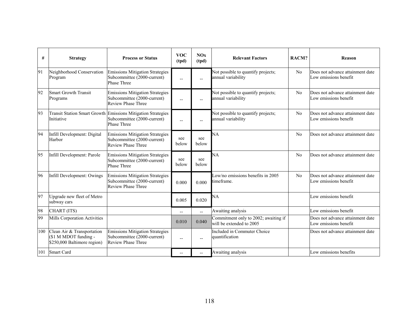| #   | <b>Strategy</b>                                                                    | <b>Process or Status</b>                                                                                   | <b>VOC</b><br>(tpd) | NOx<br>(tpd)   | <b>Relevant Factors</b>                                          | RACM? | <b>Reason</b>                                             |
|-----|------------------------------------------------------------------------------------|------------------------------------------------------------------------------------------------------------|---------------------|----------------|------------------------------------------------------------------|-------|-----------------------------------------------------------|
| 91  | Neighborhood Conservation<br>Program                                               | Emissions Mitigation Strategies<br>Subcommittee (2000-current)<br><b>Phase Three</b>                       | $\overline{a}$      | $-$            | Not possible to quantify projects;<br>annual variability         | No    | Does not advance attainment date<br>Low emissions benefit |
| 92  | <b>Smart Growth Transit</b><br>Programs                                            | <b>Emissions Mitigation Strategies</b><br>Subcommittee (2000-current)<br>Review Phase Three                | $-$                 | $-$            | Not possible to quantify projects;<br>annual variability         | No    | Does not advance attainment date<br>Low emissions benefit |
| 93  | Initiative                                                                         | Transit Station Smart Growth Emissions Mitigation Strategies<br>Subcommittee (2000-current)<br>Phase Three | $\overline{a}$      |                | Not possible to quantify projects;<br>annual variability         | No    | Does not advance attainment date<br>Low emissions benefit |
| 94  | Infill Development: Digital<br>Harbor                                              | <b>Emissions Mitigation Strategies</b><br>Subcommittee (2000-current)<br><b>Review Phase Three</b>         | see<br>below        | see<br>below   | NA                                                               | No    | Does not advance attainment date                          |
| 95  | Infill Development: Parole                                                         | <b>Emissions Mitigation Strategies</b><br>Subcommittee (2000-current)<br><b>Phase Three</b>                | see<br>below        | see<br>below   | NA                                                               | No    | Does not advance attainment date                          |
| 96  | Infill Development: Owings                                                         | <b>Emissions Mitigation Strategies</b><br>Subcommittee (2000-current)<br>Review Phase Three                | 0.000               | 0.000          | Low/no emissions benefits in 2005<br>timeframe.                  | No    | Does not advance attainment date<br>Low emissions benefit |
| 97  | Upgrade new fleet of Metro<br>subway cars                                          |                                                                                                            | 0.005               | 0.020          | NA                                                               |       | Low emissions benefit                                     |
| 98  | CHART (ITS)                                                                        |                                                                                                            | $-$                 | $\overline{a}$ | Awaiting analysis                                                |       | Low emissions benefit                                     |
| 99  | Mills Corporation Activities                                                       |                                                                                                            | 0.010               | 0.040          | Commitment only to 2002; awaiting if<br>will be extended to 2005 |       | Does not advance attainment date<br>Low emissions benefit |
| 100 | Clean Air & Transportation<br>(\$1 M MDOT funding -<br>\$250,000 Baltimore region) | <b>Emissions Mitigation Strategies</b><br>Subcommittee (2000-current)<br><b>Review Phase Three</b>         | $-$                 | $- -$          | Included in Commuter Choice<br>quantification                    |       | Does not advance attainment date                          |
| 101 | <b>Smart Card</b>                                                                  |                                                                                                            | $-$                 | $-$            | Awaiting analysis                                                |       | Low emissions benefits                                    |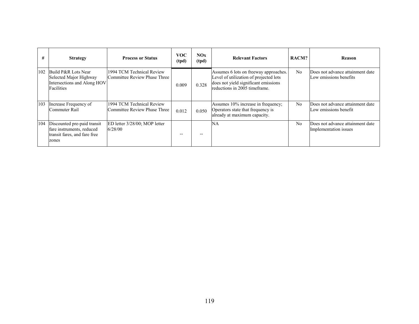| #   | <b>Strategy</b>                                                                                   | <b>Process or Status</b>                                  | <b>VOC</b><br>(tpd) | NOx<br>(tpd) | <b>Relevant Factors</b>                                                                                                                                  | RACM?          | <b>Reason</b>                                              |
|-----|---------------------------------------------------------------------------------------------------|-----------------------------------------------------------|---------------------|--------------|----------------------------------------------------------------------------------------------------------------------------------------------------------|----------------|------------------------------------------------------------|
| 102 | Build P&R Lots Near<br>Selected Major Highway<br>Intersections and Along HOV<br>Facilities        | 1994 TCM Technical Review<br>Committee Review Phase Three | 0.009               | 0.328        | Assumes 6 lots on freeway approaches.<br>Level of utilization of projected lots<br>does not yield significant emissions<br>reductions in 2005 timeframe. | No             | Does not advance attainment date<br>Low emissions benefits |
| 103 | Increase Frequency of<br>Commuter Rail                                                            | 1994 TCM Technical Review<br>Committee Review Phase Three | 0.012               | 0.050        | Assumes 10% increase in frequency;<br>Operators state that frequency is<br>already at maximum capacity.                                                  | N <sub>0</sub> | Does not advance attainment date<br>Low emissions benefit  |
| 104 | Discounted pre-paid transit<br>fare instruments, reduced<br>transit fares, and fare free<br>zones | ED letter 3/28/00; MOP letter<br>6/28/00                  | --                  |              | NA                                                                                                                                                       | N <sub>0</sub> | Does not advance attainment date<br>Implementation issues  |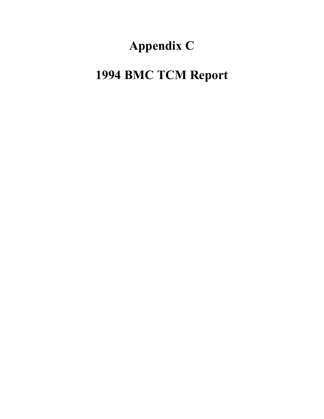## **Appendix C**

## **1994 BMC TCM Report**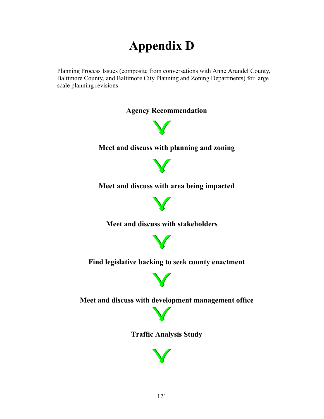## **Appendix D**

Planning Process Issues (composite from conversations with Anne Arundel County, Baltimore County, and Baltimore City Planning and Zoning Departments) for large scale planning revisions